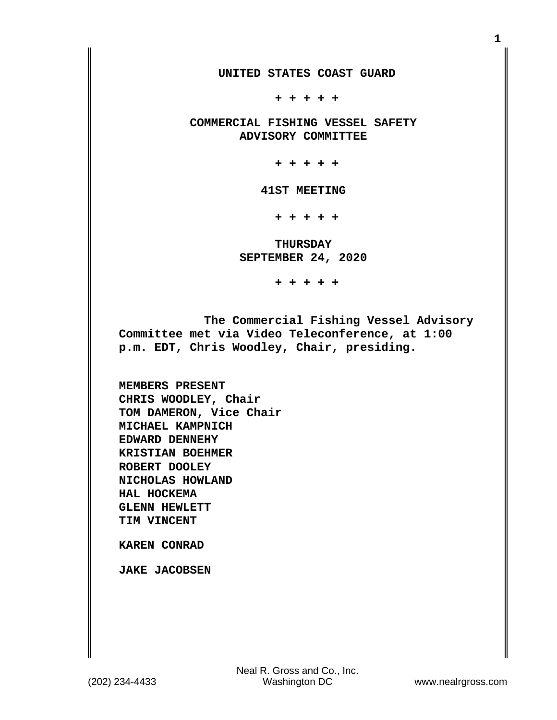**UNITED STATES COAST GUARD**

 **+ + + + +**

 **COMMERCIAL FISHING VESSEL SAFETY ADVISORY COMMITTEE**

 **+ + + + +**

 **41ST MEETING**

 **+ + + + +**

 **THURSDAY SEPTEMBER 24, 2020**

 **+ + + + +**

 **The Commercial Fishing Vessel Advisory Committee met via Video Teleconference, at 1:00 p.m. EDT, Chris Woodley, Chair, presiding.**

**MEMBERS PRESENT CHRIS WOODLEY, Chair TOM DAMERON, Vice Chair MICHAEL KAMPNICH EDWARD DENNEHY KRISTIAN BOEHMER ROBERT DOOLEY NICHOLAS HOWLAND HAL HOCKEMA GLENN HEWLETT TIM VINCENT**

**KAREN CONRAD**

**JAKE JACOBSEN**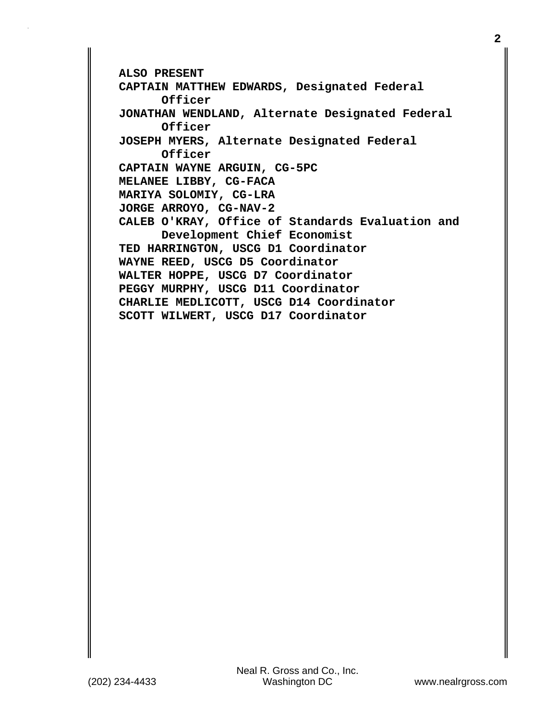```
ALSO PRESENT
CAPTAIN MATTHEW EDWARDS, Designated Federal
       Officer
JONATHAN WENDLAND, Alternate Designated Federal
       Officer
JOSEPH MYERS, Alternate Designated Federal
       Officer
CAPTAIN WAYNE ARGUIN, CG-5PC
MELANEE LIBBY, CG-FACA
MARIYA SOLOMIY, CG-LRA
JORGE ARROYO, CG-NAV-2
CALEB O'KRAY, Office of Standards Evaluation and
       Development Chief Economist
TED HARRINGTON, USCG D1 Coordinator
WAYNE REED, USCG D5 Coordinator
WALTER HOPPE, USCG D7 Coordinator
PEGGY MURPHY, USCG D11 Coordinator
CHARLIE MEDLICOTT, USCG D14 Coordinator
SCOTT WILWERT, USCG D17 Coordinator
```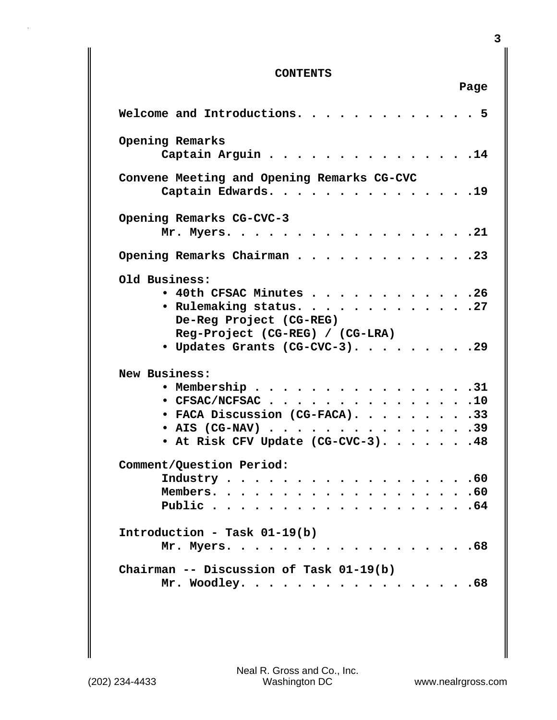## **CONTENTS**

|                                                                                                                                                                                     | Page        |
|-------------------------------------------------------------------------------------------------------------------------------------------------------------------------------------|-------------|
| Welcome and Introductions.                                                                                                                                                          | $5^{\circ}$ |
| Opening Remarks<br>Captain Arguin<br>$\cdots$ $\cdots$ $\frac{14}{1}$                                                                                                               |             |
| Convene Meeting and Opening Remarks CG-CVC<br>Captain Edwards.<br>. 19                                                                                                              |             |
| Opening Remarks CG-CVC-3<br>. 21<br>Mr. Myers.                                                                                                                                      |             |
| Opening Remarks Chairman 23                                                                                                                                                         |             |
| Old Business:<br>$\bullet$ 40th CFSAC Minutes 26<br>• Rulemaking status. 27<br>De-Reg Project (CG-REG)<br>Reg-Project (CG-REG) / (CG-LRA)<br>• Updates Grants (CG-CVC-3). 29        |             |
| New Business:<br>. 31<br>• Membership $\cdots$<br>$\bullet$ CFSAC/NCFSAC 10<br>• FACA Discussion (CG-FACA). 33<br>• AIS (CG-NAV) $\cdots$ 39<br>• At Risk CFV Update (CG-CVC-3). 48 |             |
| Comment/Question Period:<br>Industry $\cdots$ 60                                                                                                                                    |             |
| Introduction - Task 01-19(b)<br>Mr. Myers. 68                                                                                                                                       |             |
| Chairman -- Discussion of Task 01-19(b)<br>Mr. Woodley. 68                                                                                                                          |             |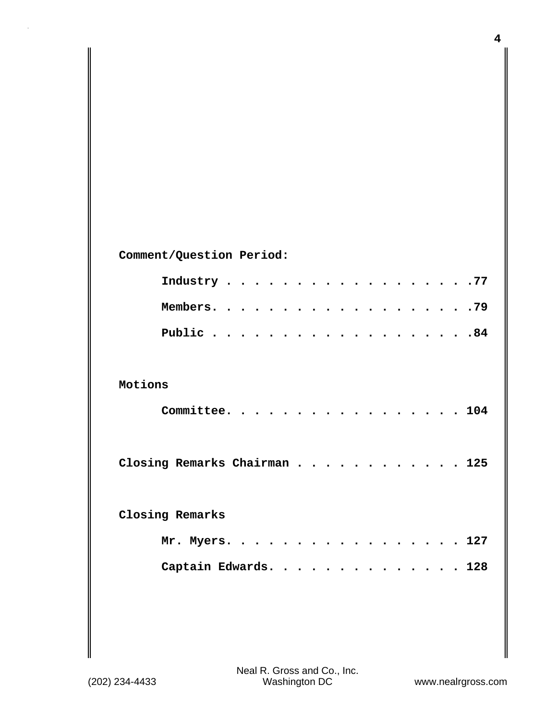| Comment/Question Period:     |  |  |  |
|------------------------------|--|--|--|
| Industry 77                  |  |  |  |
|                              |  |  |  |
|                              |  |  |  |
|                              |  |  |  |
| Motions                      |  |  |  |
| Committee. 104               |  |  |  |
|                              |  |  |  |
| Closing Remarks Chairman 125 |  |  |  |
|                              |  |  |  |
| Closing Remarks              |  |  |  |
| Mr. Myers. 127               |  |  |  |
| Captain Edwards. 128         |  |  |  |
|                              |  |  |  |

**4**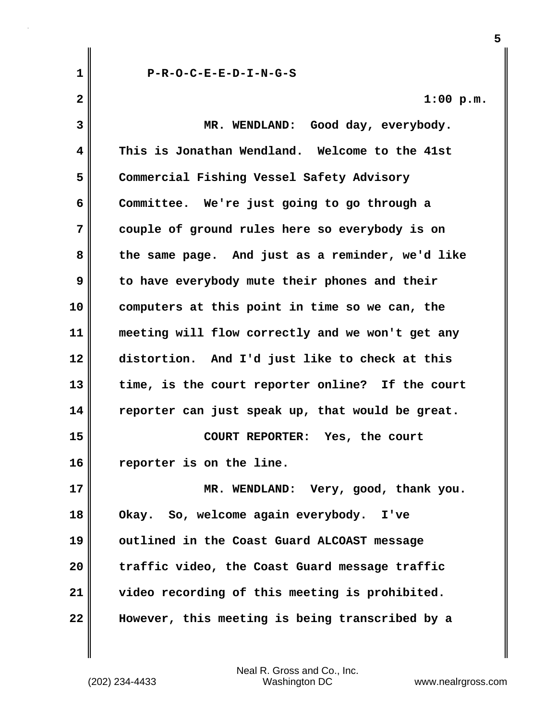**1 P-R-O-C-E-E-D-I-N-G-S 2 1:00 p.m. 3 MR. WENDLAND: Good day, everybody. 4 This is Jonathan Wendland. Welcome to the 41st 5 Commercial Fishing Vessel Safety Advisory 6 Committee. We're just going to go through a 7 couple of ground rules here so everybody is on 8 the same page. And just as a reminder, we'd like 9 to have everybody mute their phones and their 10 computers at this point in time so we can, the 11 meeting will flow correctly and we won't get any 12 distortion. And I'd just like to check at this 13 time, is the court reporter online? If the court 14 reporter can just speak up, that would be great. 15 COURT REPORTER: Yes, the court 16 reporter is on the line. 17 MR. WENDLAND: Very, good, thank you. 18 Okay. So, welcome again everybody. I've 19 outlined in the Coast Guard ALCOAST message 20 traffic video, the Coast Guard message traffic 21 video recording of this meeting is prohibited. 22 However, this meeting is being transcribed by a**

**5**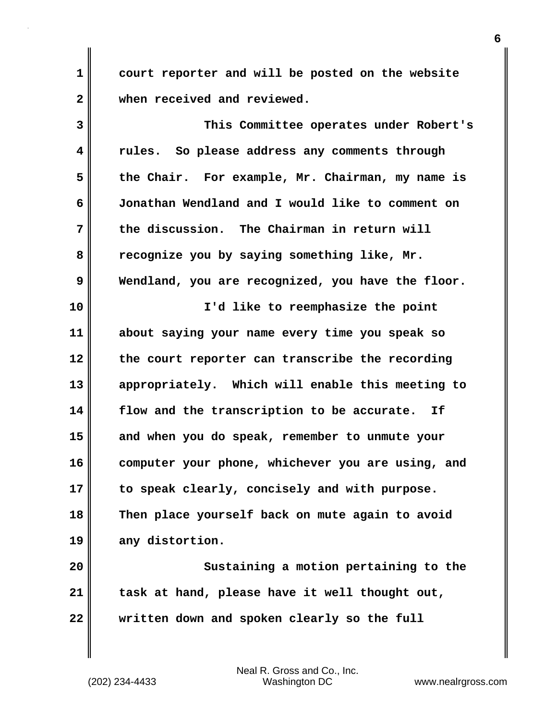**1 court reporter and will be posted on the website 2 when received and reviewed.**

**3 This Committee operates under Robert's 4 rules. So please address any comments through 5 the Chair. For example, Mr. Chairman, my name is 6 Jonathan Wendland and I would like to comment on 7 the discussion. The Chairman in return will 8 recognize you by saying something like, Mr. 9 Wendland, you are recognized, you have the floor. 10 I'd like to reemphasize the point 11 about saying your name every time you speak so 12 the court reporter can transcribe the recording 13 appropriately. Which will enable this meeting to 14 flow and the transcription to be accurate. If 15 and when you do speak, remember to unmute your 16 computer your phone, whichever you are using, and 17 to speak clearly, concisely and with purpose. 18 Then place yourself back on mute again to avoid 19 any distortion.**

**20 Sustaining a motion pertaining to the 21 task at hand, please have it well thought out, 22 written down and spoken clearly so the full**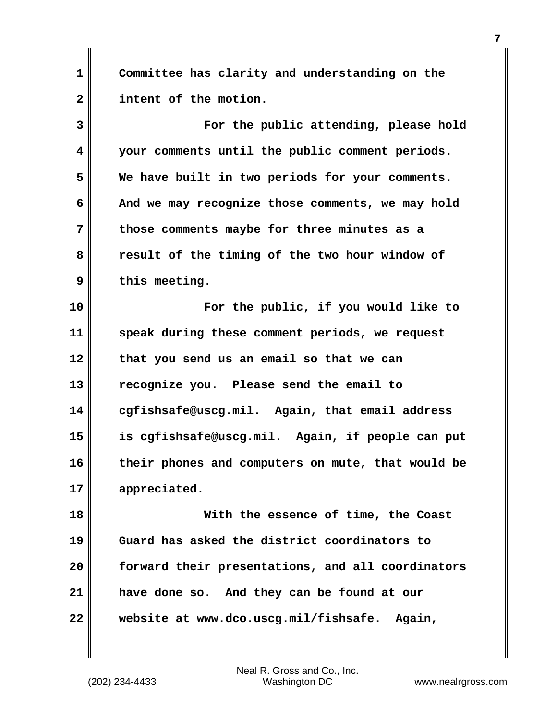**1 Committee has clarity and understanding on the 2 intent of the motion.**

**3 For the public attending, please hold 4 your comments until the public comment periods. 5 We have built in two periods for your comments. 6 And we may recognize those comments, we may hold 7 those comments maybe for three minutes as a 8 result of the timing of the two hour window of 9 this meeting. 10 For the public, if you would like to 11 speak during these comment periods, we request 12 that you send us an email so that we can 13 recognize you. Please send the email to 14 cgfishsafe@uscg.mil. Again, that email address 15 is cgfishsafe@uscg.mil. Again, if people can put 16 their phones and computers on mute, that would be 17 appreciated. 18 With the essence of time, the Coast 19 Guard has asked the district coordinators to**

**20 forward their presentations, and all coordinators 21 have done so. And they can be found at our 22 website at www.dco.uscg.mil/fishsafe. Again,**

(202) 234-4433 Washington DC www.nealrgross.com Neal R. Gross and Co., Inc.

**7**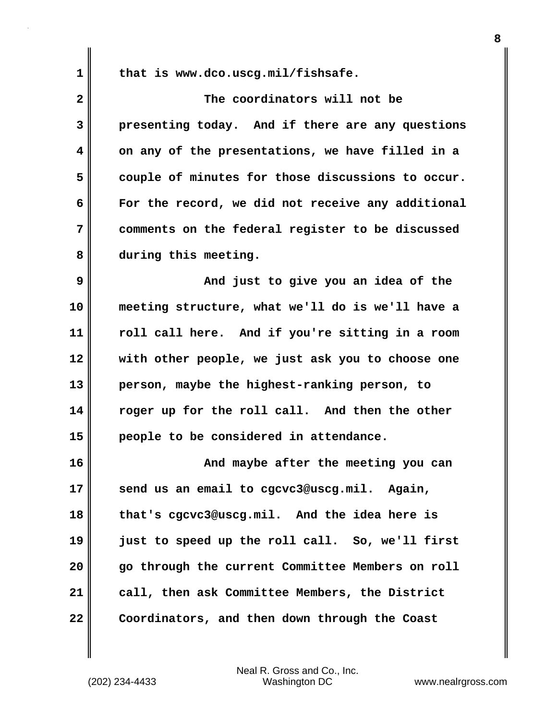**1 that is www.dco.uscg.mil/fishsafe.**

**2 The coordinators will not be 3 presenting today. And if there are any questions 4 on any of the presentations, we have filled in a 5 couple of minutes for those discussions to occur. 6 For the record, we did not receive any additional 7 comments on the federal register to be discussed 8 during this meeting. 9 And just to give you an idea of the 10 meeting structure, what we'll do is we'll have a**

**11 roll call here. And if you're sitting in a room 12 with other people, we just ask you to choose one 13 person, maybe the highest-ranking person, to 14 roger up for the roll call. And then the other 15 people to be considered in attendance.**

**16 And maybe after the meeting you can 17 send us an email to cgcvc3@uscg.mil. Again, 18 that's cgcvc3@uscg.mil. And the idea here is 19 just to speed up the roll call. So, we'll first 20 go through the current Committee Members on roll 21 call, then ask Committee Members, the District 22 Coordinators, and then down through the Coast**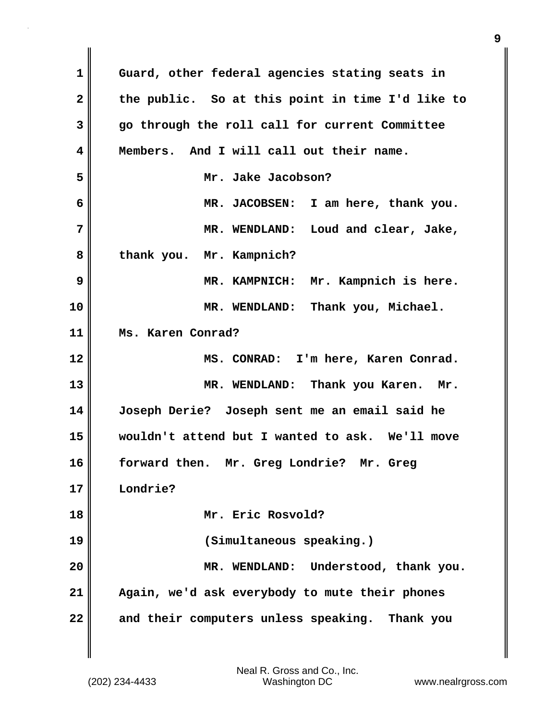**1 Guard, other federal agencies stating seats in 2 the public. So at this point in time I'd like to 3 go through the roll call for current Committee 4 Members. And I will call out their name. 5 Mr. Jake Jacobson? 6 MR. JACOBSEN: I am here, thank you. 7 MR. WENDLAND: Loud and clear, Jake, 8 thank you. Mr. Kampnich? 9 MR. KAMPNICH: Mr. Kampnich is here. 10 MR. WENDLAND: Thank you, Michael. 11 Ms. Karen Conrad? 12 MS. CONRAD: I'm here, Karen Conrad. 13 MR. WENDLAND: Thank you Karen. Mr. 14 Joseph Derie? Joseph sent me an email said he 15 wouldn't attend but I wanted to ask. We'll move 16 forward then. Mr. Greg Londrie? Mr. Greg 17 Londrie? 18 Mr. Eric Rosvold? 19 (Simultaneous speaking.) 20 MR. WENDLAND: Understood, thank you. 21 Again, we'd ask everybody to mute their phones 22 and their computers unless speaking. Thank you**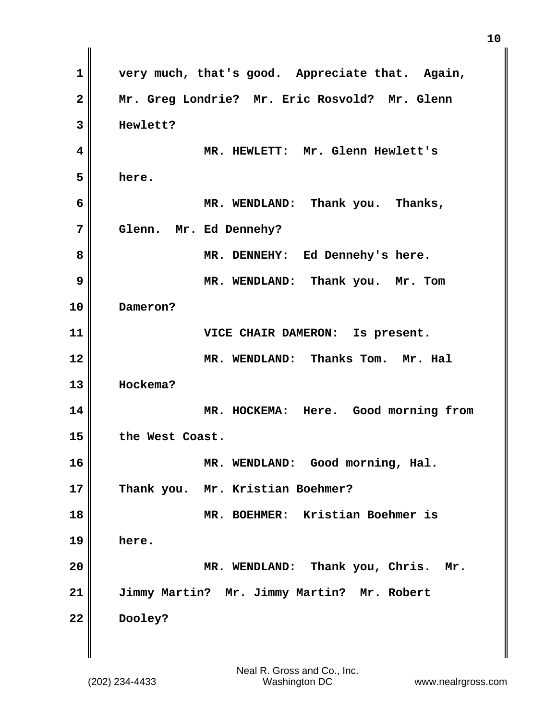**1 very much, that's good. Appreciate that. Again, 2 Mr. Greg Londrie? Mr. Eric Rosvold? Mr. Glenn 3 Hewlett? 4 MR. HEWLETT: Mr. Glenn Hewlett's 5 here. 6 MR. WENDLAND: Thank you. Thanks, 7 Glenn. Mr. Ed Dennehy? 8 MR. DENNEHY: Ed Dennehy's here. 9 MR. WENDLAND: Thank you. Mr. Tom 10 Dameron? 11 VICE CHAIR DAMERON: Is present. 12** MR. WENDLAND: Thanks Tom. Mr. Hal **13 Hockema? 14 MR. HOCKEMA: Here. Good morning from 15 the West Coast. 16 MR. WENDLAND: Good morning, Hal. 17 Thank you. Mr. Kristian Boehmer? 18 MR. BOEHMER: Kristian Boehmer is 19 here. 20 MR. WENDLAND: Thank you, Chris. Mr. 21 Jimmy Martin? Mr. Jimmy Martin? Mr. Robert 22 Dooley?**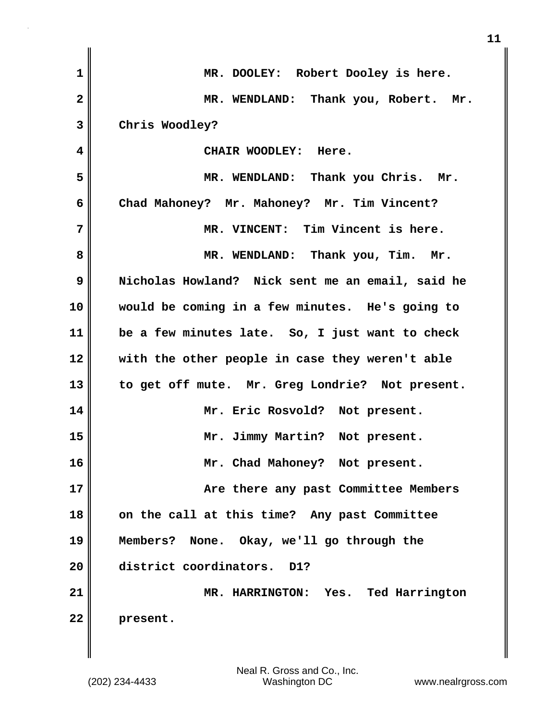| $\mathbf{1}$   | MR. DOOLEY: Robert Dooley is here.               |
|----------------|--------------------------------------------------|
| $\overline{2}$ | MR. WENDLAND: Thank you, Robert. Mr.             |
| 3              | Chris Woodley?                                   |
| 4              | CHAIR WOODLEY: Here.                             |
| 5              | MR. WENDLAND: Thank you Chris. Mr.               |
| 6              | Chad Mahoney? Mr. Mahoney? Mr. Tim Vincent?      |
| 7              | MR. VINCENT: Tim Vincent is here.                |
| 8              | MR. WENDLAND: Thank you, Tim. Mr.                |
| 9              | Nicholas Howland? Nick sent me an email, said he |
| 10             | would be coming in a few minutes. He's going to  |
| 11             | be a few minutes late. So, I just want to check  |
| 12             | with the other people in case they weren't able  |
| 13             | to get off mute. Mr. Greg Londrie? Not present.  |
| 14             | Mr. Eric Rosvold? Not present.                   |
| 15             | Mr. Jimmy Martin? Not present.                   |
| 16             | Mr. Chad Mahoney? Not present.                   |
| 17             | Are there any past Committee Members             |
| 18             | on the call at this time? Any past Committee     |
| 19             | Members? None. Okay, we'll go through the        |
| 20             | district coordinators.<br>D1?                    |
| 21             | MR. HARRINGTON: Yes. Ted Harrington              |
| 22             | present.                                         |
|                |                                                  |

**11**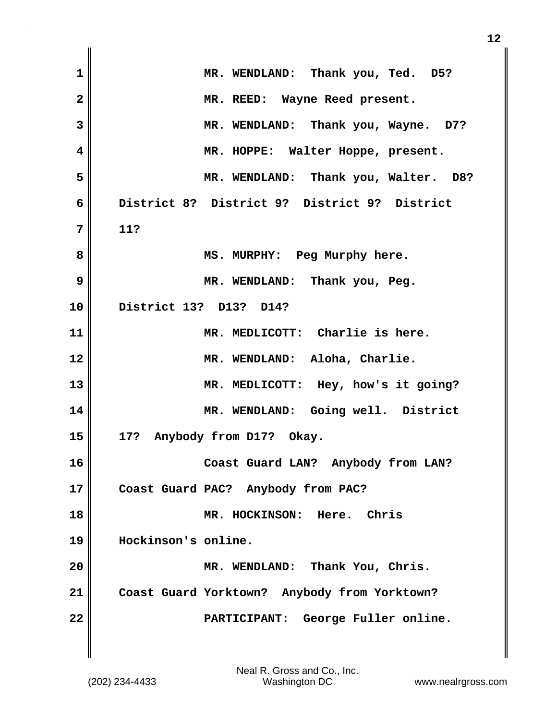| $\mathbf 1$             | MR. WENDLAND: Thank you, Ted. D5?            |
|-------------------------|----------------------------------------------|
| $\overline{\mathbf{2}}$ | MR. REED: Wayne Reed present.                |
| 3                       | MR. WENDLAND: Thank you, Wayne. D7?          |
| 4                       | MR. HOPPE: Walter Hoppe, present.            |
| 5                       | MR. WENDLAND: Thank you, Walter. D8?         |
| 6                       | District 8? District 9? District 9? District |
| 7                       | 11?                                          |
| 8                       | MS. MURPHY: Peg Murphy here.                 |
| 9                       | MR. WENDLAND: Thank you, Peg.                |
| 10                      | District 13? D13? D14?                       |
| 11                      | MR. MEDLICOTT: Charlie is here.              |
| 12                      | MR. WENDLAND: Aloha, Charlie.                |
| 13                      | MR. MEDLICOTT: Hey, how's it going?          |
| 14                      | MR. WENDLAND: Going well. District           |
| 15                      | 17? Anybody from D17? Okay.                  |
| 16                      | Coast Guard LAN? Anybody from LAN?           |
| 17                      | Coast Guard PAC? Anybody from PAC?           |
| 18                      | MR. HOCKINSON: Here. Chris                   |
| 19                      | Hockinson's online.                          |
| 20                      | MR. WENDLAND: Thank You, Chris.              |
| 21                      | Coast Guard Yorktown? Anybody from Yorktown? |
| 22                      | PARTICIPANT: George Fuller online.           |
|                         |                                              |

 $\mathbf{I}$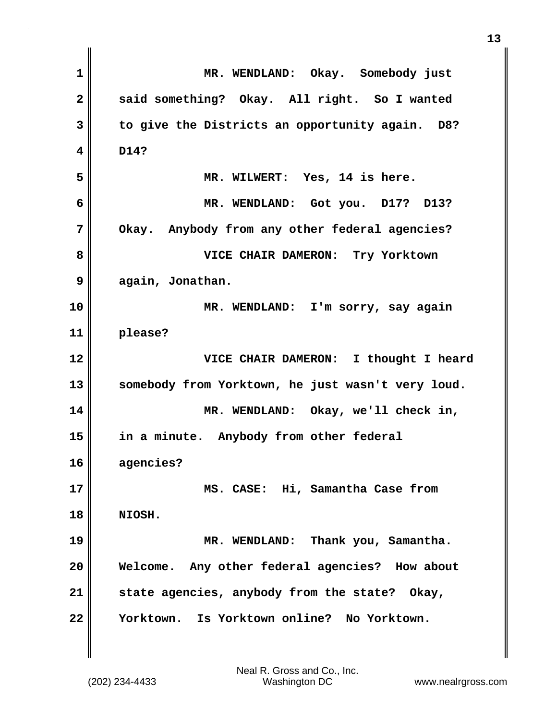| $\mathbf 1$    | MR. WENDLAND: Okay. Somebody just                 |
|----------------|---------------------------------------------------|
| $\overline{2}$ | said something? Okay. All right. So I wanted      |
| 3              | to give the Districts an opportunity again. D8?   |
| 4              | D14?                                              |
| 5              | MR. WILWERT: Yes, 14 is here.                     |
| 6              | MR. WENDLAND: Got you. D17? D13?                  |
| 7              | Okay. Anybody from any other federal agencies?    |
| 8              | VICE CHAIR DAMERON: Try Yorktown                  |
| 9              | again, Jonathan.                                  |
| 10             | MR. WENDLAND: I'm sorry, say again                |
| 11             | please?                                           |
| 12             | VICE CHAIR DAMERON: I thought I heard             |
| 13             | somebody from Yorktown, he just wasn't very loud. |
| 14             | MR. WENDLAND: Okay, we'll check in,               |
| 15             | in a minute. Anybody from other federal           |
| 16             | agencies?                                         |
| 17             | MS. CASE: Hi, Samantha Case from                  |
| 18             | NIOSH.                                            |
| 19             | MR. WENDLAND: Thank you, Samantha.                |
| 20             | Welcome. Any other federal agencies? How about    |
| 21             | state agencies, anybody from the state? Okay,     |
| 22             | Yorktown. Is Yorktown online? No Yorktown.        |
|                |                                                   |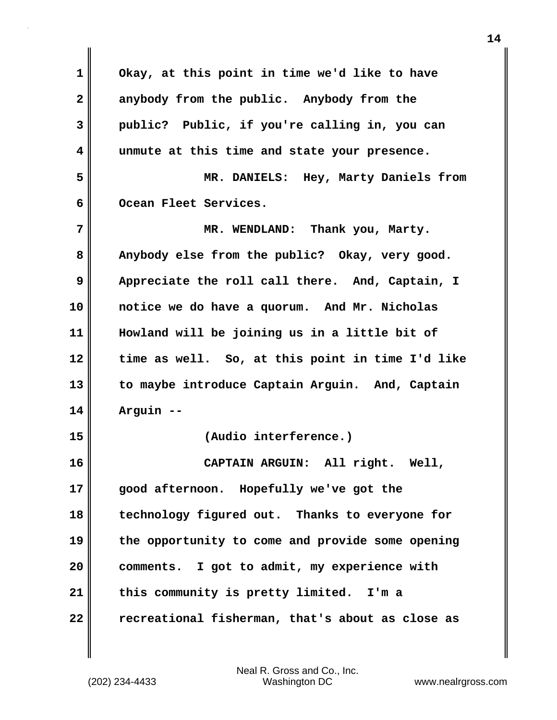**1 Okay, at this point in time we'd like to have 2 anybody from the public. Anybody from the 3 public? Public, if you're calling in, you can 4 unmute at this time and state your presence. 5 MR. DANIELS: Hey, Marty Daniels from** 6 **Ocean Fleet Services. 7 MR. WENDLAND: Thank you, Marty. 8 Anybody else from the public? Okay, very good. 9** Appreciate the roll call there. And, Captain, I **10 notice we do have a quorum. And Mr. Nicholas 11 Howland will be joining us in a little bit of 12 time as well. So, at this point in time I'd like 13 to maybe introduce Captain Arguin. And, Captain 14 Arguin -- 15 (Audio interference.) 16 CAPTAIN ARGUIN: All right. Well, 17 good afternoon. Hopefully we've got the 18 technology figured out. Thanks to everyone for 19 the opportunity to come and provide some opening 20 comments. I got to admit, my experience with 21 this community is pretty limited. I'm a 22 recreational fisherman, that's about as close as**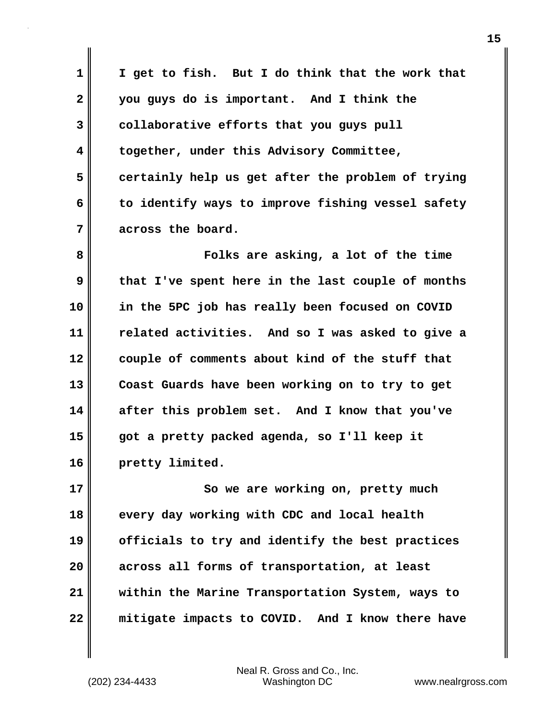**1 I get to fish. But I do think that the work that 2 you guys do is important. And I think the 3 collaborative efforts that you guys pull 4 together, under this Advisory Committee, 5 certainly help us get after the problem of trying 6 to identify ways to improve fishing vessel safety 7 across the board.**

**8 Folks are asking, a lot of the time 9 that I've spent here in the last couple of months 10 in the 5PC job has really been focused on COVID 11 related activities. And so I was asked to give a 12 couple of comments about kind of the stuff that 13 Coast Guards have been working on to try to get 14 after this problem set. And I know that you've 15 got a pretty packed agenda, so I'll keep it 16 pretty limited.**

**17** So we are working on, pretty much **18 every day working with CDC and local health 19 officials to try and identify the best practices 20 across all forms of transportation, at least 21 within the Marine Transportation System, ways to 22 mitigate impacts to COVID. And I know there have**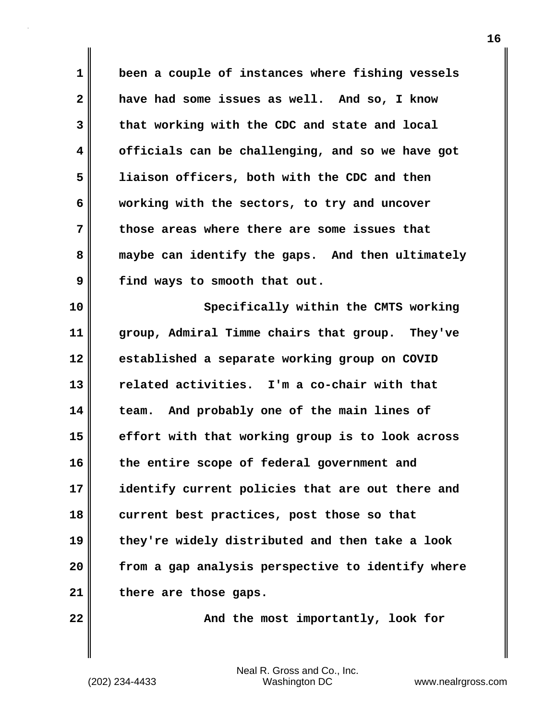**1 been a couple of instances where fishing vessels 2 have had some issues as well. And so, I know 3 that working with the CDC and state and local 4 officials can be challenging, and so we have got 5 liaison officers, both with the CDC and then 6 working with the sectors, to try and uncover 7 those areas where there are some issues that 8 maybe can identify the gaps. And then ultimately 9 find ways to smooth that out.**

**10 Specifically within the CMTS working 11 group, Admiral Timme chairs that group. They've 12 established a separate working group on COVID 13 related activities. I'm a co-chair with that 14 team. And probably one of the main lines of 15 effort with that working group is to look across 16 the entire scope of federal government and 17 identify current policies that are out there and 18 current best practices, post those so that 19 they're widely distributed and then take a look 20 from a gap analysis perspective to identify where 21 there are those gaps.**

**22** Mercy and the most importantly, look for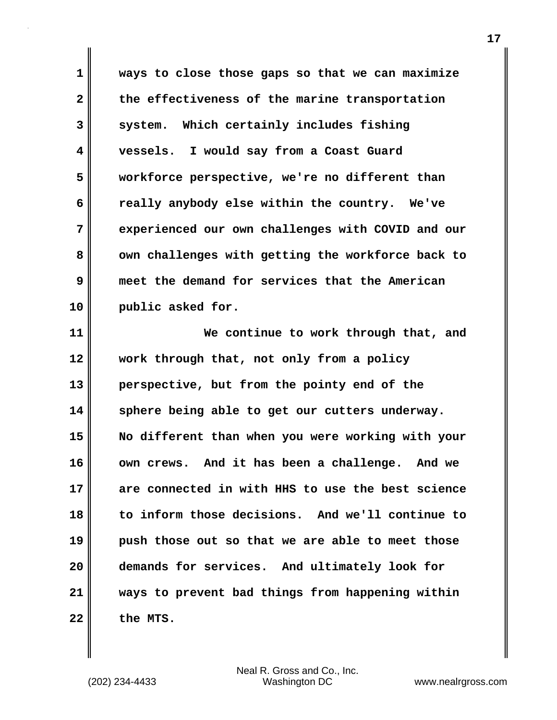**1 ways to close those gaps so that we can maximize 2 the effectiveness of the marine transportation 3 system. Which certainly includes fishing 4 vessels. I would say from a Coast Guard 5 workforce perspective, we're no different than 6 really anybody else within the country. We've 7 experienced our own challenges with COVID and our** 8 **own challenges with getting the workforce back to 9 meet the demand for services that the American 10 public asked for.**

**11 We continue to work through that, and 12 work through that, not only from a policy 13 perspective, but from the pointy end of the 14 sphere being able to get our cutters underway. 15 No different than when you were working with your 16 own crews. And it has been a challenge. And we 17 are connected in with HHS to use the best science 18 to inform those decisions. And we'll continue to 19 push those out so that we are able to meet those 20 demands for services. And ultimately look for 21 ways to prevent bad things from happening within 22 the MTS.**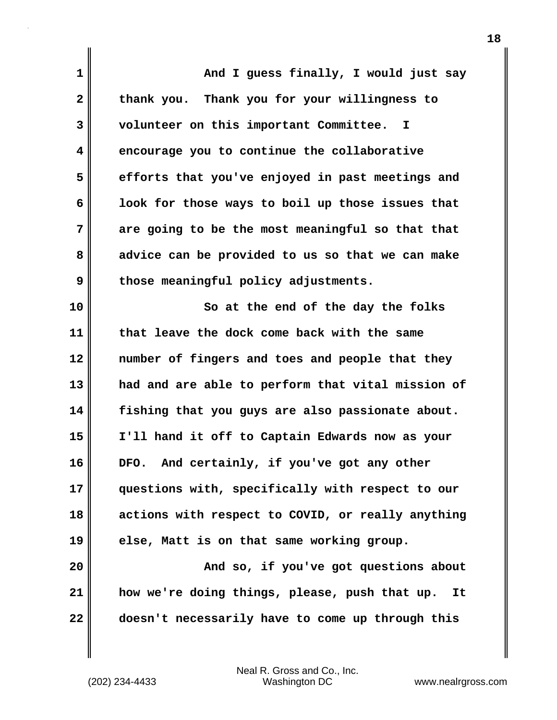| 1               | And I guess finally, I would just say               |
|-----------------|-----------------------------------------------------|
| $\mathbf{2}$    | thank you. Thank you for your willingness to        |
| 3               | volunteer on this important Committee. I            |
| 4               | encourage you to continue the collaborative         |
| 5               | efforts that you've enjoyed in past meetings and    |
| 6               | look for those ways to boil up those issues that    |
| 7               | are going to be the most meaningful so that that    |
| 8               | advice can be provided to us so that we can make    |
| 9               | those meaningful policy adjustments.                |
| 10              | So at the end of the day the folks                  |
| 11              | that leave the dock come back with the same         |
| $\overline{12}$ | number of fingers and toes and people that they     |
| 13              | had and are able to perform that vital mission of   |
| 14              | fishing that you guys are also passionate about.    |
| 15              | I'll hand it off to Captain Edwards now as your     |
| 16              | DFO. And certainly, if you've got any other         |
| 17              | questions with, specifically with respect to our    |
| 18              | actions with respect to COVID, or really anything   |
| 19              | else, Matt is on that same working group.           |
| 20              | And so, if you've got questions about               |
| 21              | how we're doing things, please, push that up.<br>It |
| 22              | doesn't necessarily have to come up through this    |

 $\mathbf{I}$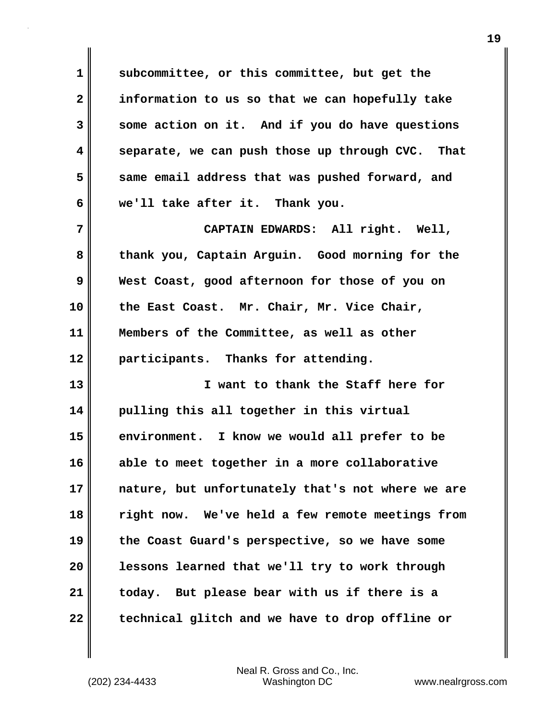**1 subcommittee, or this committee, but get the 2 information to us so that we can hopefully take 3 some action on it. And if you do have questions 4 separate, we can push those up through CVC. That 5 same email address that was pushed forward, and 6 we'll take after it. Thank you.**

**7 CAPTAIN EDWARDS: All right. Well, 8 thank you, Captain Arguin. Good morning for the 9 West Coast, good afternoon for those of you on 10 the East Coast. Mr. Chair, Mr. Vice Chair, 11 Members of the Committee, as well as other 12 participants. Thanks for attending.**

**13 I want to thank the Staff here for 14 pulling this all together in this virtual 15 environment. I know we would all prefer to be 16 able to meet together in a more collaborative 17 nature, but unfortunately that's not where we are 18 right now. We've held a few remote meetings from 19 the Coast Guard's perspective, so we have some 20 lessons learned that we'll try to work through 21 today. But please bear with us if there is a 22 technical glitch and we have to drop offline or**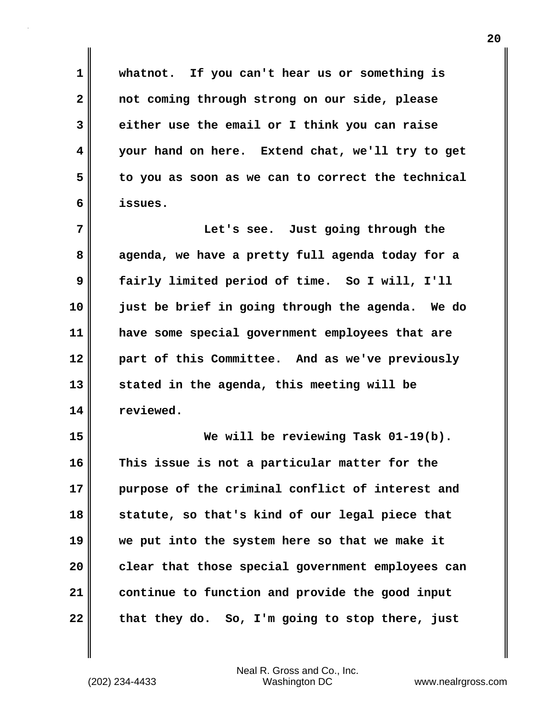**1 whatnot. If you can't hear us or something is 2 not coming through strong on our side, please 3 either use the email or I think you can raise 4 your hand on here. Extend chat, we'll try to get 5 to you as soon as we can to correct the technical 6 issues.**

**7 Let's see. Just going through the 8 agenda, we have a pretty full agenda today for a 9 fairly limited period of time. So I will, I'll 10 just be brief in going through the agenda. We do 11 have some special government employees that are 12 part of this Committee. And as we've previously 13 stated in the agenda, this meeting will be 14 reviewed.**

**15 We will be reviewing Task 01-19(b). 16 This issue is not a particular matter for the 17 purpose of the criminal conflict of interest and 18 statute, so that's kind of our legal piece that 19 we put into the system here so that we make it 20 clear that those special government employees can 21 continue to function and provide the good input 22 that they do. So, I'm going to stop there, just**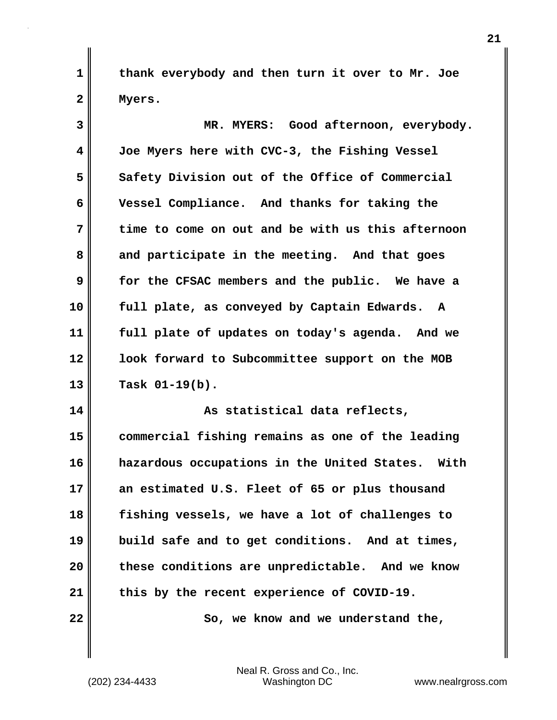**1 thank everybody and then turn it over to Mr. Joe 2 Myers.**

**3 MR. MYERS: Good afternoon, everybody. 4 Joe Myers here with CVC-3, the Fishing Vessel 5 Safety Division out of the Office of Commercial 6 Vessel Compliance. And thanks for taking the 7 time to come on out and be with us this afternoon 8 and participate in the meeting. And that goes 9 for the CFSAC members and the public. We have a 10 full plate, as conveyed by Captain Edwards. A 11 full plate of updates on today's agenda. And we 12 look forward to Subcommittee support on the MOB 13 Task 01-19(b). 14 As statistical data reflects, 15 commercial fishing remains as one of the leading 16 hazardous occupations in the United States. With 17 an estimated U.S. Fleet of 65 or plus thousand 18 fishing vessels, we have a lot of challenges to 19 build safe and to get conditions. And at times,**

**20 these conditions are unpredictable. And we know 21 this by the recent experience of COVID-19.**

**22** So, we know and we understand the,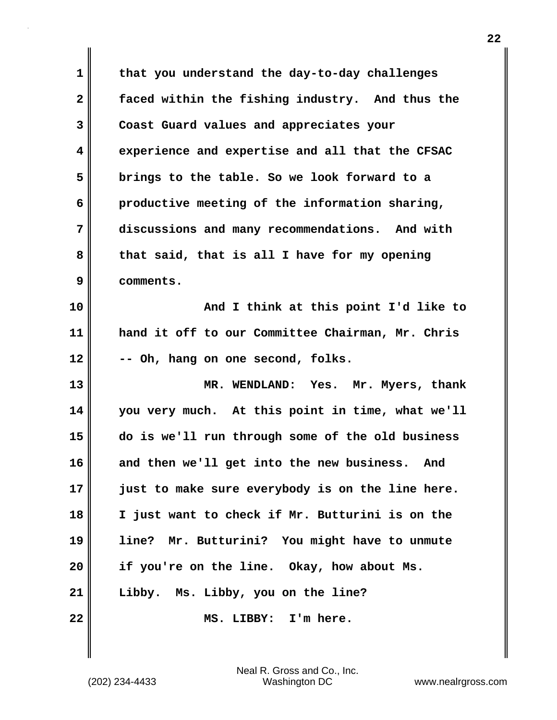**1 that you understand the day-to-day challenges 2 faced within the fishing industry. And thus the 3 Coast Guard values and appreciates your 4 experience and expertise and all that the CFSAC 5 brings to the table. So we look forward to a 6 productive meeting of the information sharing, 7 discussions and many recommendations. And with 8 that said, that is all I have for my opening 9 comments. 10 And I think at this point I'd like to**

**11 hand it off to our Committee Chairman, Mr. Chris 12 -- Oh, hang on one second, folks.**

**13 MR. WENDLAND: Yes. Mr. Myers, thank 14 you very much. At this point in time, what we'll 15 do is we'll run through some of the old business 16 and then we'll get into the new business. And 17 just to make sure everybody is on the line here. 18 I just want to check if Mr. Butturini is on the 19 line? Mr. Butturini? You might have to unmute 20 if you're on the line. Okay, how about Ms. 21 Libby. Ms. Libby, you on the line? 22 MS. LIBBY: I'm here.**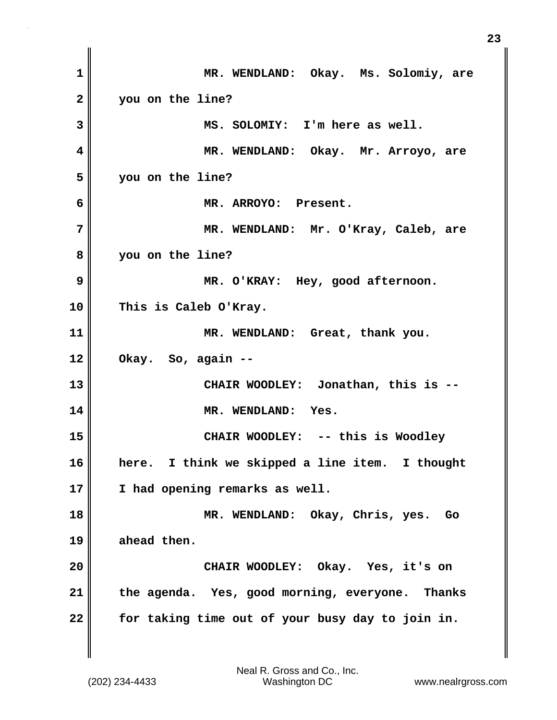**1 MR. WENDLAND: Okay. Ms. Solomiy, are 2 you on the line? 3 MS. SOLOMIY: I'm here as well. 4 MR. WENDLAND: Okay. Mr. Arroyo, are 5 you on the line? 6 MR. ARROYO: Present. 7 MR. WENDLAND: Mr. O'Kray, Caleb, are 8 you on the line? 9 MR. O'KRAY: Hey, good afternoon. 10 This is Caleb O'Kray. 11 MR. WENDLAND: Great, thank you. 12 Okay. So, again -- 13 CHAIR WOODLEY: Jonathan, this is -- 14 MR. WENDLAND: Yes. 15 CHAIR WOODLEY: -- this is Woodley 16 here. I think we skipped a line item. I thought 17 I had opening remarks as well. 18 MR. WENDLAND: Okay, Chris, yes. Go 19 ahead then. 20 CHAIR WOODLEY: Okay. Yes, it's on 21 the agenda. Yes, good morning, everyone. Thanks 22 for taking time out of your busy day to join in.**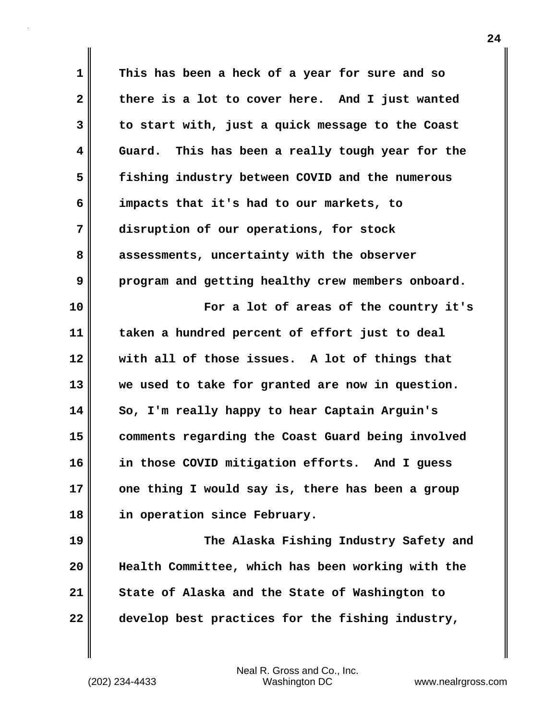**1 This has been a heck of a year for sure and so 2 there is a lot to cover here. And I just wanted 3 to start with, just a quick message to the Coast 4 Guard. This has been a really tough year for the 5 fishing industry between COVID and the numerous 6 impacts that it's had to our markets, to 7 disruption of our operations, for stock 8 assessments, uncertainty with the observer 9 program and getting healthy crew members onboard. 10 For a lot of areas of the country it's 11 taken a hundred percent of effort just to deal 12 with all of those issues. A lot of things that 13 we used to take for granted are now in question. 14 So, I'm really happy to hear Captain Arguin's 15 comments regarding the Coast Guard being involved 16 in those COVID mitigation efforts. And I guess 17 one thing I would say is, there has been a group 18 in operation since February. 19 The Alaska Fishing Industry Safety and 20 Health Committee, which has been working with the 21 State of Alaska and the State of Washington to**

**22 develop best practices for the fishing industry,**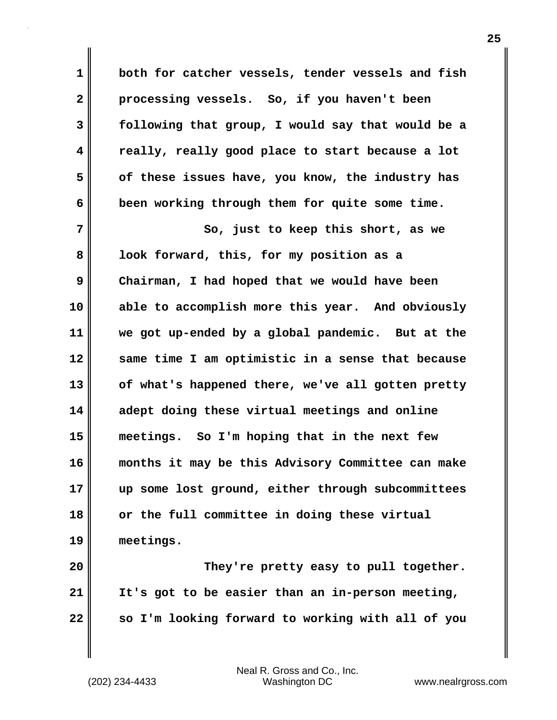**1 both for catcher vessels, tender vessels and fish 2 processing vessels. So, if you haven't been 3 following that group, I would say that would be a 4 really, really good place to start because a lot 5 of these issues have, you know, the industry has 6 been working through them for quite some time.**

**7** So, just to keep this short, as we **8 look forward, this, for my position as a 9 Chairman, I had hoped that we would have been 10 able to accomplish more this year. And obviously 11 we got up-ended by a global pandemic. But at the 12 same time I am optimistic in a sense that because 13 of what's happened there, we've all gotten pretty 14 adept doing these virtual meetings and online 15 meetings. So I'm hoping that in the next few 16 months it may be this Advisory Committee can make 17 up some lost ground, either through subcommittees 18 or the full committee in doing these virtual 19 meetings.**

**20 They're pretty easy to pull together. 21 It's got to be easier than an in-person meeting, 22 so I'm looking forward to working with all of you**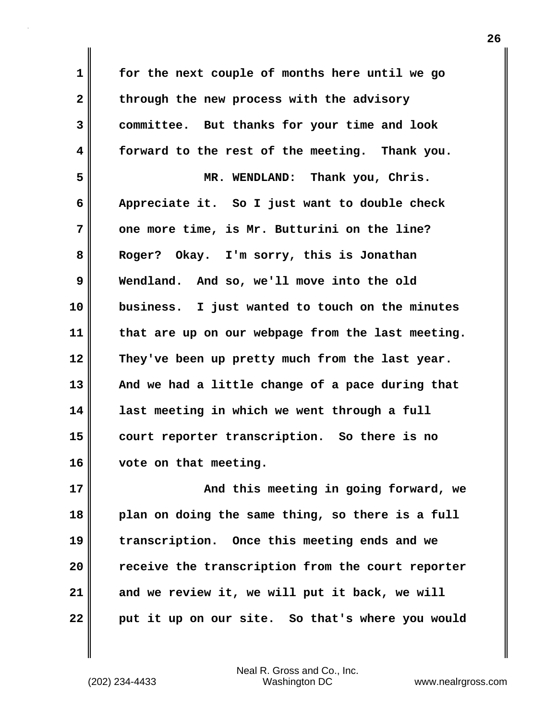**1 for the next couple of months here until we go** 2 through the new process with the advisory **3 committee. But thanks for your time and look 4 forward to the rest of the meeting. Thank you. 5 MR. WENDLAND: Thank you, Chris. 6 Appreciate it. So I just want to double check 7 one more time, is Mr. Butturini on the line? 8 Roger? Okay. I'm sorry, this is Jonathan 9 Wendland. And so, we'll move into the old 10 business. I just wanted to touch on the minutes 11 that are up on our webpage from the last meeting. 12 They've been up pretty much from the last year. 13 And we had a little change of a pace during that 14 last meeting in which we went through a full 15 court reporter transcription. So there is no 16 vote on that meeting. 17 And this meeting in going forward, we 18 plan on doing the same thing, so there is a full**

**19 transcription. Once this meeting ends and we 20 receive the transcription from the court reporter 21 and we review it, we will put it back, we will 22 put it up on our site. So that's where you would**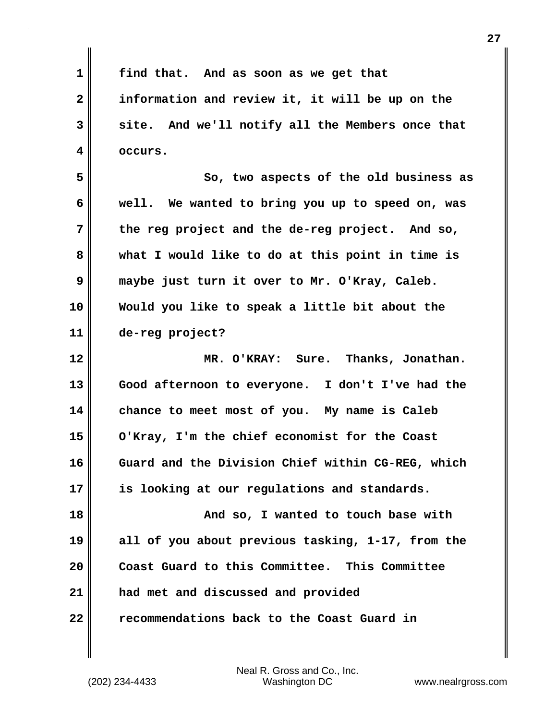**1 find that. And as soon as we get that 2 information and review it, it will be up on the 3 site. And we'll notify all the Members once that 4 occurs.**

**5 So, two aspects of the old business as 6 well. We wanted to bring you up to speed on, was 7 the reg project and the de-reg project. And so, 8 what I would like to do at this point in time is 9 maybe just turn it over to Mr. O'Kray, Caleb. 10 Would you like to speak a little bit about the 11 de-reg project?**

**12 MR. O'KRAY: Sure. Thanks, Jonathan. 13 Good afternoon to everyone. I don't I've had the 14 chance to meet most of you. My name is Caleb 15 O'Kray, I'm the chief economist for the Coast 16 Guard and the Division Chief within CG-REG, which 17 is looking at our regulations and standards.**

**18 And so, I wanted to touch base with 19 all of you about previous tasking, 1-17, from the 20 Coast Guard to this Committee. This Committee 21 had met and discussed and provided 22 recommendations back to the Coast Guard in**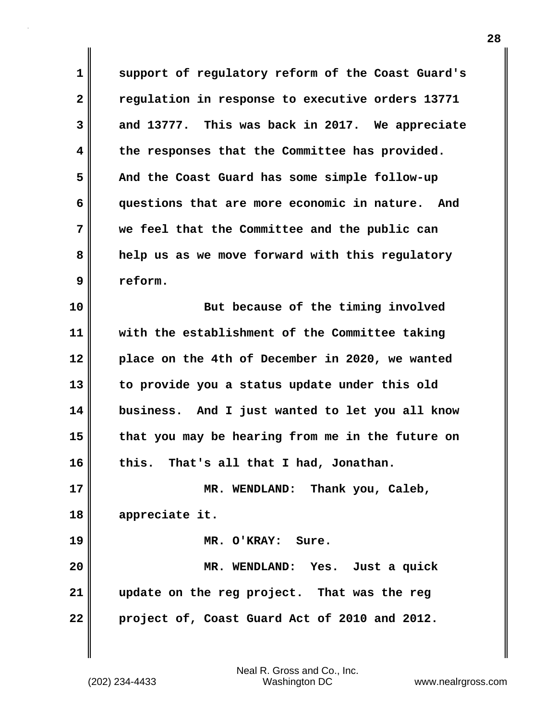**1 support of regulatory reform of the Coast Guard's 2 regulation in response to executive orders 13771 3 and 13777. This was back in 2017. We appreciate 4 the responses that the Committee has provided. 5 And the Coast Guard has some simple follow-up 6 questions that are more economic in nature. And 7 we feel that the Committee and the public can 8 help us as we move forward with this regulatory 9 reform.**

**10 But because of the timing involved 11 with the establishment of the Committee taking 12 place on the 4th of December in 2020, we wanted 13 to provide you a status update under this old 14 business. And I just wanted to let you all know 15 that you may be hearing from me in the future on 16 this. That's all that I had, Jonathan. 17 MR. WENDLAND: Thank you, Caleb, 18 appreciate it. 19 MR. O'KRAY: Sure.**

**20 MR. WENDLAND: Yes. Just a quick 21 update on the reg project. That was the reg 22 project of, Coast Guard Act of 2010 and 2012.**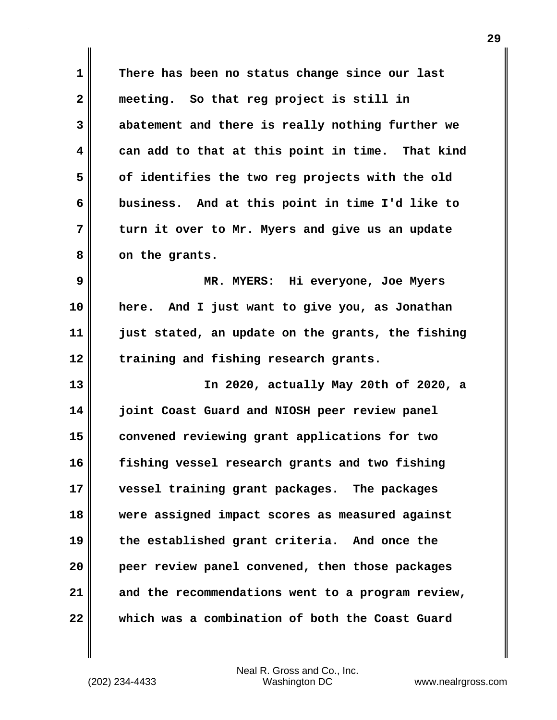**1 There has been no status change since our last 2 meeting. So that reg project is still in 3 abatement and there is really nothing further we 4 can add to that at this point in time. That kind 5 of identifies the two reg projects with the old 6 business. And at this point in time I'd like to 7 turn it over to Mr. Myers and give us an update 8 on the grants. 9 MR. MYERS: Hi everyone, Joe Myers 10 here. And I just want to give you, as Jonathan 11 just stated, an update on the grants, the fishing 12 training and fishing research grants. 13 In 2020, actually May 20th of 2020, a 14 joint Coast Guard and NIOSH peer review panel 15 convened reviewing grant applications for two 16 fishing vessel research grants and two fishing 17 vessel training grant packages. The packages 18 were assigned impact scores as measured against 19 the established grant criteria. And once the 20 peer review panel convened, then those packages 21 and the recommendations went to a program review, 22 which was a combination of both the Coast Guard**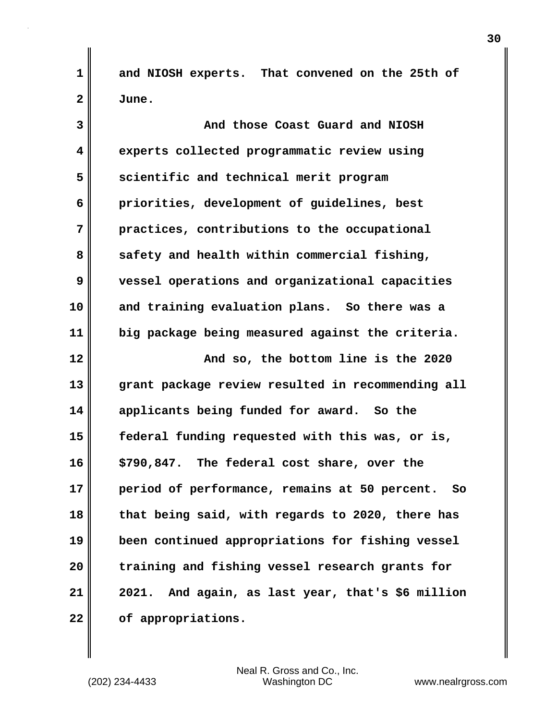**1 and NIOSH experts. That convened on the 25th of 2 June.**

**3 And those Coast Guard and NIOSH 4 experts collected programmatic review using 5** scientific and technical merit program **6 priorities, development of guidelines, best 7 practices, contributions to the occupational** 8 safety and health within commercial fishing, **9 vessel operations and organizational capacities 10 and training evaluation plans. So there was a 11 big package being measured against the criteria. 12 And so, the bottom line is the 2020 13 grant package review resulted in recommending all 14 applicants being funded for award. So the 15 federal funding requested with this was, or is, 16 \$790,847. The federal cost share, over the 17 period of performance, remains at 50 percent. So 18 that being said, with regards to 2020, there has 19 been continued appropriations for fishing vessel 20 training and fishing vessel research grants for 21 2021. And again, as last year, that's \$6 million 22 of appropriations.**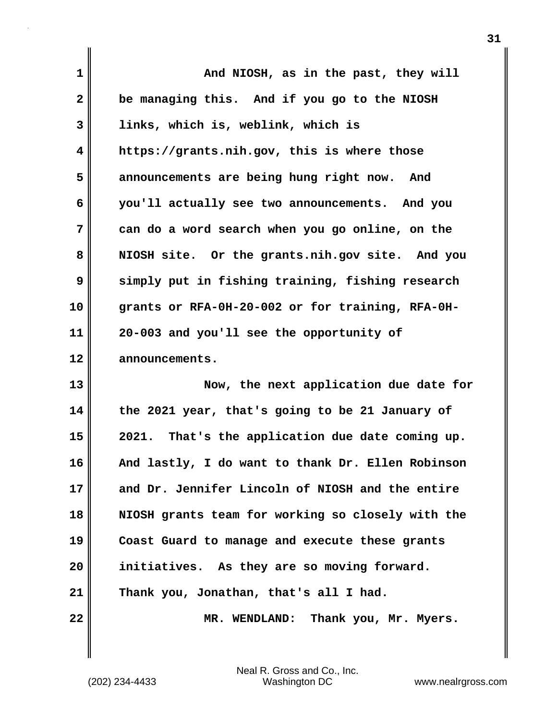| 1            | And NIOSH, as in the past, they will              |
|--------------|---------------------------------------------------|
| $\mathbf{2}$ | be managing this. And if you go to the NIOSH      |
| 3            | links, which is, weblink, which is                |
| 4            | https://grants.nih.gov, this is where those       |
| 5            | announcements are being hung right now. And       |
| 6            | you'll actually see two announcements. And you    |
| 7            | can do a word search when you go online, on the   |
| 8            | NIOSH site. Or the grants.nih.gov site. And you   |
| 9            | simply put in fishing training, fishing research  |
| 10           | grants or RFA-0H-20-002 or for training, RFA-0H-  |
| 11           | 20-003 and you'll see the opportunity of          |
| 12           | announcements.                                    |
| 13           | Now, the next application due date for            |
| 14           | the 2021 year, that's going to be 21 January of   |
| 15           | 2021. That's the application due date coming up.  |
| 16           | And lastly, I do want to thank Dr. Ellen Robinson |
| 17           | and Dr. Jennifer Lincoln of NIOSH and the entire  |
| 18           | NIOSH grants team for working so closely with the |
| 19           | Coast Guard to manage and execute these grants    |
| 20           | initiatives. As they are so moving forward.       |
| 21           | Thank you, Jonathan, that's all I had.            |
| 22           | MR. WENDLAND: Thank you, Mr. Myers.               |

(202) 234-4433 Washington DC www.nealrgross.com Neal R. Gross and Co., Inc.

 $\mathbf{I}$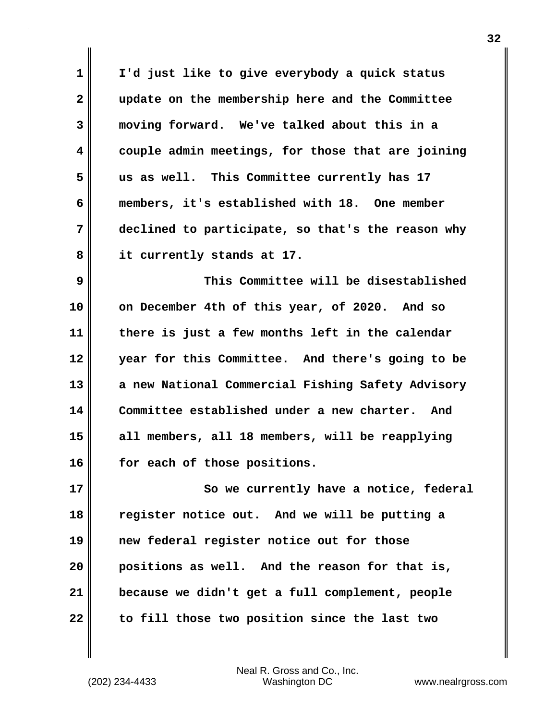| $\mathbf 1$  | I'd just like to give everybody a quick status    |
|--------------|---------------------------------------------------|
| $\mathbf{2}$ | update on the membership here and the Committee   |
| 3            | moving forward. We've talked about this in a      |
| 4            | couple admin meetings, for those that are joining |
| 5            | us as well. This Committee currently has 17       |
| 6            | members, it's established with 18. One member     |
| 7            | declined to participate, so that's the reason why |
| 8            | it currently stands at 17.                        |
| 9            | This Committee will be disestablished             |
| 10           | on December 4th of this year, of 2020. And so     |
| 11           | there is just a few months left in the calendar   |
| 12           | year for this Committee. And there's going to be  |
| 13           | a new National Commercial Fishing Safety Advisory |
| 14           | Committee established under a new charter. And    |
| 15           | all members, all 18 members, will be reapplying   |
| 16           | for each of those positions.                      |
| 17           | So we currently have a notice, federal            |
| 18           | register notice out. And we will be putting a     |
| 19           | new federal register notice out for those         |
| 20           | positions as well. And the reason for that is,    |
| 21           | because we didn't get a full complement, people   |
| 22           | to fill those two position since the last two     |
|              |                                                   |

(202) 234-4433 Washington DC www.nealrgross.com Neal R. Gross and Co., Inc.

 $\mathbf{I}$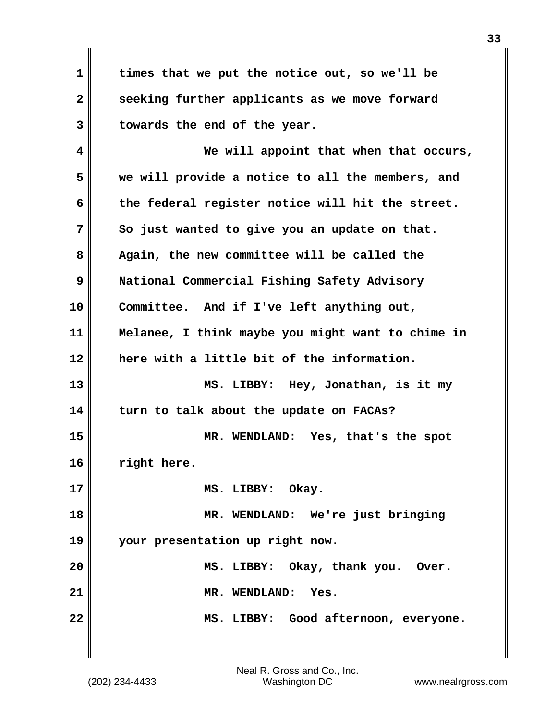**1 times that we put the notice out, so we'll be 2 seeking further applicants as we move forward 3 towards the end of the year.**

**4 We will appoint that when that occurs, 5 we will provide a notice to all the members, and 6 the federal register notice will hit the street. 7 So just wanted to give you an update on that. 8 Again, the new committee will be called the 9 National Commercial Fishing Safety Advisory 10 Committee. And if I've left anything out, 11 Melanee, I think maybe you might want to chime in 12 here with a little bit of the information. 13 MS. LIBBY: Hey, Jonathan, is it my 14 turn to talk about the update on FACAs? 15 MR. WENDLAND: Yes, that's the spot 16 right here. 17 MS. LIBBY: Okay. 18 MR. WENDLAND: We're just bringing 19 your presentation up right now. 20 MS. LIBBY: Okay, thank you. Over. 21 MR. WENDLAND: Yes. 22 MS. LIBBY: Good afternoon, everyone.**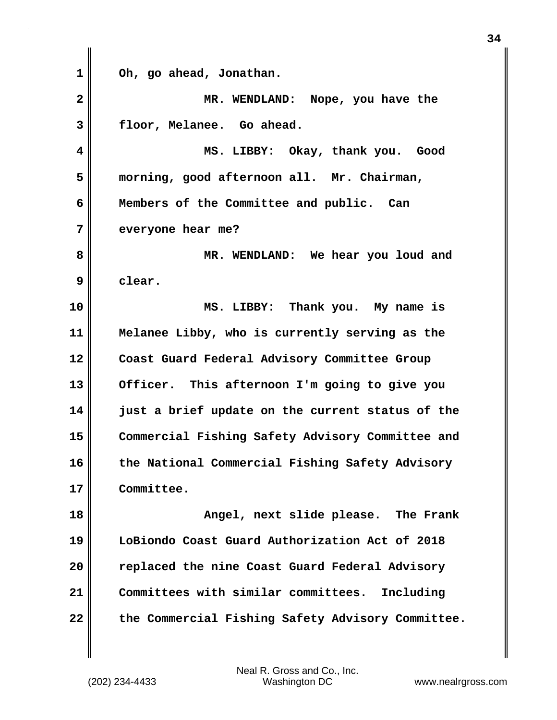**1 Oh, go ahead, Jonathan. 2 MR. WENDLAND: Nope, you have the 3 floor, Melanee. Go ahead. 4 MS. LIBBY: Okay, thank you. Good 5 morning, good afternoon all. Mr. Chairman, 6 Members of the Committee and public. Can 7 everyone hear me? 8 MR. WENDLAND: We hear you loud and 9 clear. 10 MS. LIBBY: Thank you. My name is 11 Melanee Libby, who is currently serving as the 12 Coast Guard Federal Advisory Committee Group 13 Officer. This afternoon I'm going to give you 14 just a brief update on the current status of the 15 Commercial Fishing Safety Advisory Committee and 16 the National Commercial Fishing Safety Advisory 17 Committee. 18 Angel, next slide please. The Frank 19 LoBiondo Coast Guard Authorization Act of 2018 20 replaced the nine Coast Guard Federal Advisory 21 Committees with similar committees. Including 22 the Commercial Fishing Safety Advisory Committee.**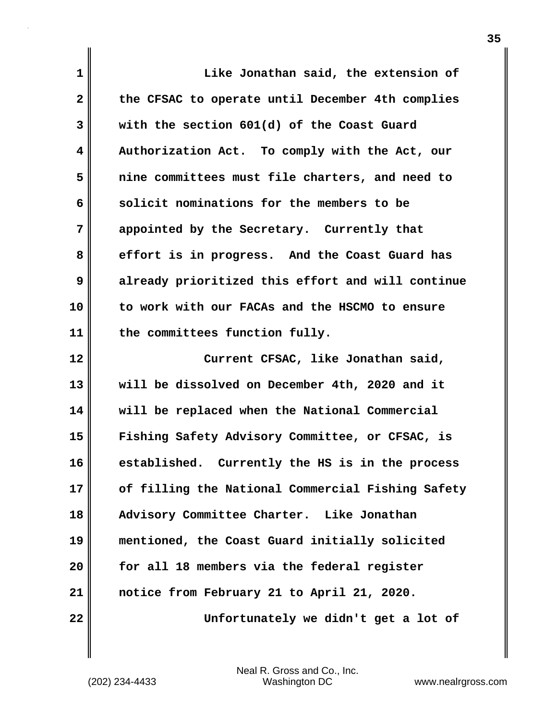| 1            | Like Jonathan said, the extension of               |
|--------------|----------------------------------------------------|
| $\mathbf{2}$ | the CFSAC to operate until December 4th complies   |
| 3            | with the section 601(d) of the Coast Guard         |
| 4            | Authorization Act. To comply with the Act, our     |
| 5            | nine committees must file charters, and need to    |
| 6            | solicit nominations for the members to be          |
| 7            | appointed by the Secretary. Currently that         |
| 8            | effort is in progress. And the Coast Guard has     |
| 9            | already prioritized this effort and will continue  |
| 10           | to work with our FACAs and the HSCMO to ensure     |
| 11           | the committees function fully.                     |
|              |                                                    |
| 12           | Current CFSAC, like Jonathan said,                 |
| 13           | will be dissolved on December 4th, 2020 and it     |
| 14           | will be replaced when the National Commercial      |
| 15           | Fishing Safety Advisory Committee, or CFSAC, is    |
| 16           | established.<br>Currently the HS is in the process |
| 17           | of filling the National Commercial Fishing Safety  |
| 18           | Advisory Committee Charter. Like Jonathan          |
| 19           | mentioned, the Coast Guard initially solicited     |
| 20           | for all 18 members via the federal register        |
| 21           | notice from February 21 to April 21, 2020.         |

 $\mathbf{I}$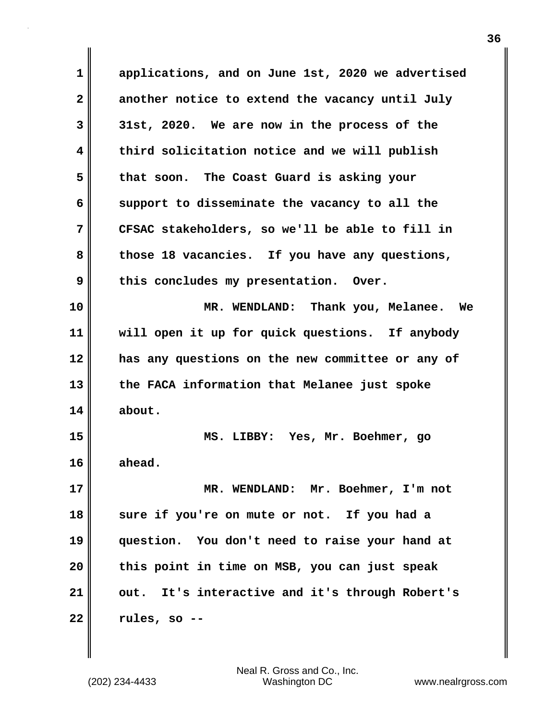| 1  | applications, and on June 1st, 2020 we advertised |
|----|---------------------------------------------------|
| 2  | another notice to extend the vacancy until July   |
| 3  | 31st, 2020. We are now in the process of the      |
| 4  | third solicitation notice and we will publish     |
| 5  | that soon. The Coast Guard is asking your         |
| 6  | support to disseminate the vacancy to all the     |
| 7  | CFSAC stakeholders, so we'll be able to fill in   |
| 8  | those 18 vacancies. If you have any questions,    |
| 9  | this concludes my presentation. Over.             |
| 10 | MR. WENDLAND: Thank you, Melanee. We              |
| 11 | will open it up for quick questions. If anybody   |
| 12 | has any questions on the new committee or any of  |
| 13 | the FACA information that Melanee just spoke      |
| 14 | about.                                            |
| 15 | MS. LIBBY: Yes, Mr. Boehmer, go                   |
| 16 | ahead.                                            |
| 17 | MR. WENDLAND: Mr. Boehmer, I'm not                |
| 18 | sure if you're on mute or not. If you had a       |
| 19 | question. You don't need to raise your hand at    |
| 20 | this point in time on MSB, you can just speak     |
| 21 | out. It's interactive and it's through Robert's   |
| 22 | rules, so --                                      |

 $\mathbf{I}$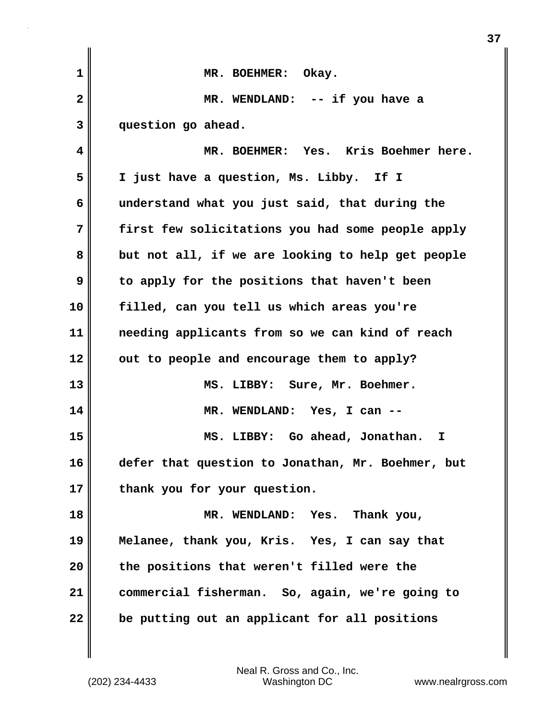| $\mathbf 1$  | MR. BOEHMER: Okay.                                |
|--------------|---------------------------------------------------|
| $\mathbf{2}$ | MR. WENDLAND: -- if you have a                    |
| 3            | question go ahead.                                |
| 4            | MR. BOEHMER: Yes. Kris Boehmer here.              |
| 5            | I just have a question, Ms. Libby. If I           |
| 6            | understand what you just said, that during the    |
| 7            | first few solicitations you had some people apply |
| 8            | but not all, if we are looking to help get people |
| 9            | to apply for the positions that haven't been      |
| 10           | filled, can you tell us which areas you're        |
| 11           | needing applicants from so we can kind of reach   |
| 12           | out to people and encourage them to apply?        |
| 13           | MS. LIBBY: Sure, Mr. Boehmer.                     |
| 14           | MR. WENDLAND: Yes, I can --                       |
| 15           | MS. LIBBY: Go ahead, Jonathan.<br>I               |
| 16           | defer that question to Jonathan, Mr. Boehmer, but |
| 17           | thank you for your question.                      |
| 18           | MR. WENDLAND: Yes.<br>Thank you,                  |
| 19           | Melanee, thank you, Kris. Yes, I can say that     |
| 20           | the positions that weren't filled were the        |
| 21           | commercial fisherman. So, again, we're going to   |
| 22           | be putting out an applicant for all positions     |

**37**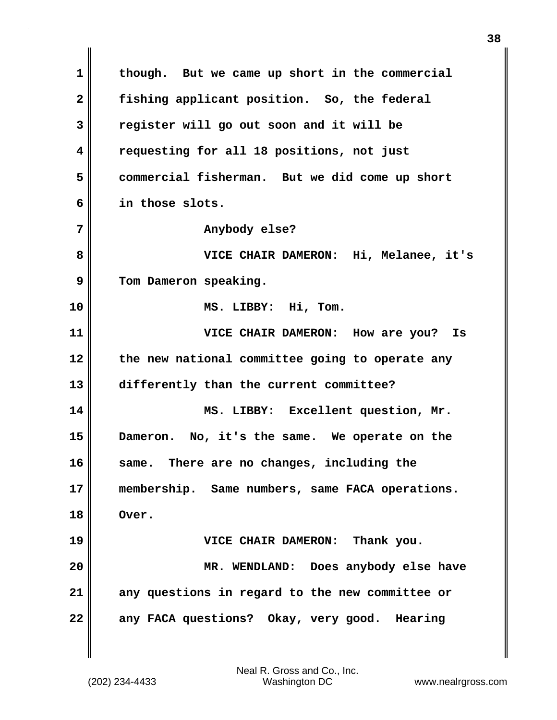**1 though. But we came up short in the commercial 2 fishing applicant position. So, the federal 3 register will go out soon and it will be 4 requesting for all 18 positions, not just 5 commercial fisherman. But we did come up short 6 in those slots.** 7 || **Anybody else? 8 VICE CHAIR DAMERON: Hi, Melanee, it's** 9 Tom Dameron speaking. **10 MS. LIBBY: Hi, Tom. 11 VICE CHAIR DAMERON: How are you? Is 12 the new national committee going to operate any 13 differently than the current committee? 14 MS. LIBBY: Excellent question, Mr. 15 Dameron. No, it's the same. We operate on the 16 same. There are no changes, including the 17 membership. Same numbers, same FACA operations. 18 Over. 19 VICE CHAIR DAMERON: Thank you. 20 MR. WENDLAND: Does anybody else have 21 any questions in regard to the new committee or 22 any FACA questions? Okay, very good. Hearing**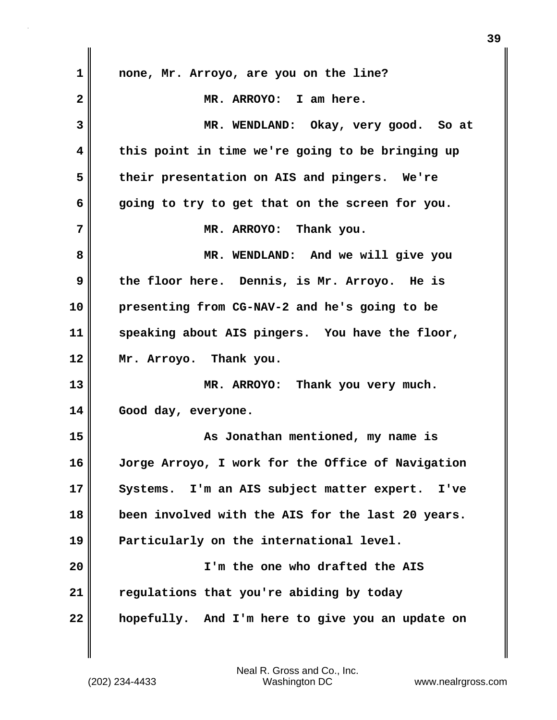| 1            | none, Mr. Arroyo, are you on the line?                |
|--------------|-------------------------------------------------------|
| $\mathbf{2}$ | MR. ARROYO: I am here.                                |
| 3            | MR. WENDLAND: Okay, very good. So at                  |
| 4            | this point in time we're going to be bringing up      |
| 5            | their presentation on AIS and pingers. We're          |
| 6            | going to try to get that on the screen for you.       |
| 7            | MR. ARROYO: Thank you.                                |
| 8            | MR. WENDLAND: And we will give you                    |
| 9            | the floor here. Dennis, is Mr. Arroyo. He is          |
| 10           | presenting from CG-NAV-2 and he's going to be         |
| 11           | speaking about AIS pingers. You have the floor,       |
| 12           | Mr. Arroyo. Thank you.                                |
| 13           | MR. ARROYO: Thank you very much.                      |
| 14           | Good day, everyone.                                   |
| 15           | As Jonathan mentioned, my name is                     |
| 16           | Jorge Arroyo, I work for the Office of Navigation     |
| 17           | Systems. I'm an AIS subject matter expert.<br>$I'$ ve |
| 18           | been involved with the AIS for the last 20 years.     |
| 19           | Particularly on the international level.              |
| 20           | I'm the one who drafted the AIS                       |
| 21           | regulations that you're abiding by today              |
| 22           | hopefully. And I'm here to give you an update on      |

 $\mathbf{l}$ 

**39**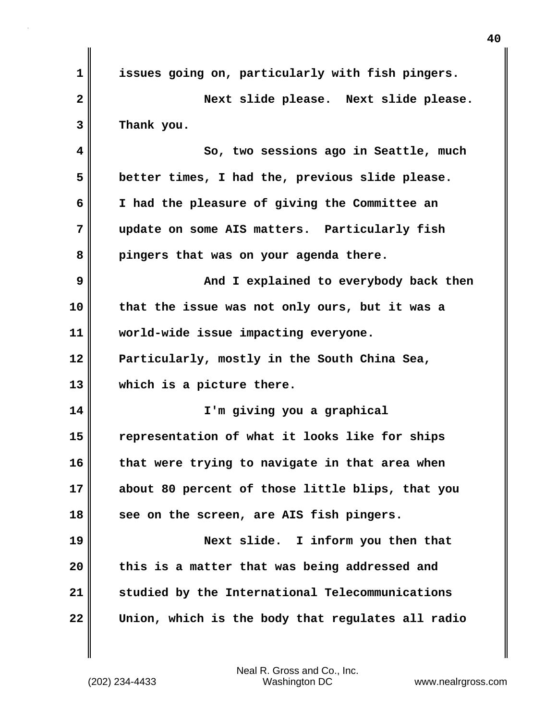| $\mathbf 1$ | issues going on, particularly with fish pingers.  |
|-------------|---------------------------------------------------|
| 2           | Next slide please. Next slide please.             |
| 3           | Thank you.                                        |
| 4           | So, two sessions ago in Seattle, much             |
| 5           | better times, I had the, previous slide please.   |
| 6           | I had the pleasure of giving the Committee an     |
| 7           | update on some AIS matters. Particularly fish     |
| 8           | pingers that was on your agenda there.            |
| 9           | And I explained to everybody back then            |
| 10          | that the issue was not only ours, but it was a    |
| 11          | world-wide issue impacting everyone.              |
| 12          | Particularly, mostly in the South China Sea,      |
| 13          | which is a picture there.                         |
| 14          | I'm giving you a graphical                        |
| 15          | representation of what it looks like for ships    |
| 16          | that were trying to navigate in that area when    |
| 17          | about 80 percent of those little blips, that you  |
| 18          | see on the screen, are AIS fish pingers.          |
| 19          | Next slide. I inform you then that                |
| 20          | this is a matter that was being addressed and     |
| 21          | studied by the International Telecommunications   |
| 22          | Union, which is the body that regulates all radio |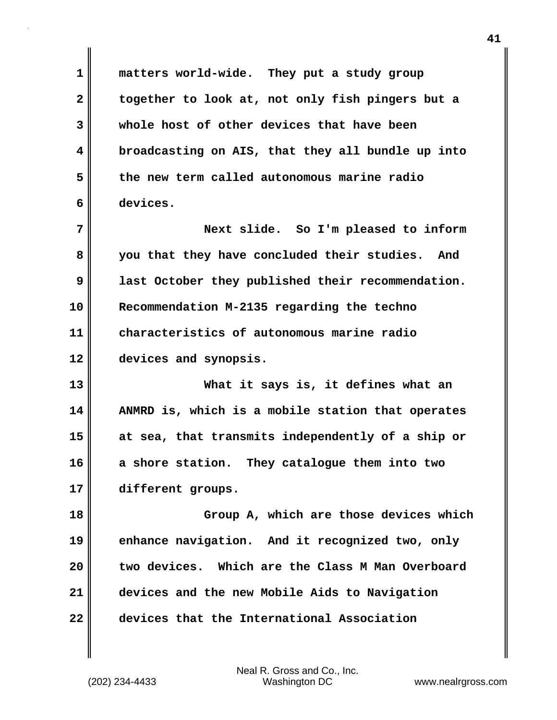**1 matters world-wide. They put a study group 2 together to look at, not only fish pingers but a 3 whole host of other devices that have been 4 broadcasting on AIS, that they all bundle up into 5 the new term called autonomous marine radio 6 devices.**

**7 Next slide. So I'm pleased to inform 8 you that they have concluded their studies. And 9 last October they published their recommendation. 10 Recommendation M-2135 regarding the techno 11 characteristics of autonomous marine radio 12 devices and synopsis.**

**13 What it says is, it defines what an 14 ANMRD is, which is a mobile station that operates 15 at sea, that transmits independently of a ship or 16 a shore station. They catalogue them into two 17 different groups.**

**18 Group A, which are those devices which 19 enhance navigation. And it recognized two, only 20 two devices. Which are the Class M Man Overboard 21 devices and the new Mobile Aids to Navigation 22 devices that the International Association**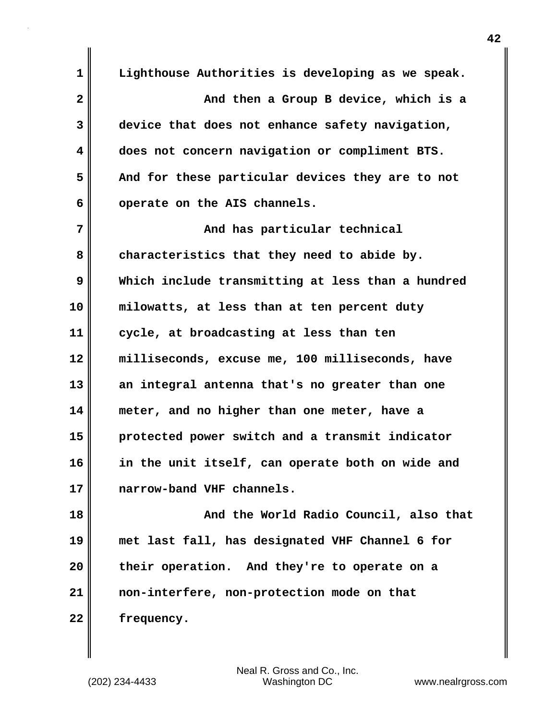**1 Lighthouse Authorities is developing as we speak. 2 And then a Group B device, which is a 3 device that does not enhance safety navigation, 4 does not concern navigation or compliment BTS. 5 And for these particular devices they are to not 6 operate on the AIS channels. 7 And has particular technical 8 characteristics that they need to abide by. 9 Which include transmitting at less than a hundred 10 milowatts, at less than at ten percent duty 11 cycle, at broadcasting at less than ten 12 milliseconds, excuse me, 100 milliseconds, have 13 an integral antenna that's no greater than one 14 meter, and no higher than one meter, have a 15 protected power switch and a transmit indicator 16 in the unit itself, can operate both on wide and 17 narrow-band VHF channels. 18 And the World Radio Council, also that 19 met last fall, has designated VHF Channel 6 for 20 their operation. And they're to operate on a**

**21 non-interfere, non-protection mode on that 22 frequency.**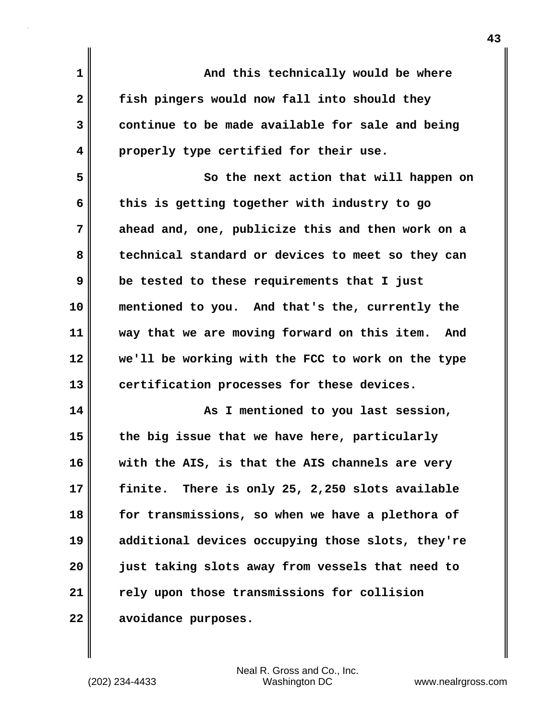| $\mathbf 1$  | And this technically would be where                 |
|--------------|-----------------------------------------------------|
| $\mathbf{2}$ | fish pingers would now fall into should they        |
| 3            | continue to be made available for sale and being    |
| 4            | properly type certified for their use.              |
| 5            | So the next action that will happen on              |
| 6            | this is getting together with industry to go        |
| 7            | ahead and, one, publicize this and then work on a   |
| 8            | technical standard or devices to meet so they can   |
| 9            | be tested to these requirements that I just         |
| 10           | mentioned to you. And that's the, currently the     |
| 11           | way that we are moving forward on this item.<br>And |
| 12           | we'll be working with the FCC to work on the type   |
| 13           | certification processes for these devices.          |
| 14           | As I mentioned to you last session,                 |
| 15           | the big issue that we have here, particularly       |
| 16           | with the AIS, is that the AIS channels are very     |
| 17           | finite. There is only 25, 2,250 slots available     |
| 18           | for transmissions, so when we have a plethora of    |
| 19           | additional devices occupying those slots, they're   |
| 20           | just taking slots away from vessels that need to    |
| 21           | rely upon those transmissions for collision         |
| 22           | avoidance purposes.                                 |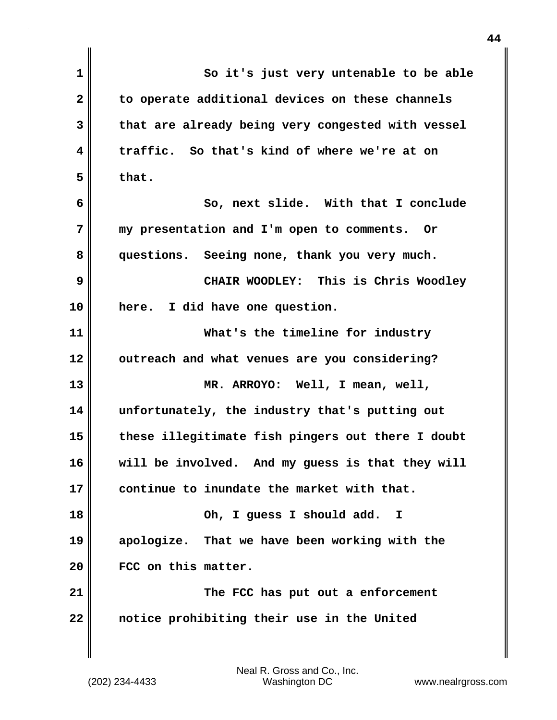| $\mathbf 1$    | So it's just very untenable to be able            |
|----------------|---------------------------------------------------|
| $\overline{2}$ | to operate additional devices on these channels   |
| 3              | that are already being very congested with vessel |
| 4              | traffic. So that's kind of where we're at on      |
| 5              | that.                                             |
| 6              | So, next slide. With that I conclude              |
| 7              | my presentation and I'm open to comments. Or      |
| 8              | questions. Seeing none, thank you very much.      |
| 9              | CHAIR WOODLEY: This is Chris Woodley              |
| 10             | here. I did have one question.                    |
| 11             | What's the timeline for industry                  |
| 12             | outreach and what venues are you considering?     |
| 13             | MR. ARROYO: Well, I mean, well,                   |
| 14             | unfortunately, the industry that's putting out    |
| 15             | these illegitimate fish pingers out there I doubt |
| 16             | will be involved. And my guess is that they will  |
| 17             | continue to inundate the market with that.        |
| 18             | Oh, I guess I should add.<br>$\mathbf{I}$         |
| 19             | apologize. That we have been working with the     |
| 20             | FCC on this matter.                               |
| 21             | The FCC has put out a enforcement                 |
| 22             | notice prohibiting their use in the United        |
|                |                                                   |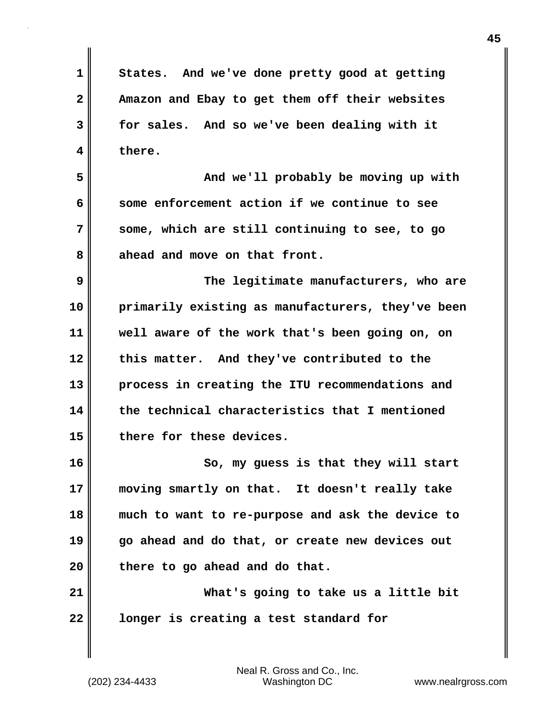**1 States. And we've done pretty good at getting 2 Amazon and Ebay to get them off their websites 3 for sales. And so we've been dealing with it 4 there. 5 And we'll probably be moving up with 6 some enforcement action if we continue to see 7 some, which are still continuing to see, to go** 8 ahead and move on that front. **9 The legitimate manufacturers, who are 10 primarily existing as manufacturers, they've been 11 well aware of the work that's been going on, on 12 this matter. And they've contributed to the 13 process in creating the ITU recommendations and 14 the technical characteristics that I mentioned 15 there for these devices. 16 So, my guess is that they will start 17 moving smartly on that. It doesn't really take 18 much to want to re-purpose and ask the device to 19 go ahead and do that, or create new devices out 20 there to go ahead and do that. 21 What's going to take us a little bit 22 longer is creating a test standard for**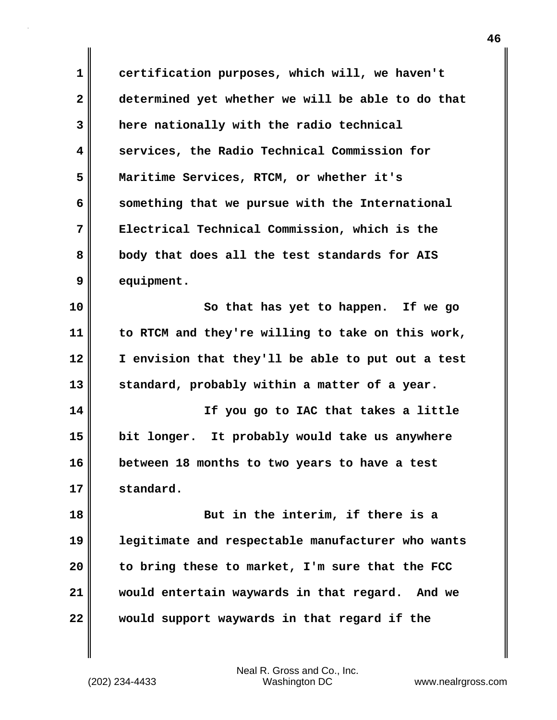**1 certification purposes, which will, we haven't 2 determined yet whether we will be able to do that 3 here nationally with the radio technical 4 services, the Radio Technical Commission for 5 Maritime Services, RTCM, or whether it's 6 something that we pursue with the International 7 Electrical Technical Commission, which is the 8 body that does all the test standards for AIS 9 equipment.**

**10** So that has yet to happen. If we go **11 to RTCM and they're willing to take on this work, 12 I envision that they'll be able to put out a test 13 standard, probably within a matter of a year.**

**14 If you go to IAC that takes a little 15 bit longer. It probably would take us anywhere 16 between 18 months to two years to have a test 17 standard.**

**18 But in the interim, if there is a 19 legitimate and respectable manufacturer who wants 20 to bring these to market, I'm sure that the FCC 21 would entertain waywards in that regard. And we 22 would support waywards in that regard if the**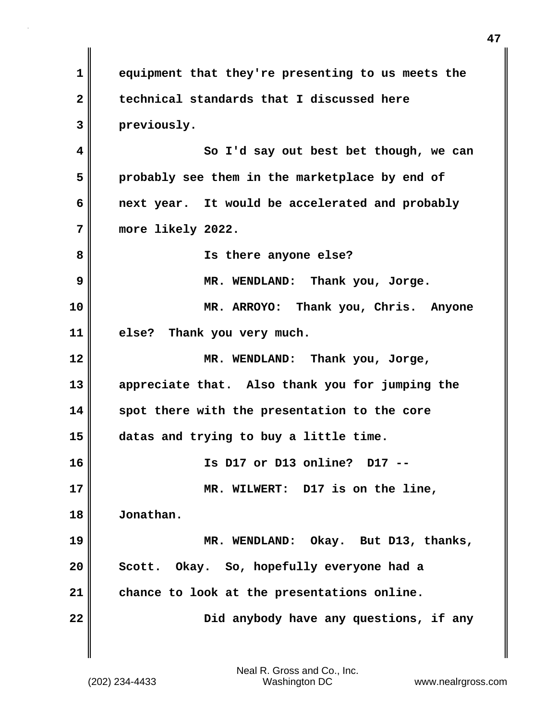**1 equipment that they're presenting to us meets the 2 technical standards that I discussed here 3 previously. 4 So I'd say out best bet though, we can 5 probably see them in the marketplace by end of 6 next year. It would be accelerated and probably 7 more likely 2022. 8 Is there anyone else? 9 MR. WENDLAND: Thank you, Jorge. 10 MR. ARROYO: Thank you, Chris. Anyone 11 else? Thank you very much. 12 MR. WENDLAND: Thank you, Jorge, 13 appreciate that. Also thank you for jumping the 14 spot there with the presentation to the core 15 datas and trying to buy a little time. 16 Is D17 or D13 online? D17 -- 17 MR. WILWERT: D17 is on the line, 18 Jonathan. 19 MR. WENDLAND: Okay. But D13, thanks, 20 Scott. Okay. So, hopefully everyone had a 21 chance to look at the presentations online. 22 Did anybody have any questions, if any**

**47**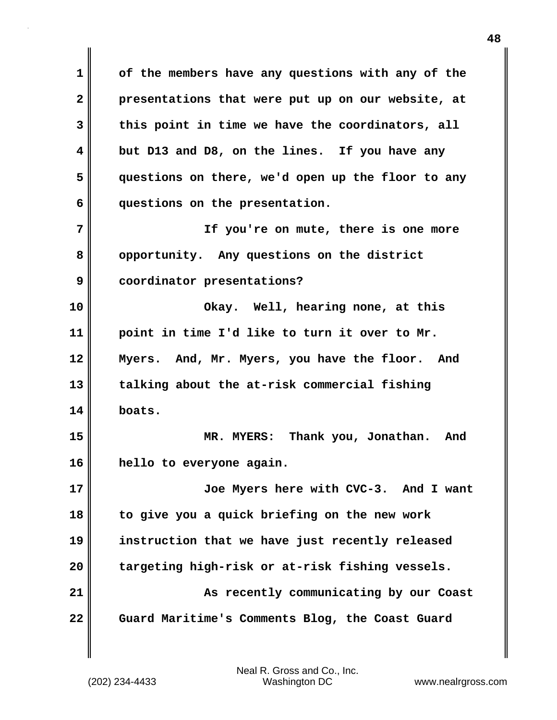**1 of the members have any questions with any of the 2 presentations that were put up on our website, at 3 this point in time we have the coordinators, all 4 but D13 and D8, on the lines. If you have any 5 questions on there, we'd open up the floor to any 6 questions on the presentation. 7 If you're on mute, there is one more 8 opportunity. Any questions on the district 9 coordinator presentations? 10 Okay. Well, hearing none, at this 11 point in time I'd like to turn it over to Mr. 12 Myers. And, Mr. Myers, you have the floor. And 13 talking about the at-risk commercial fishing 14 boats. 15 MR. MYERS: Thank you, Jonathan. And 16 hello to everyone again. 17 Joe Myers here with CVC-3. And I want 18 to give you a quick briefing on the new work 19 instruction that we have just recently released 20 targeting high-risk or at-risk fishing vessels. 21 As recently communicating by our Coast 22 Guard Maritime's Comments Blog, the Coast Guard**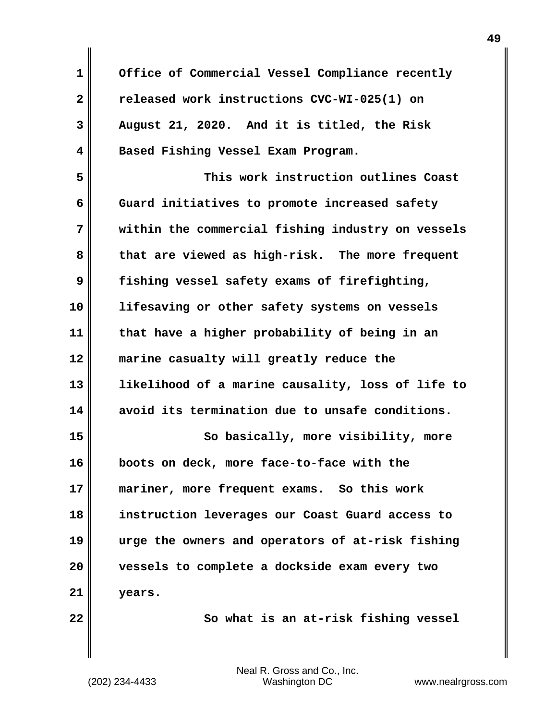| 1              | Office of Commercial Vessel Compliance recently   |
|----------------|---------------------------------------------------|
| $\overline{2}$ | released work instructions CVC-WI-025(1) on       |
| 3              | August 21, 2020. And it is titled, the Risk       |
| 4              | Based Fishing Vessel Exam Program.                |
| 5              | This work instruction outlines Coast              |
| 6              | Guard initiatives to promote increased safety     |
| 7              | within the commercial fishing industry on vessels |
| 8              | that are viewed as high-risk. The more frequent   |
| 9              | fishing vessel safety exams of firefighting,      |
| 10             | lifesaving or other safety systems on vessels     |
| 11             | that have a higher probability of being in an     |
| 12             | marine casualty will greatly reduce the           |
| 13             | likelihood of a marine causality, loss of life to |
| 14             | avoid its termination due to unsafe conditions.   |
| 15             | So basically, more visibility, more               |
| 16             | boots on deck, more face-to-face with the         |
| 17             | mariner, more frequent exams. So this work        |
| 18             | instruction leverages our Coast Guard access to   |
| 19             | urge the owners and operators of at-risk fishing  |
| 20             | vessels to complete a dockside exam every two     |
| 21             | years.                                            |
| 22             | So what is an at-risk fishing vessel              |
|                |                                                   |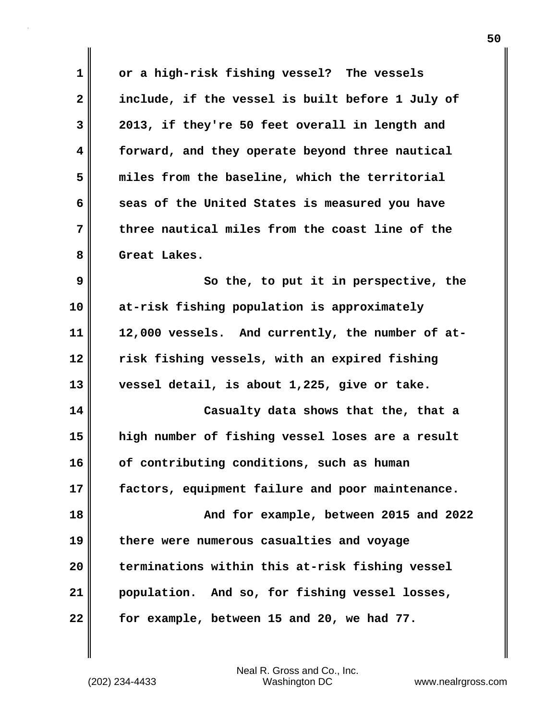| $\mathbf 1$             | or a high-risk fishing vessel? The vessels       |
|-------------------------|--------------------------------------------------|
| $\overline{\mathbf{2}}$ | include, if the vessel is built before 1 July of |
| 3                       | 2013, if they're 50 feet overall in length and   |
| $\overline{\mathbf{4}}$ | forward, and they operate beyond three nautical  |
| 5                       | miles from the baseline, which the territorial   |
| 6                       | seas of the United States is measured you have   |
| 7                       | three nautical miles from the coast line of the  |
| 8                       | Great Lakes.                                     |
| 9                       | So the, to put it in perspective, the            |
| 10                      | at-risk fishing population is approximately      |
| 11                      | 12,000 vessels. And currently, the number of at- |
| 12                      | risk fishing vessels, with an expired fishing    |
| 13                      | vessel detail, is about 1,225, give or take.     |
| 14                      | Casualty data shows that the, that a             |
| 15                      | high number of fishing vessel loses are a result |
| 16                      | of contributing conditions, such as human        |
| 17                      | factors, equipment failure and poor maintenance. |
| 18                      | And for example, between 2015 and 2022           |
| 19                      | there were numerous casualties and voyage        |
| 20                      | terminations within this at-risk fishing vessel  |
| 21                      | population. And so, for fishing vessel losses,   |
| 22                      | for example, between 15 and 20, we had 77.       |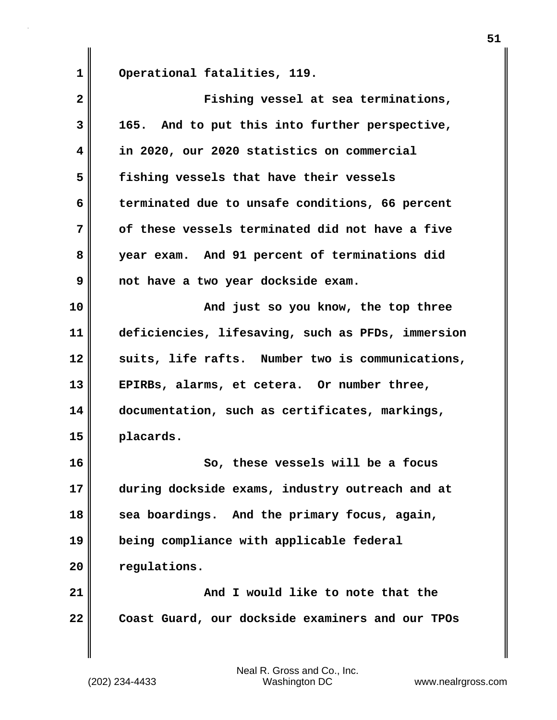**1 Operational fatalities, 119.**

| $\overline{\mathbf{2}}$ | Fishing vessel at sea terminations,               |
|-------------------------|---------------------------------------------------|
| 3                       | 165. And to put this into further perspective,    |
| 4                       | in 2020, our 2020 statistics on commercial        |
| 5                       | fishing vessels that have their vessels           |
| 6                       | terminated due to unsafe conditions, 66 percent   |
| 7                       | of these vessels terminated did not have a five   |
| 8                       | year exam. And 91 percent of terminations did     |
| 9                       | not have a two year dockside exam.                |
| 10                      | And just so you know, the top three               |
| 11                      | deficiencies, lifesaving, such as PFDs, immersion |
| 12                      | suits, life rafts. Number two is communications,  |
| 13                      | EPIRBs, alarms, et cetera. Or number three,       |
| 14                      | documentation, such as certificates, markings,    |
| 15                      | placards.                                         |
| 16                      | So, these vessels will be a focus                 |
| 17                      | during dockside exams, industry outreach and at   |
| 18                      | sea boardings. And the primary focus, again,      |
| 19                      | being compliance with applicable federal          |
| 20                      | regulations.                                      |
| 21                      | And I would like to note that the                 |
| 22                      | Coast Guard, our dockside examiners and our TPOs  |
|                         |                                                   |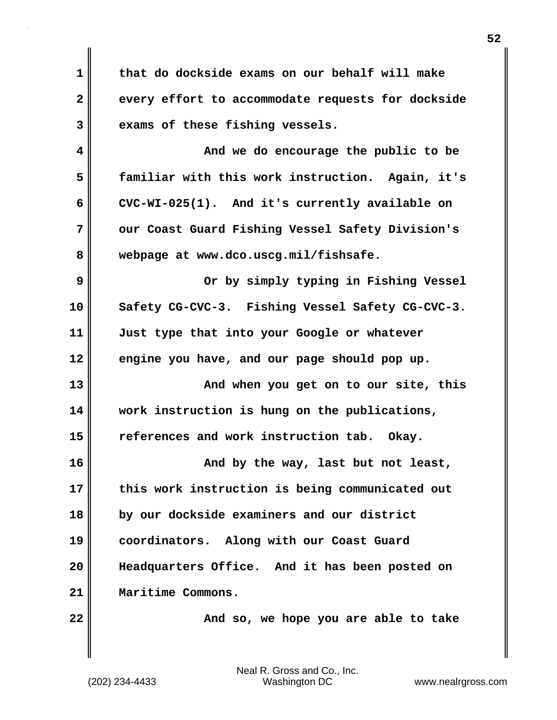**1 that do dockside exams on our behalf will make** 2 every effort to accommodate requests for dockside **3 exams of these fishing vessels.**

**4 And we do encourage the public to be 5 familiar with this work instruction. Again, it's 6 CVC-WI-025(1). And it's currently available on 7 our Coast Guard Fishing Vessel Safety Division's 8 webpage at www.dco.uscg.mil/fishsafe.**

**9 Or by simply typing in Fishing Vessel 10 Safety CG-CVC-3. Fishing Vessel Safety CG-CVC-3. 11 Just type that into your Google or whatever 12 engine you have, and our page should pop up.**

**13 And when you get on to our site, this 14 work instruction is hung on the publications, 15 references and work instruction tab. Okay.**

**16 And by the way, last but not least, 17 this work instruction is being communicated out 18 by our dockside examiners and our district 19 coordinators. Along with our Coast Guard 20 Headquarters Office. And it has been posted on 21 Maritime Commons.**

**22**  $\parallel$  **22 And so, we hope you are able to take**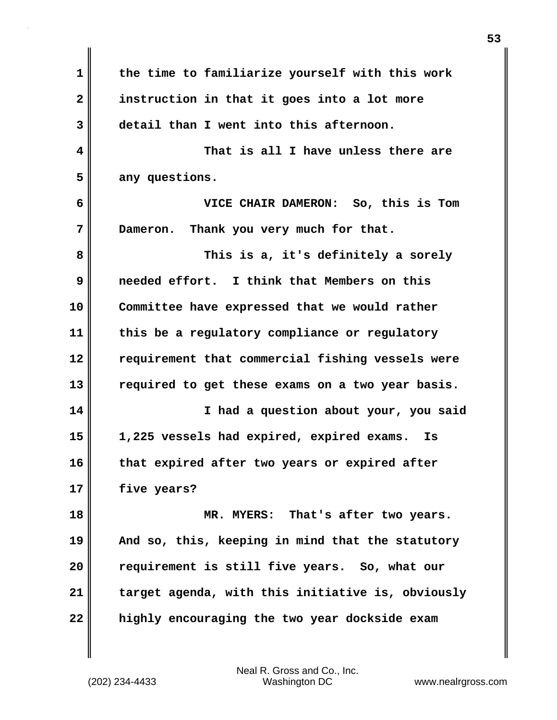| $\mathbf 1$  | the time to familiarize yourself with this work   |
|--------------|---------------------------------------------------|
| $\mathbf{2}$ | instruction in that it goes into a lot more       |
| 3            | detail than I went into this afternoon.           |
| 4            | That is all I have unless there are               |
| 5            | any questions.                                    |
| 6            | VICE CHAIR DAMERON: So, this is Tom               |
| 7            | Thank you very much for that.<br>Dameron.         |
| 8            | This is a, it's definitely a sorely               |
| 9            | needed effort. I think that Members on this       |
| 10           | Committee have expressed that we would rather     |
| 11           | this be a regulatory compliance or regulatory     |
| 12           | requirement that commercial fishing vessels were  |
| 13           | required to get these exams on a two year basis.  |
| 14           | I had a question about your, you said             |
| 15           | 1,225 vessels had expired, expired exams.<br>Is   |
| 16           | that expired after two years or expired after     |
| 17           | five years?                                       |
| 18           | MR. MYERS: That's after two years.                |
| 19           | And so, this, keeping in mind that the statutory  |
| 20           | requirement is still five years. So, what our     |
| 21           | target agenda, with this initiative is, obviously |
| 22           | highly encouraging the two year dockside exam     |
|              |                                                   |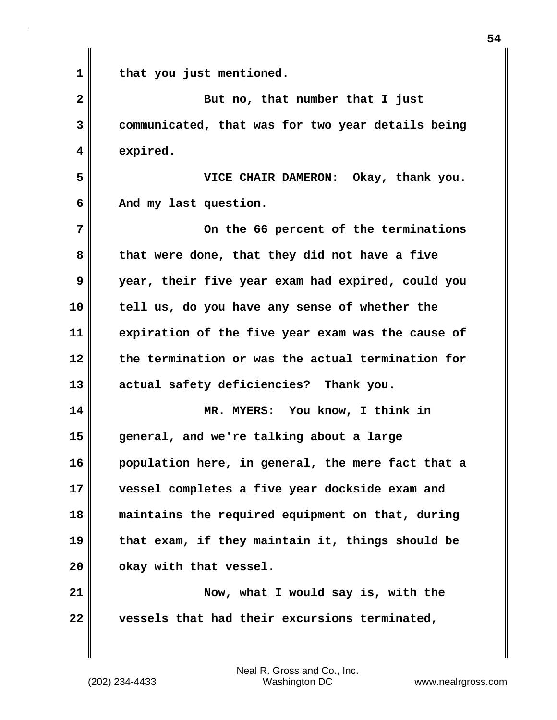**1 that you just mentioned. 2** But no, that number that I just **3 communicated, that was for two year details being 4 expired. 5 VICE CHAIR DAMERON: Okay, thank you. 6 And my last question. 7 On the 66 percent of the terminations 8 that were done, that they did not have a five 9 year, their five year exam had expired, could you 10 tell us, do you have any sense of whether the 11 expiration of the five year exam was the cause of 12 the termination or was the actual termination for 13 actual safety deficiencies? Thank you. 14 MR. MYERS: You know, I think in 15 general, and we're talking about a large 16 population here, in general, the mere fact that a 17 vessel completes a five year dockside exam and 18 maintains the required equipment on that, during 19 that exam, if they maintain it, things should be 20 okay with that vessel. 21** Now, what I would say is, with the **22 vessels that had their excursions terminated,**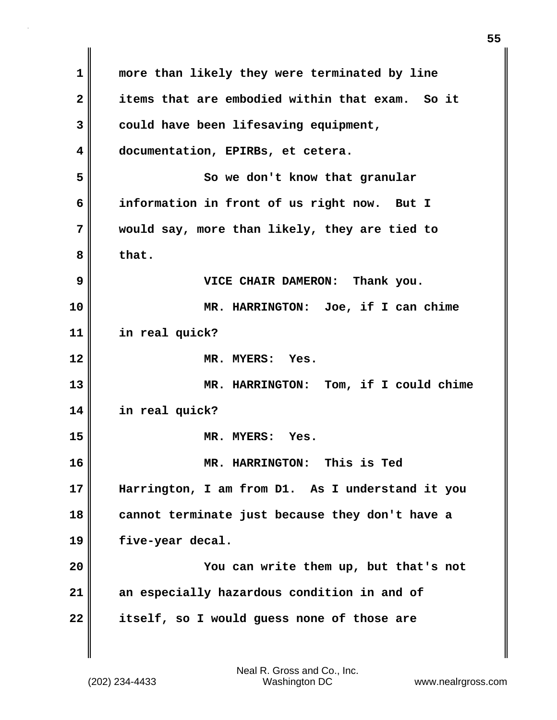| 1            | more than likely they were terminated by line    |
|--------------|--------------------------------------------------|
| $\mathbf{2}$ | items that are embodied within that exam. So it  |
| 3            | could have been lifesaving equipment,            |
| 4            | documentation, EPIRBs, et cetera.                |
| 5            | So we don't know that granular                   |
| 6            | information in front of us right now. But I      |
| 7            | would say, more than likely, they are tied to    |
| 8            | that.                                            |
| 9            | VICE CHAIR DAMERON: Thank you.                   |
| 10           | MR. HARRINGTON: Joe, if I can chime              |
| 11           | in real quick?                                   |
| 12           | MR. MYERS: Yes.                                  |
| 13           | MR. HARRINGTON: Tom, if I could chime            |
| 14           | in real quick?                                   |
| 15           | MR. MYERS: Yes.                                  |
| 16           | <b>MR. HARRINGTON:</b><br>This is Ted            |
| 17           | Harrington, I am from D1. As I understand it you |
| 18           | cannot terminate just because they don't have a  |
| 19           | five-year decal.                                 |
| 20           | You can write them up, but that's not            |
| 21           | an especially hazardous condition in and of      |
| 22           | itself, so I would guess none of those are       |
|              |                                                  |

 $\mathbf{I}$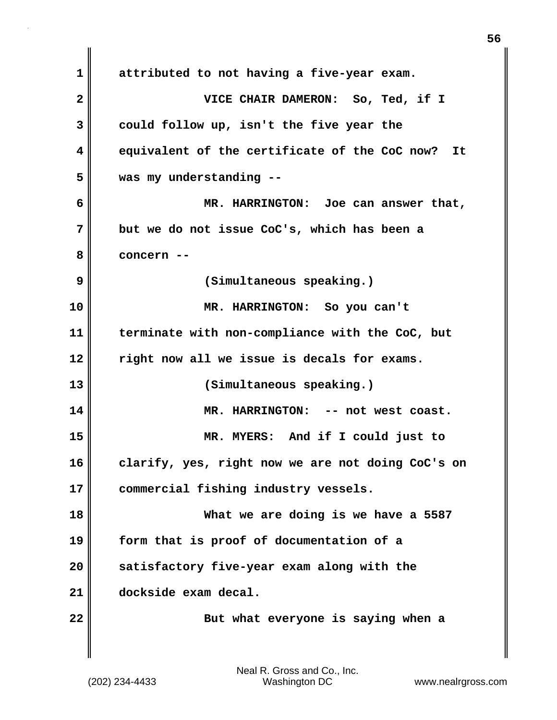**1 attributed to not having a five-year exam. 2 VICE CHAIR DAMERON: So, Ted, if I 3 could follow up, isn't the five year the 4 equivalent of the certificate of the CoC now? It 5 was my understanding -- 6 MR. HARRINGTON: Joe can answer that, 7 but we do not issue CoC's, which has been a 8 concern -- 9 (Simultaneous speaking.) 10 MR. HARRINGTON: So you can't 11 terminate with non-compliance with the CoC, but 12 right now all we issue is decals for exams. 13 (Simultaneous speaking.) 14 MR. HARRINGTON: -- not west coast. 15 MR. MYERS: And if I could just to 16 clarify, yes, right now we are not doing CoC's on 17 commercial fishing industry vessels. 18 What we are doing is we have a 5587 19 form that is proof of documentation of a 20 satisfactory five-year exam along with the 21 dockside exam decal. 22 But what everyone is saying when a**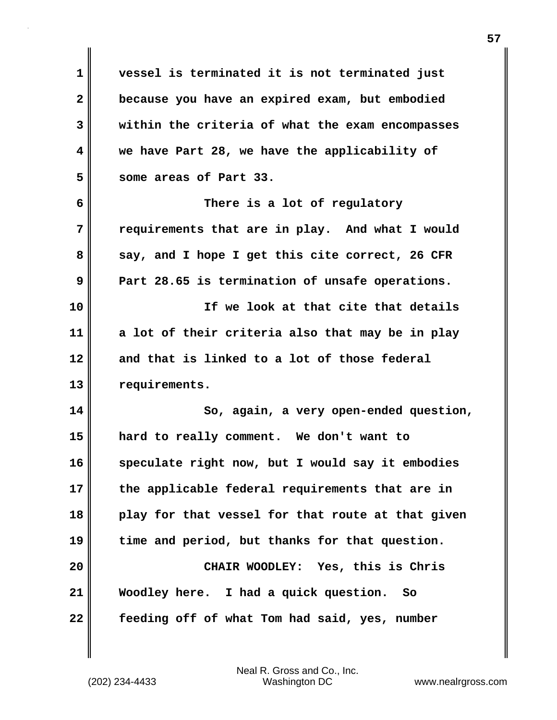**1 vessel is terminated it is not terminated just 2 because you have an expired exam, but embodied 3 within the criteria of what the exam encompasses 4 we have Part 28, we have the applicability of 5 some areas of Part 33. 6 There is a lot of regulatory 7 requirements that are in play. And what I would 8 say, and I hope I get this cite correct, 26 CFR 9 Part 28.65 is termination of unsafe operations. 10 If we look at that cite that details 11 a lot of their criteria also that may be in play 12 and that is linked to a lot of those federal 13 requirements. 14 So, again, a very open-ended question, 15 hard to really comment. We don't want to 16 speculate right now, but I would say it embodies 17 the applicable federal requirements that are in 18 play for that vessel for that route at that given 19 time and period, but thanks for that question. 20 CHAIR WOODLEY: Yes, this is Chris 21 Woodley here. I had a quick question. So 22 feeding off of what Tom had said, yes, number**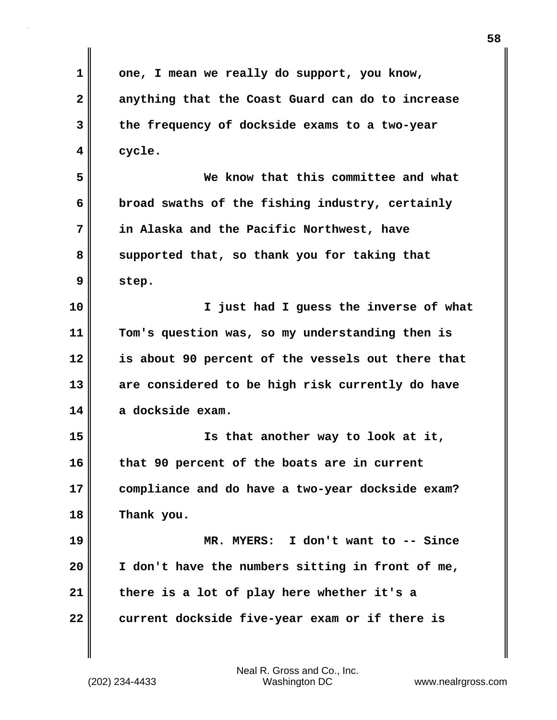**1 one, I mean we really do support, you know, 2 anything that the Coast Guard can do to increase 3 the frequency of dockside exams to a two-year 4 cycle. 5 We know that this committee and what 6 broad swaths of the fishing industry, certainly 7 in Alaska and the Pacific Northwest, have 8 supported that, so thank you for taking that 9 step. 10 I just had I guess the inverse of what 11 Tom's question was, so my understanding then is 12 is about 90 percent of the vessels out there that 13 are considered to be high risk currently do have 14 a dockside exam. 15 Is that another way to look at it, 16 that 90 percent of the boats are in current 17 compliance and do have a two-year dockside exam? 18 Thank you. 19 MR. MYERS: I don't want to -- Since 20 I don't have the numbers sitting in front of me, 21 there is a lot of play here whether it's a 22 current dockside five-year exam or if there is**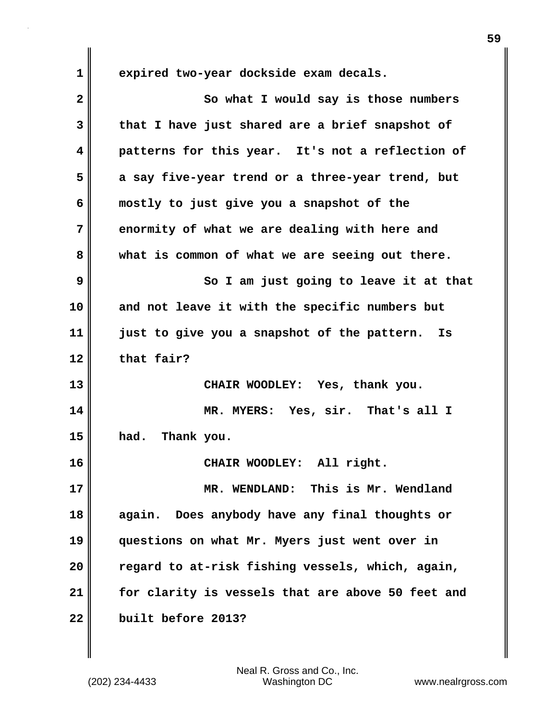**1 expired two-year dockside exam decals.**

**2** So what I would say is those numbers **3 that I have just shared are a brief snapshot of 4 patterns for this year. It's not a reflection of 5 a say five-year trend or a three-year trend, but 6 mostly to just give you a snapshot of the 7 enormity of what we are dealing with here and 8 what is common of what we are seeing out there. 9** So I am just going to leave it at that **10 and not leave it with the specific numbers but 11 just to give you a snapshot of the pattern. Is 12 that fair? 13 CHAIR WOODLEY: Yes, thank you. 14 MR. MYERS: Yes, sir. That's all I 15 had. Thank you. 16 CHAIR WOODLEY: All right. 17 MR. WENDLAND: This is Mr. Wendland 18 again. Does anybody have any final thoughts or 19 questions on what Mr. Myers just went over in 20 regard to at-risk fishing vessels, which, again, 21 for clarity is vessels that are above 50 feet and 22 built before 2013?**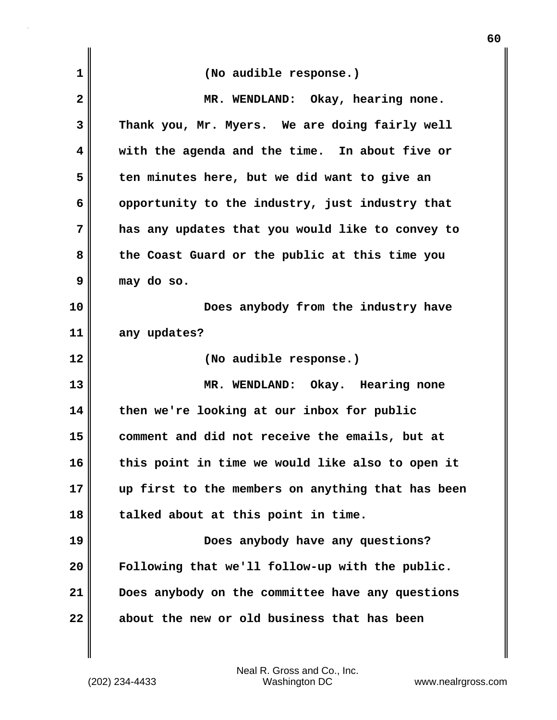| $\mathbf 1$  | (No audible response.)                            |
|--------------|---------------------------------------------------|
| $\mathbf{2}$ | MR. WENDLAND: Okay, hearing none.                 |
| 3            | Thank you, Mr. Myers. We are doing fairly well    |
| 4            | with the agenda and the time. In about five or    |
| 5            | ten minutes here, but we did want to give an      |
| 6            | opportunity to the industry, just industry that   |
| 7            | has any updates that you would like to convey to  |
| 8            | the Coast Guard or the public at this time you    |
| 9            | may do so.                                        |
| 10           | Does anybody from the industry have               |
| 11           | any updates?                                      |
| 12           | (No audible response.)                            |
| 13           | MR. WENDLAND: Okay. Hearing none                  |
| 14           | then we're looking at our inbox for public        |
| 15           | comment and did not receive the emails, but at    |
| 16           | this point in time we would like also to open it  |
| 17           | up first to the members on anything that has been |
| 18           | talked about at this point in time.               |
| 19           | Does anybody have any questions?                  |
| 20           | Following that we'll follow-up with the public.   |
| 21           | Does anybody on the committee have any questions  |
| 22           | about the new or old business that has been       |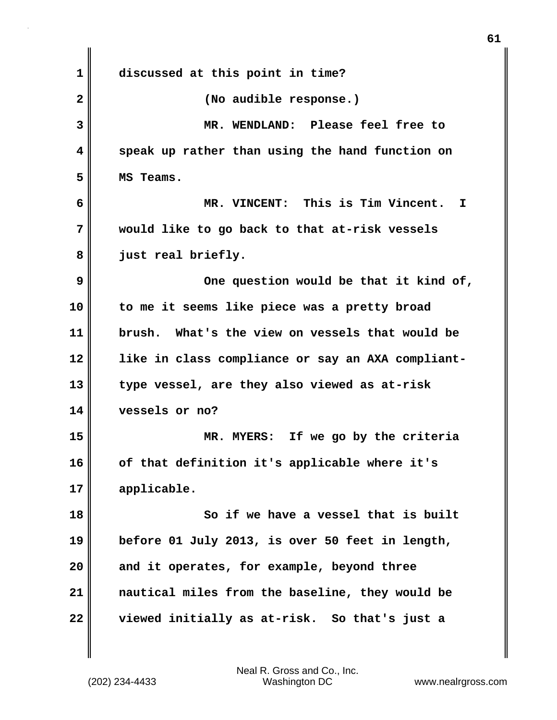| 1            | discussed at this point in time?                  |
|--------------|---------------------------------------------------|
| $\mathbf{2}$ | (No audible response.)                            |
| 3            | MR. WENDLAND: Please feel free to                 |
| 4            | speak up rather than using the hand function on   |
| 5            | MS Teams.                                         |
| 6            | MR. VINCENT: This is Tim Vincent.<br>I            |
| 7            | would like to go back to that at-risk vessels     |
| 8            | just real briefly.                                |
| 9            | One question would be that it kind of,            |
| 10           | to me it seems like piece was a pretty broad      |
| 11           | brush. What's the view on vessels that would be   |
| 12           | like in class compliance or say an AXA compliant- |
| 13           | type vessel, are they also viewed as at-risk      |
| 14           | vessels or no?                                    |
| 15           | MR. MYERS: If we go by the criteria               |
| 16           | of that definition it's applicable where it's     |
| 17           | applicable.                                       |
| 18           | So if we have a vessel that is built              |
| 19           | before 01 July 2013, is over 50 feet in length,   |
| 20           | and it operates, for example, beyond three        |
| 21           | nautical miles from the baseline, they would be   |
| 22           | viewed initially as at-risk. So that's just a     |
|              |                                                   |

**61**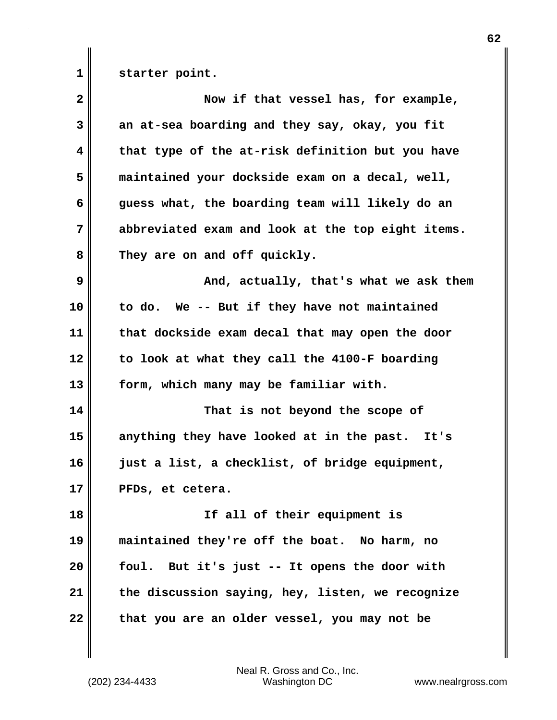**1 starter point.**

| $\overline{\mathbf{2}}$ | Now if that vessel has, for example,              |
|-------------------------|---------------------------------------------------|
| 3                       | an at-sea boarding and they say, okay, you fit    |
| 4                       | that type of the at-risk definition but you have  |
| 5                       | maintained your dockside exam on a decal, well,   |
| 6                       | guess what, the boarding team will likely do an   |
| 7                       | abbreviated exam and look at the top eight items. |
| 8                       | They are on and off quickly.                      |
| 9                       | And, actually, that's what we ask them            |
| 10                      | to do. We -- But if they have not maintained      |
| 11                      | that dockside exam decal that may open the door   |
| 12                      | to look at what they call the 4100-F boarding     |
| 13                      | form, which many may be familiar with.            |
| 14                      | That is not beyond the scope of                   |
| 15                      | anything they have looked at in the past. It's    |
| 16                      | just a list, a checklist, of bridge equipment,    |
| 17                      | PFDs, et cetera.                                  |
| 18                      | If all of their equipment is                      |
| 19                      | maintained they're off the boat. No harm, no      |
| 20                      | foul.<br>But it's just -- It opens the door with  |
| 21                      | the discussion saying, hey, listen, we recognize  |
| 22                      | that you are an older vessel, you may not be      |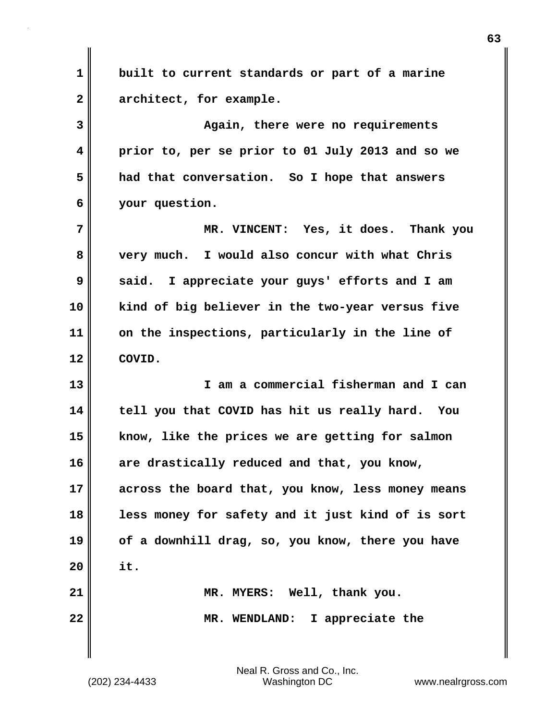**1 built to current standards or part of a marine 2 architect, for example. 3 Again, there were no requirements 4 prior to, per se prior to 01 July 2013 and so we 5 had that conversation. So I hope that answers 6 your question. 7 MR. VINCENT: Yes, it does. Thank you 8 very much. I would also concur with what Chris 9 said. I appreciate your guys' efforts and I am 10 kind of big believer in the two-year versus five 11 on the inspections, particularly in the line of 12 COVID. 13 I am a commercial fisherman and I can 14 tell you that COVID has hit us really hard. You 15 know, like the prices we are getting for salmon 16 are drastically reduced and that, you know, 17 across the board that, you know, less money means 18 less money for safety and it just kind of is sort 19 of a downhill drag, so, you know, there you have 20 it. 21 MR. MYERS: Well, thank you. 22 MR. WENDLAND: I appreciate the**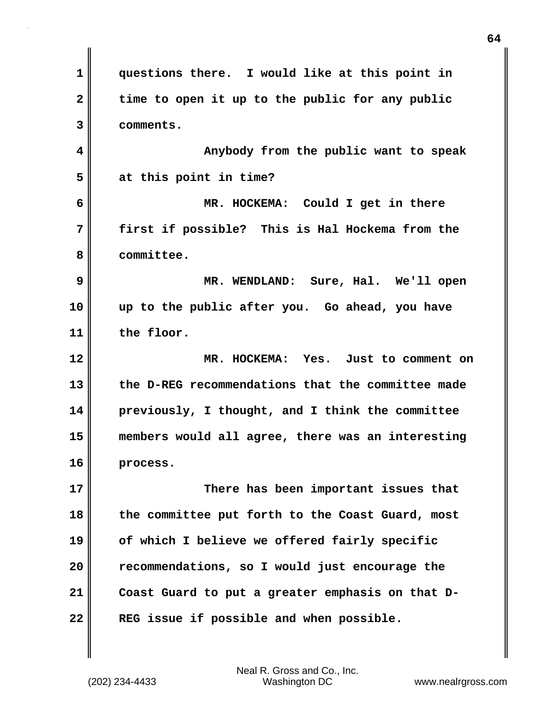**1 questions there. I would like at this point in 2 time to open it up to the public for any public 3 comments. 4 Anybody from the public want to speak 5 at this point in time? 6 MR. HOCKEMA: Could I get in there 7 first if possible? This is Hal Hockema from the 8 committee. 9 MR. WENDLAND: Sure, Hal. We'll open 10 up to the public after you. Go ahead, you have 11 the floor. 12 MR. HOCKEMA: Yes. Just to comment on 13 the D-REG recommendations that the committee made 14 previously, I thought, and I think the committee 15 members would all agree, there was an interesting 16 process. 17 There has been important issues that 18 the committee put forth to the Coast Guard, most 19 of which I believe we offered fairly specific 20 recommendations, so I would just encourage the 21 Coast Guard to put a greater emphasis on that D-22 REG issue if possible and when possible.**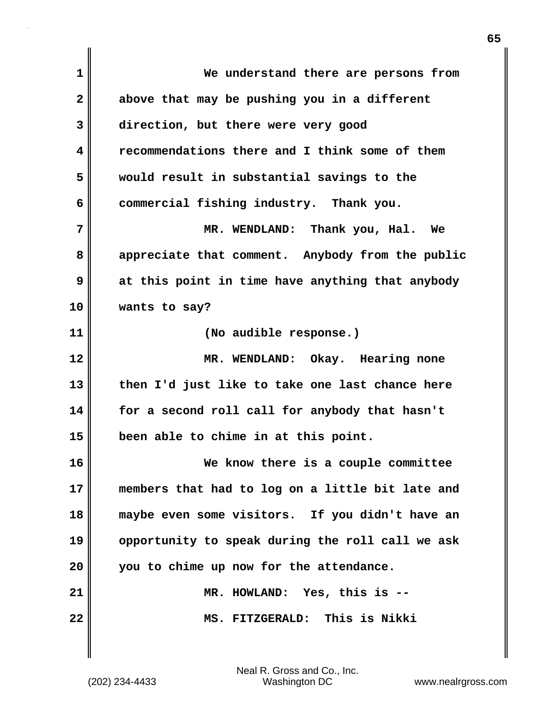| 1                       | We understand there are persons from             |
|-------------------------|--------------------------------------------------|
| $\overline{\mathbf{2}}$ | above that may be pushing you in a different     |
| 3                       | direction, but there were very good              |
| 4                       | recommendations there and I think some of them   |
| 5                       | would result in substantial savings to the       |
| 6                       | commercial fishing industry. Thank you.          |
| 7                       | MR. WENDLAND: Thank you, Hal. We                 |
| 8                       | appreciate that comment. Anybody from the public |
| 9                       | at this point in time have anything that anybody |
| 10                      | wants to say?                                    |
| 11                      | (No audible response.)                           |
| 12                      | MR. WENDLAND: Okay. Hearing none                 |
| 13                      | then I'd just like to take one last chance here  |
| 14                      | for a second roll call for anybody that hasn't   |
| 15                      | been able to chime in at this point.             |
| 16                      | We know there is a couple committee              |
| 17                      | members that had to log on a little bit late and |
| 18                      | maybe even some visitors. If you didn't have an  |
| 19                      | opportunity to speak during the roll call we ask |
| 20                      | you to chime up now for the attendance.          |
| 21                      | MR. HOWLAND: Yes, this is --                     |
| 22                      | MS. FITZGERALD: This is Nikki                    |
|                         |                                                  |

 $\mathbf{I}$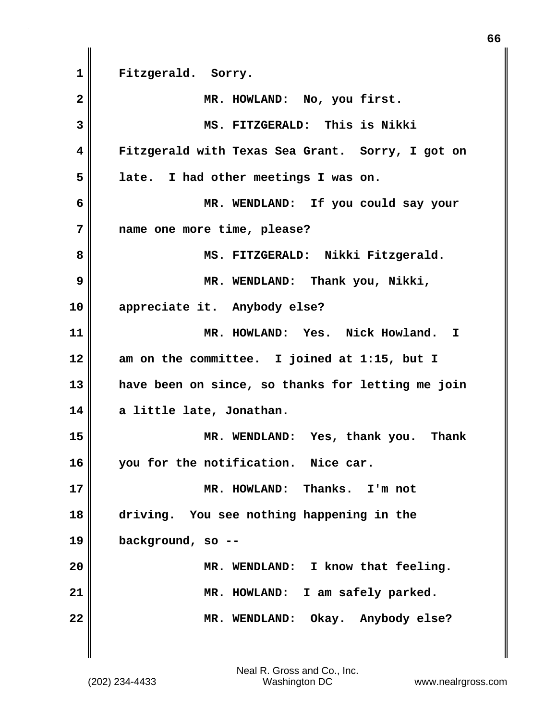**1 Fitzgerald. Sorry. 2 MR. HOWLAND: No, you first. 3 MS. FITZGERALD: This is Nikki 4 Fitzgerald with Texas Sea Grant. Sorry, I got on 5 late. I had other meetings I was on. 6 MR. WENDLAND: If you could say your 7 name one more time, please?** 8 || MS. FITZGERALD: Nikki Fitzgerald. **9 MR. WENDLAND: Thank you, Nikki, 10 appreciate it. Anybody else? 11 MR. HOWLAND: Yes. Nick Howland. I 12 am on the committee. I joined at 1:15, but I 13 have been on since, so thanks for letting me join 14 a little late, Jonathan. 15 MR. WENDLAND: Yes, thank you. Thank 16 you for the notification. Nice car. 17 MR. HOWLAND: Thanks. I'm not 18 driving. You see nothing happening in the 19 background, so -- 20 MR. WENDLAND: I know that feeling. 21 MR. HOWLAND: I am safely parked. 22 MR. WENDLAND: Okay. Anybody else?** 

**66**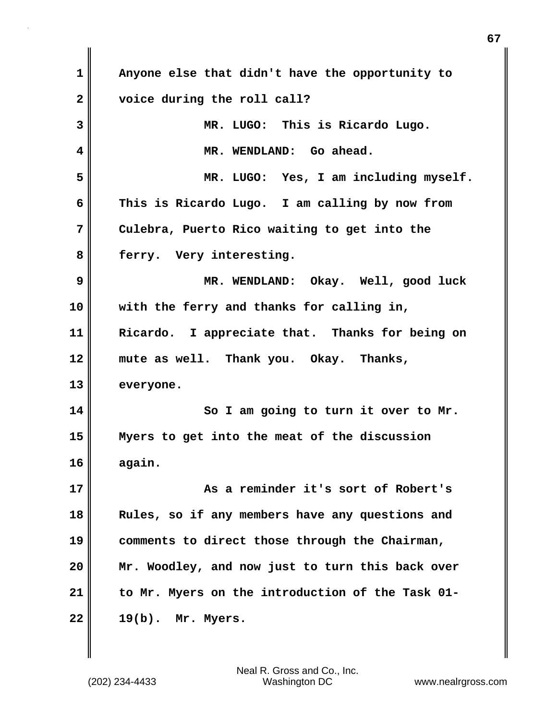| 1            | Anyone else that didn't have the opportunity to  |
|--------------|--------------------------------------------------|
| $\mathbf{2}$ | voice during the roll call?                      |
| 3            | MR. LUGO: This is Ricardo Lugo.                  |
| 4            | MR. WENDLAND: Go ahead.                          |
| 5            | MR. LUGO: Yes, I am including myself.            |
| 6            | This is Ricardo Lugo. I am calling by now from   |
| 7            | Culebra, Puerto Rico waiting to get into the     |
| 8            | ferry. Very interesting.                         |
| 9            | MR. WENDLAND: Okay. Well, good luck              |
| 10           | with the ferry and thanks for calling in,        |
| 11           | Ricardo. I appreciate that. Thanks for being on  |
| 12           | mute as well. Thank you. Okay. Thanks,           |
| 13           | everyone.                                        |
| 14           | So I am going to turn it over to Mr.             |
| 15           | Myers to get into the meat of the discussion     |
| 16           | again.                                           |
| 17           | As a reminder it's sort of Robert's              |
| 18           | Rules, so if any members have any questions and  |
| 19           | comments to direct those through the Chairman,   |
| 20           | Mr. Woodley, and now just to turn this back over |
|              |                                                  |
| 21           | to Mr. Myers on the introduction of the Task 01- |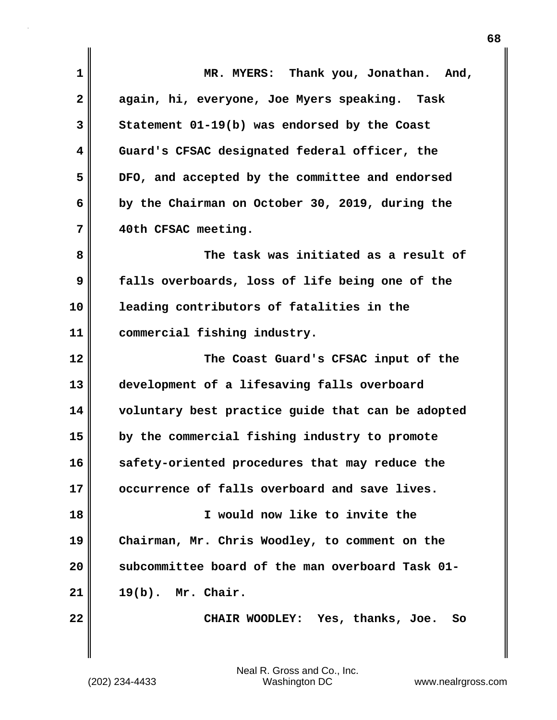| 1            | MR. MYERS: Thank you, Jonathan. And,              |
|--------------|---------------------------------------------------|
| $\mathbf{2}$ | again, hi, everyone, Joe Myers speaking. Task     |
| 3            | Statement 01-19(b) was endorsed by the Coast      |
| 4            | Guard's CFSAC designated federal officer, the     |
| 5            | DFO, and accepted by the committee and endorsed   |
| 6            | by the Chairman on October 30, 2019, during the   |
| 7            | 40th CFSAC meeting.                               |
| 8            | The task was initiated as a result of             |
| 9            | falls overboards, loss of life being one of the   |
| 10           | leading contributors of fatalities in the         |
| 11           | commercial fishing industry.                      |
| 12           | The Coast Guard's CFSAC input of the              |
| 13           | development of a lifesaving falls overboard       |
| 14           | voluntary best practice guide that can be adopted |
| 15           | by the commercial fishing industry to promote     |
| 16           | safety-oriented procedures that may reduce the    |
| 17           | occurrence of falls overboard and save lives.     |
| 18           | I would now like to invite the                    |
| 19           | Chairman, Mr. Chris Woodley, to comment on the    |
| 20           | subcommittee board of the man overboard Task 01-  |
| 21           | $19(b)$ . Mr. Chair.                              |
| 22           | CHAIR WOODLEY: Yes, thanks, Joe.<br>So            |
|              |                                                   |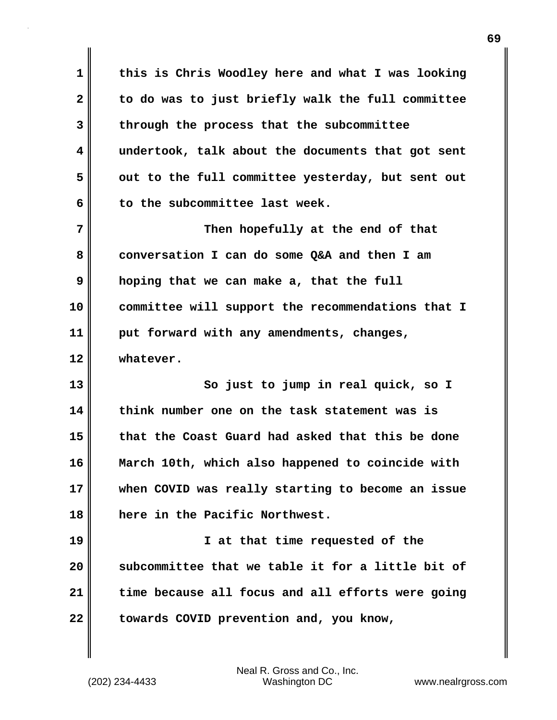**1 this is Chris Woodley here and what I was looking 2 to do was to just briefly walk the full committee 3 through the process that the subcommittee 4 undertook, talk about the documents that got sent 5 out to the full committee yesterday, but sent out 6 to the subcommittee last week. 7** Then hopefully at the end of that

**8 conversation I can do some Q&A and then I am 9 hoping that we can make a, that the full 10 committee will support the recommendations that I 11 put forward with any amendments, changes, 12 whatever.**

**13 So just to jump in real quick, so I 14 think number one on the task statement was is 15 that the Coast Guard had asked that this be done 16 March 10th, which also happened to coincide with 17 when COVID was really starting to become an issue 18 here in the Pacific Northwest.**

**19 I at that time requested of the 20 subcommittee that we table it for a little bit of 21 time because all focus and all efforts were going** 22 **towards COVID prevention and, you know,**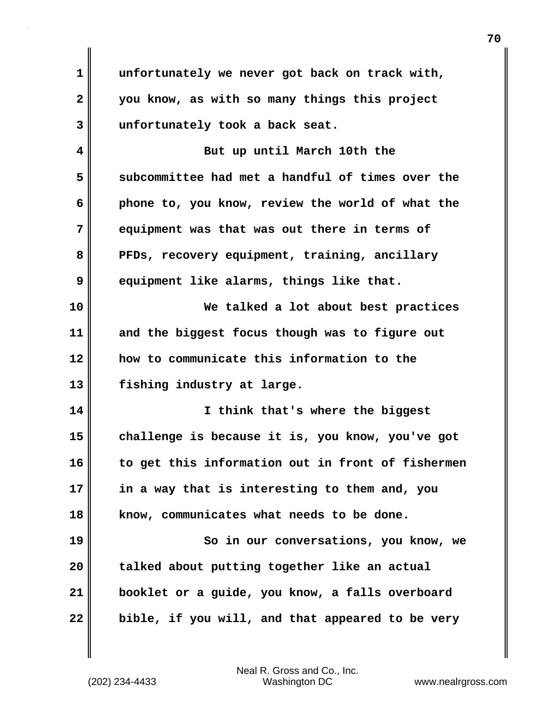**1 unfortunately we never got back on track with, 2 you know, as with so many things this project 3 unfortunately took a back seat.**

**4 But up until March 10th the 5 subcommittee had met a handful of times over the 6 phone to, you know, review the world of what the 7 equipment was that was out there in terms of** 8 **PFDs, recovery equipment, training, ancillary 9 equipment like alarms, things like that.**

**10 We talked a lot about best practices 11 and the biggest focus though was to figure out 12 how to communicate this information to the 13 fishing industry at large.**

**14 I think that's where the biggest 15 challenge is because it is, you know, you've got 16 to get this information out in front of fishermen 17 in a way that is interesting to them and, you 18 know, communicates what needs to be done. 19 So in our conversations, you know, we**

**20 talked about putting together like an actual 21 booklet or a guide, you know, a falls overboard 22 bible, if you will, and that appeared to be very**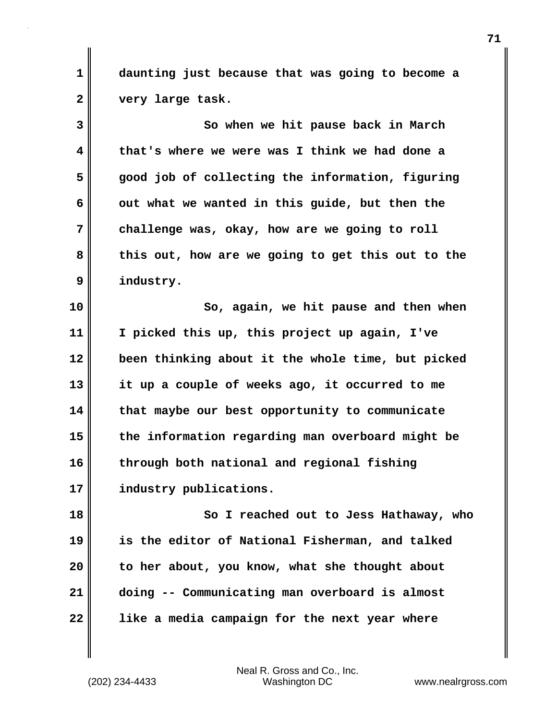**1 daunting just because that was going to become a 2 very large task.**

**3 So when we hit pause back in March 4 that's where we were was I think we had done a 5 good job of collecting the information, figuring 6 out what we wanted in this guide, but then the 7 challenge was, okay, how are we going to roll 8 this out, how are we going to get this out to the 9 industry.**

**10 So, again, we hit pause and then when 11 I picked this up, this project up again, I've 12 been thinking about it the whole time, but picked 13 it up a couple of weeks ago, it occurred to me 14 that maybe our best opportunity to communicate 15 the information regarding man overboard might be 16 through both national and regional fishing 17 industry publications.**

**18 So I reached out to Jess Hathaway, who 19 is the editor of National Fisherman, and talked 20 to her about, you know, what she thought about 21 doing -- Communicating man overboard is almost 22 like a media campaign for the next year where**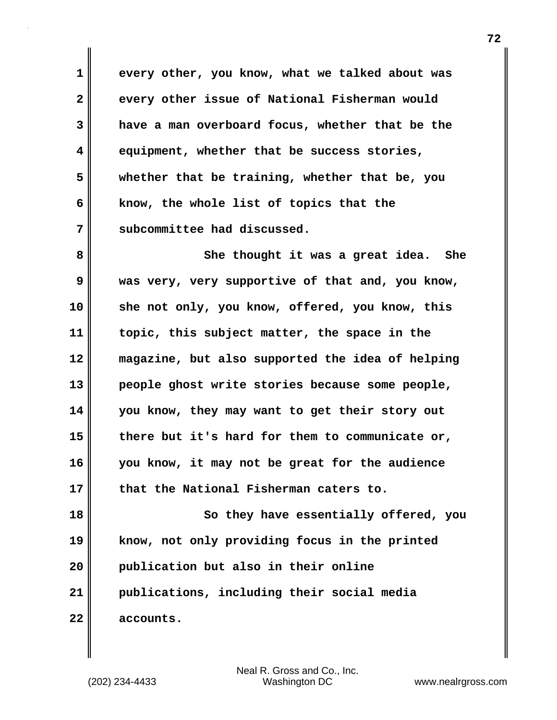**1 every other, you know, what we talked about was 2 every other issue of National Fisherman would 3 have a man overboard focus, whether that be the 4 equipment, whether that be success stories, 5 whether that be training, whether that be, you 6 know, the whole list of topics that the 7 subcommittee had discussed.**

**8** She thought it was a great idea. She **9 was very, very supportive of that and, you know, 10 she not only, you know, offered, you know, this 11 topic, this subject matter, the space in the 12 magazine, but also supported the idea of helping 13 people ghost write stories because some people, 14 you know, they may want to get their story out 15 there but it's hard for them to communicate or, 16 you know, it may not be great for the audience 17 that the National Fisherman caters to.**

**18** So they have essentially offered, you **19 know, not only providing focus in the printed 20 publication but also in their online 21 publications, including their social media 22 accounts.**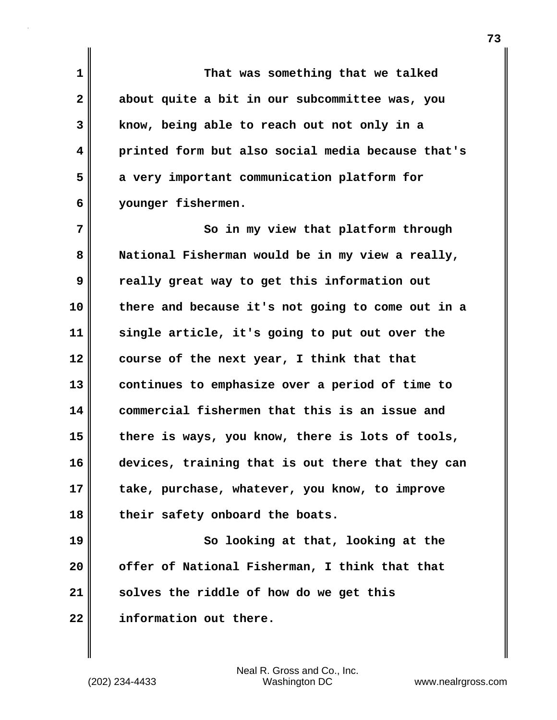**1 That was something that we talked 2 about quite a bit in our subcommittee was, you 3 know, being able to reach out not only in a 4 printed form but also social media because that's 5 a very important communication platform for 6 younger fishermen.**

**7** So in my view that platform through **8 National Fisherman would be in my view a really, 9 really great way to get this information out 10 there and because it's not going to come out in a 11 single article, it's going to put out over the 12 course of the next year, I think that that 13 continues to emphasize over a period of time to 14 commercial fishermen that this is an issue and 15 there is ways, you know, there is lots of tools, 16 devices, training that is out there that they can 17 take, purchase, whatever, you know, to improve 18 their safety onboard the boats.**

**19** So looking at that, looking at the **20 offer of National Fisherman, I think that that 21 solves the riddle of how do we get this 22 information out there.**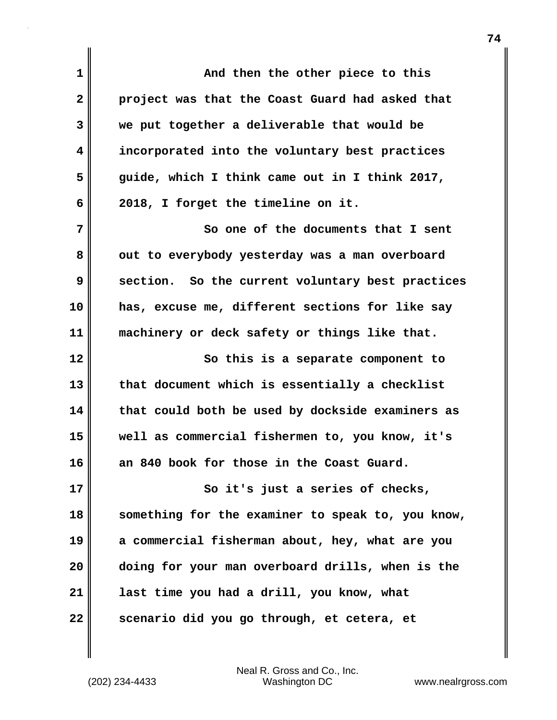**1 And then the other piece to this 2 project was that the Coast Guard had asked that 3 we put together a deliverable that would be 4 incorporated into the voluntary best practices 5 guide, which I think came out in I think 2017, 6 2018, I forget the timeline on it. 7** So one of the documents that I sent 8 out to everybody yesterday was a man overboard **9 section. So the current voluntary best practices 10 has, excuse me, different sections for like say 11 machinery or deck safety or things like that. 12 So this is a separate component to 13 that document which is essentially a checklist 14 that could both be used by dockside examiners as 15 well as commercial fishermen to, you know, it's 16 an 840 book for those in the Coast Guard. 17** So it's just a series of checks, **18 something for the examiner to speak to, you know, 19 a commercial fisherman about, hey, what are you 20 doing for your man overboard drills, when is the 21 last time you had a drill, you know, what 22 scenario did you go through, et cetera, et**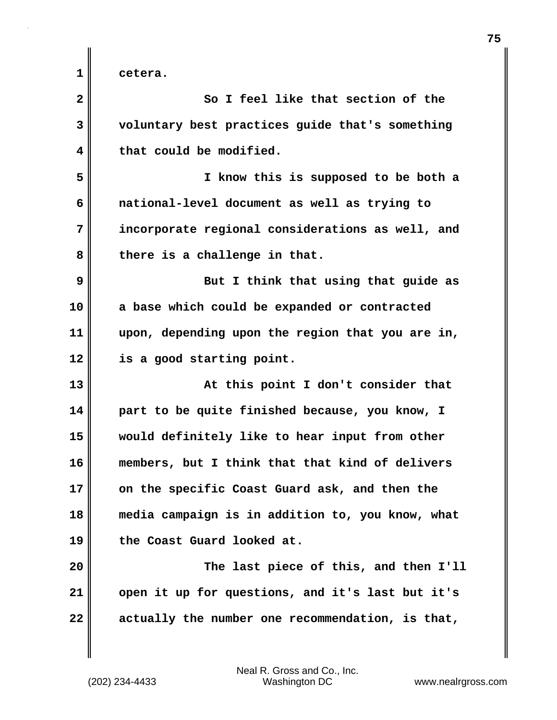**1 cetera.**

**2 So I feel like that section of the 3 voluntary best practices guide that's something 4 that could be modified. 5 I know this is supposed to be both a 6 national-level document as well as trying to 7 incorporate regional considerations as well, and 8 there is a challenge in that. 9 But I think that using that guide as 10 a base which could be expanded or contracted 11 upon, depending upon the region that you are in, 12 is a good starting point. 13 At this point I don't consider that 14 part to be quite finished because, you know, I 15 would definitely like to hear input from other 16 members, but I think that that kind of delivers 17 on the specific Coast Guard ask, and then the 18 media campaign is in addition to, you know, what 19 the Coast Guard looked at. 20 The last piece of this, and then I'll 21 open it up for questions, and it's last but it's 22 actually the number one recommendation, is that,**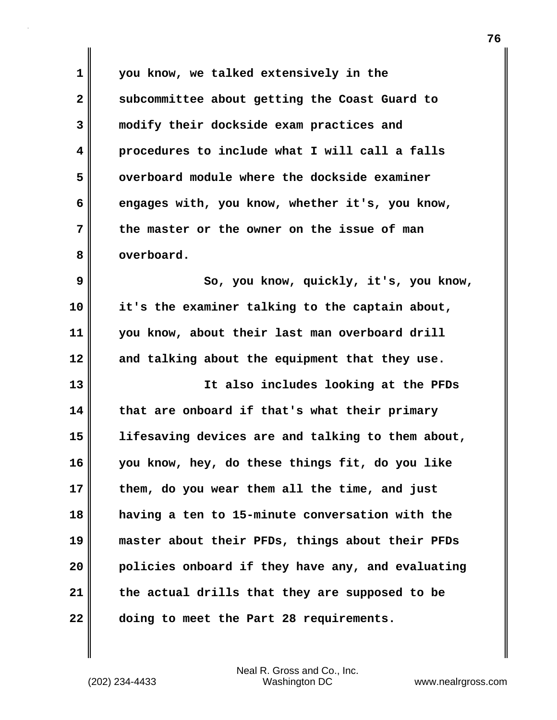**1 you know, we talked extensively in the 2 subcommittee about getting the Coast Guard to 3 modify their dockside exam practices and 4 procedures to include what I will call a falls 5 overboard module where the dockside examiner 6 engages with, you know, whether it's, you know, 7 the master or the owner on the issue of man 8 overboard. 9 So, you know, quickly, it's, you know, 10 it's the examiner talking to the captain about, 11 you know, about their last man overboard drill 12 and talking about the equipment that they use. 13 It also includes looking at the PFDs 14 that are onboard if that's what their primary 15 lifesaving devices are and talking to them about,**

**16 you know, hey, do these things fit, do you like 17 them, do you wear them all the time, and just 18 having a ten to 15-minute conversation with the 19 master about their PFDs, things about their PFDs 20 policies onboard if they have any, and evaluating 21 the actual drills that they are supposed to be 22 doing to meet the Part 28 requirements.**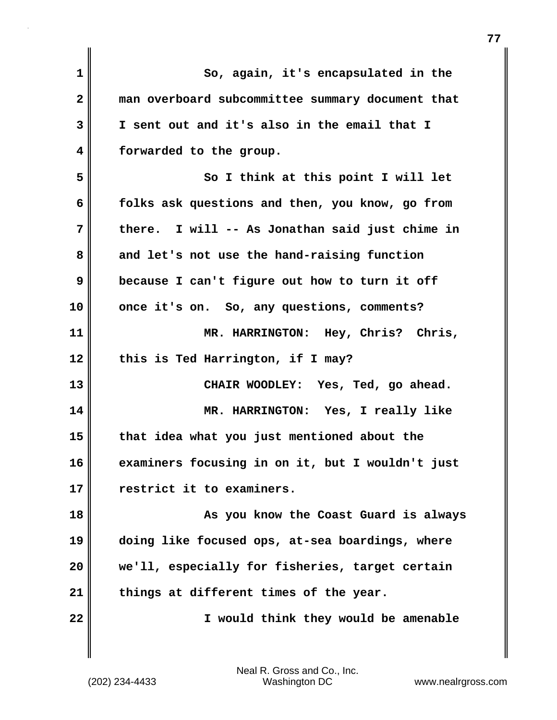| $\mathbf 1$  | So, again, it's encapsulated in the              |
|--------------|--------------------------------------------------|
| $\mathbf{2}$ | man overboard subcommittee summary document that |
| 3            | I sent out and it's also in the email that I     |
| 4            | forwarded to the group.                          |
| 5            | So I think at this point I will let              |
| 6            | folks ask questions and then, you know, go from  |
| 7            | there. I will -- As Jonathan said just chime in  |
| 8            | and let's not use the hand-raising function      |
| 9            | because I can't figure out how to turn it off    |
| 10           | once it's on. So, any questions, comments?       |
| 11           | MR. HARRINGTON: Hey, Chris? Chris,               |
| 12           | this is Ted Harrington, if I may?                |
| 13           | CHAIR WOODLEY: Yes, Ted, go ahead.               |
| 14           | MR. HARRINGTON: Yes, I really like               |
| 15           | that idea what you just mentioned about the      |
| 16           | examiners focusing in on it, but I wouldn't just |
| 17           | restrict it to examiners.                        |
| 18           | As you know the Coast Guard is always            |
| 19           | doing like focused ops, at-sea boardings, where  |
| 20           | we'll, especially for fisheries, target certain  |
| 21           | things at different times of the year.           |
| 22           | I would think they would be amenable             |
|              |                                                  |
|              |                                                  |

(202) 234-4433 Washington DC www.nealrgross.com Neal R. Gross and Co., Inc.

 $\mathbf{I}$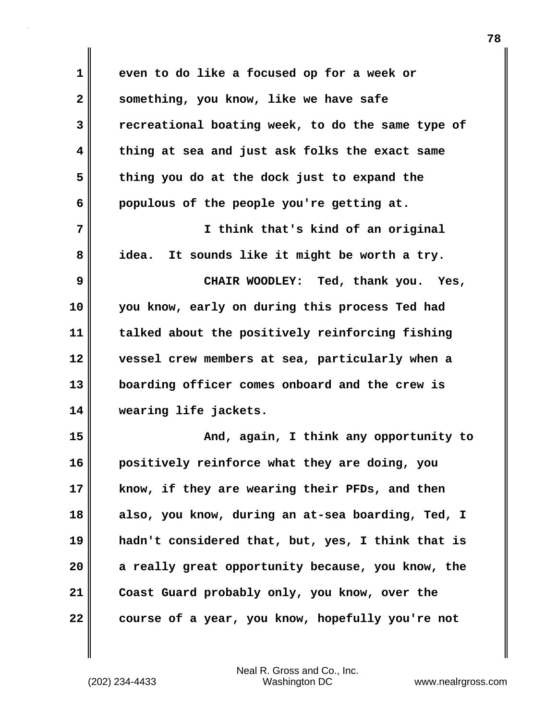| 1  | even to do like a focused op for a week or        |
|----|---------------------------------------------------|
| 2  | something, you know, like we have safe            |
| 3  | recreational boating week, to do the same type of |
| 4  | thing at sea and just ask folks the exact same    |
| 5  | thing you do at the dock just to expand the       |
| 6  | populous of the people you're getting at.         |
| 7  | I think that's kind of an original                |
| 8  | It sounds like it might be worth a try.<br>idea.  |
| 9  | CHAIR WOODLEY: Ted, thank you. Yes,               |
| 10 | you know, early on during this process Ted had    |
| 11 | talked about the positively reinforcing fishing   |
| 12 | vessel crew members at sea, particularly when a   |
| 13 | boarding officer comes onboard and the crew is    |
| 14 | wearing life jackets.                             |
| 15 | And, again, I think any opportunity to            |
| 16 | positively reinforce what they are doing, you     |
| 17 | know, if they are wearing their PFDs, and then    |
| 18 | also, you know, during an at-sea boarding, Ted, I |
| 19 | hadn't considered that, but, yes, I think that is |
| 20 | a really great opportunity because, you know, the |
| 21 | Coast Guard probably only, you know, over the     |
| 22 | course of a year, you know, hopefully you're not  |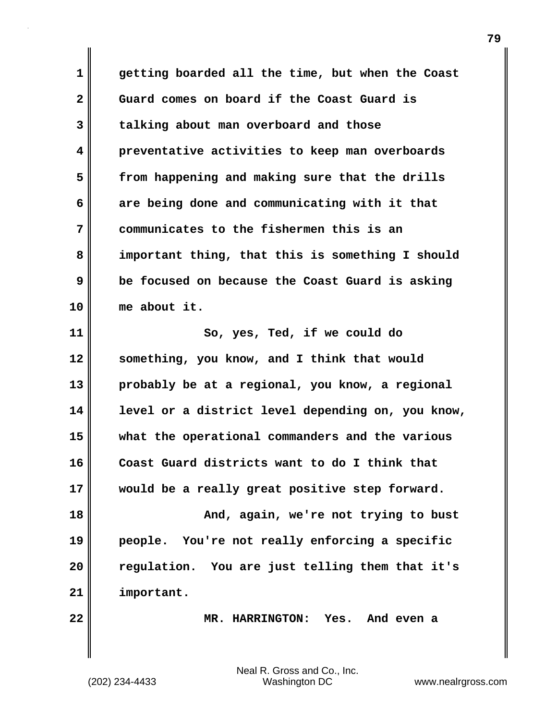**1 getting boarded all the time, but when the Coast 2 Guard comes on board if the Coast Guard is 3 talking about man overboard and those 4 preventative activities to keep man overboards 5 from happening and making sure that the drills 6 are being done and communicating with it that 7 communicates to the fishermen this is an 8 important thing, that this is something I should 9 be focused on because the Coast Guard is asking 10 me about it. 11 So, yes, Ted, if we could do 12 something, you know, and I think that would 13 probably be at a regional, you know, a regional 14 level or a district level depending on, you know, 15 what the operational commanders and the various 16 Coast Guard districts want to do I think that 17 would be a really great positive step forward. 18 And, again, we're not trying to bust 19 people. You're not really enforcing a specific 20 regulation. You are just telling them that it's**

**22 MR. HARRINGTON: Yes. And even a**

(202) 234-4433 Washington DC www.nealrgross.com Neal R. Gross and Co., Inc.

**21 important.**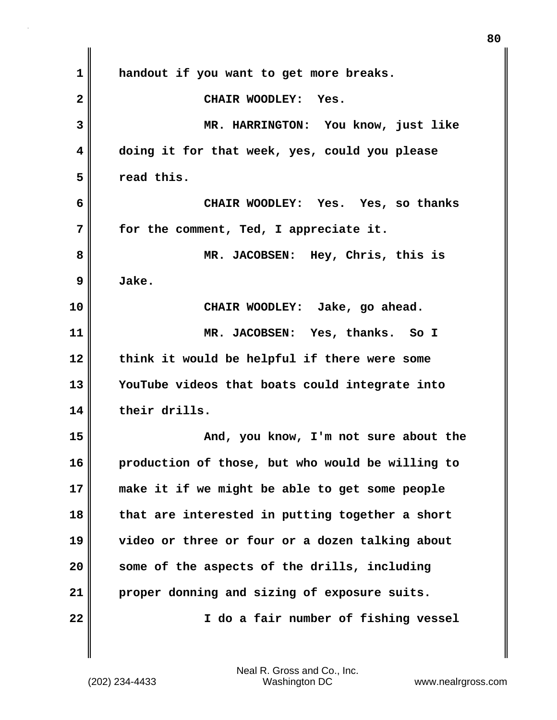| $\mathbf 1$  | handout if you want to get more breaks.          |
|--------------|--------------------------------------------------|
| $\mathbf{2}$ | CHAIR WOODLEY: Yes.                              |
| 3            | MR. HARRINGTON: You know, just like              |
| 4            | doing it for that week, yes, could you please    |
| 5            | read this.                                       |
| 6            | CHAIR WOODLEY: Yes. Yes, so thanks               |
| 7            | for the comment, Ted, I appreciate it.           |
| 8            | MR. JACOBSEN: Hey, Chris, this is                |
| 9            | Jake.                                            |
| 10           | CHAIR WOODLEY: Jake, go ahead.                   |
| 11           | MR. JACOBSEN: Yes, thanks. So I                  |
| 12           | think it would be helpful if there were some     |
| 13           | YouTube videos that boats could integrate into   |
| 14           | their drills.                                    |
| 15           | And, you know, I'm not sure about the            |
| 16           | production of those, but who would be willing to |
| 17           | make it if we might be able to get some people   |
| 18           | that are interested in putting together a short  |
| 19           | video or three or four or a dozen talking about  |
| 20           | some of the aspects of the drills, including     |
| 21           | proper donning and sizing of exposure suits.     |
| 22           | I do a fair number of fishing vessel             |
|              |                                                  |

 $\mathbf{I}$ 

**80**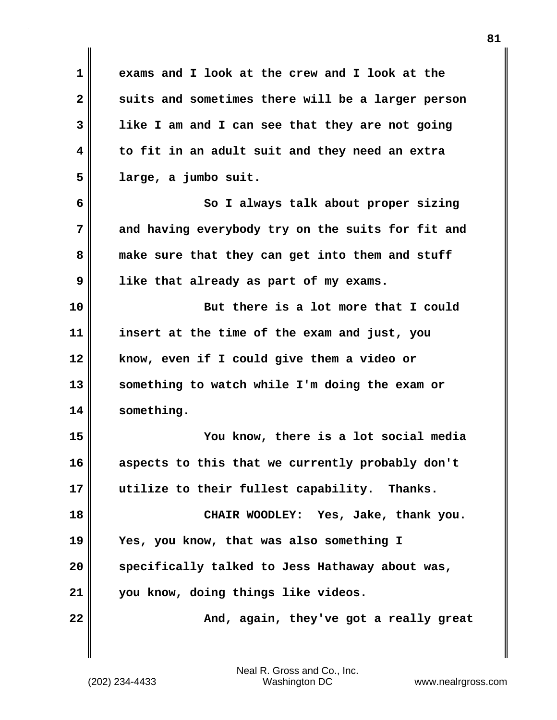**1 exams and I look at the crew and I look at the** 2 suits and sometimes there will be a larger person **3 like I am and I can see that they are not going 4 to fit in an adult suit and they need an extra 5 large, a jumbo suit. 6 So I always talk about proper sizing 7 and having everybody try on the suits for fit and 8 make sure that they can get into them and stuff 9 like that already as part of my exams. 10 But there is a lot more that I could 11 insert at the time of the exam and just, you 12 know, even if I could give them a video or 13 something to watch while I'm doing the exam or 14 something. 15 You know, there is a lot social media 16 aspects to this that we currently probably don't 17 utilize to their fullest capability. Thanks. 18 CHAIR WOODLEY: Yes, Jake, thank you. 19 Yes, you know, that was also something I 20 specifically talked to Jess Hathaway about was, 21 you know, doing things like videos. 22** Mand, again, they've got a really great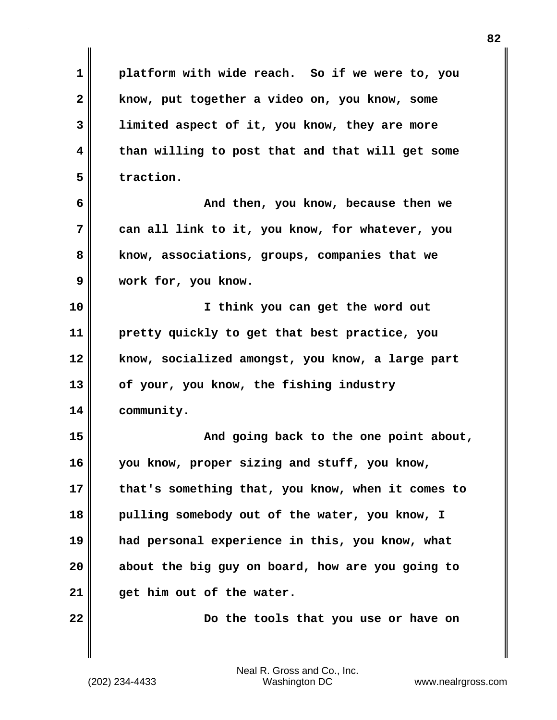**1 platform with wide reach. So if we were to, you 2 know, put together a video on, you know, some 3 limited aspect of it, you know, they are more 4 than willing to post that and that will get some 5 traction. 6 And then, you know, because then we 7 can all link to it, you know, for whatever, you 8 know, associations, groups, companies that we 9 work for, you know. 10 I think you can get the word out 11 pretty quickly to get that best practice, you 12 know, socialized amongst, you know, a large part 13 of your, you know, the fishing industry 14 community. 15 And going back to the one point about, 16 you know, proper sizing and stuff, you know, 17 that's something that, you know, when it comes to 18 pulling somebody out of the water, you know, I 19 had personal experience in this, you know, what 20 about the big guy on board, how are you going to 21 get him out of the water. 22 Do the tools that you use or have on**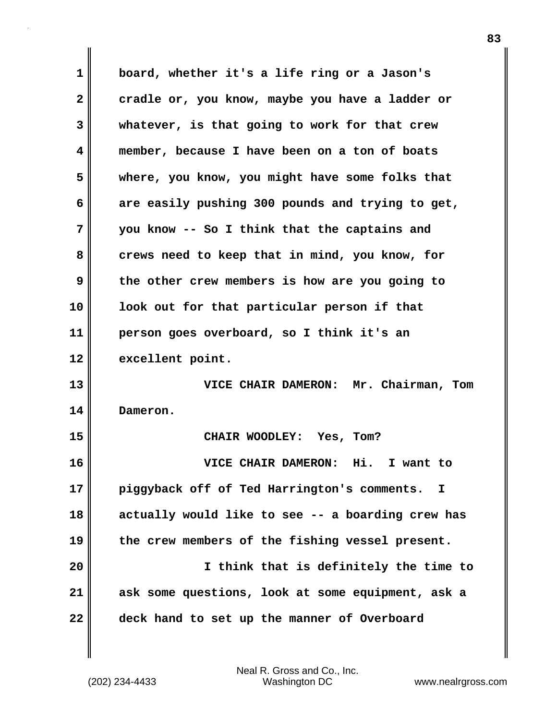| 1            | board, whether it's a life ring or a Jason's      |
|--------------|---------------------------------------------------|
| $\mathbf{2}$ | cradle or, you know, maybe you have a ladder or   |
| 3            | whatever, is that going to work for that crew     |
| 4            | member, because I have been on a ton of boats     |
| 5            | where, you know, you might have some folks that   |
| 6            | are easily pushing 300 pounds and trying to get,  |
| 7            | you know -- So I think that the captains and      |
| 8            | crews need to keep that in mind, you know, for    |
| 9            | the other crew members is how are you going to    |
| 10           | look out for that particular person if that       |
| 11           | person goes overboard, so I think it's an         |
| 12           | excellent point.                                  |
| 13           | VICE CHAIR DAMERON: Mr. Chairman, Tom             |
| 14           | Dameron.                                          |
| 15           | CHAIR WOODLEY: Yes, Tom?                          |
| 16           | VICE CHAIR DAMERON: Hi.<br>I want to              |
| 17           | piggyback off of Ted Harrington's comments.<br>I  |
| 18           | actually would like to see -- a boarding crew has |
| 19           | the crew members of the fishing vessel present.   |
| 20           | I think that is definitely the time to            |
| 21           | ask some questions, look at some equipment, ask a |
| 22           | deck hand to set up the manner of Overboard       |

 $\mathbf{l}$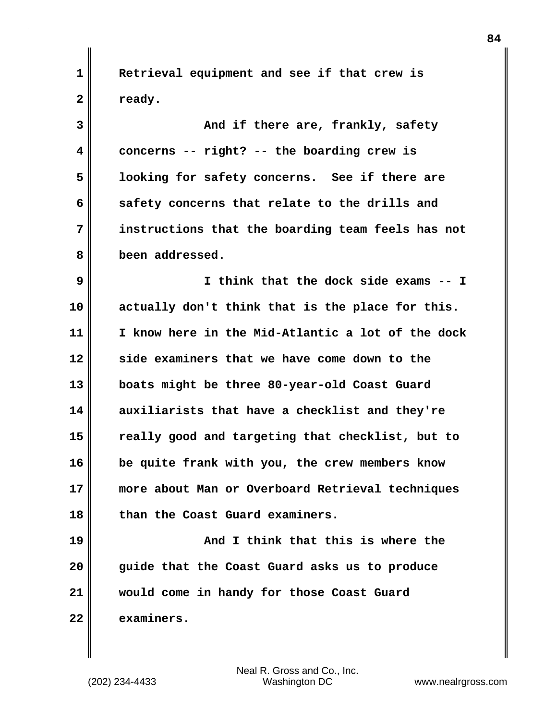**1 Retrieval equipment and see if that crew is** 2 **P** ready.

**3 And if there are, frankly, safety 4 concerns -- right? -- the boarding crew is 5 looking for safety concerns. See if there are 6 safety concerns that relate to the drills and 7 instructions that the boarding team feels has not 8 been addressed. 9 I think that the dock side exams -- I 10 actually don't think that is the place for this. 11 I know here in the Mid-Atlantic a lot of the dock 12 side examiners that we have come down to the 13 boats might be three 80-year-old Coast Guard 14 auxiliarists that have a checklist and they're 15 really good and targeting that checklist, but to 16 be quite frank with you, the crew members know 17 more about Man or Overboard Retrieval techniques 18 than the Coast Guard examiners.**

**19 And I think that this is where the 20 guide that the Coast Guard asks us to produce 21 would come in handy for those Coast Guard 22 examiners.**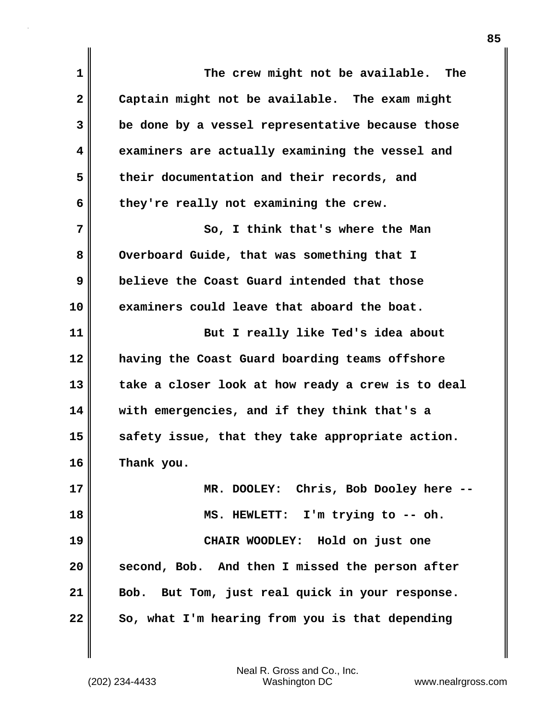| $\mathbf 1$  | The crew might not be available. The              |
|--------------|---------------------------------------------------|
| $\mathbf{2}$ | Captain might not be available. The exam might    |
| 3            | be done by a vessel representative because those  |
| 4            | examiners are actually examining the vessel and   |
| 5            | their documentation and their records, and        |
| 6            | they're really not examining the crew.            |
| 7            | So, I think that's where the Man                  |
| 8            | Overboard Guide, that was something that I        |
| 9            | believe the Coast Guard intended that those       |
| 10           | examiners could leave that aboard the boat.       |
| 11           | But I really like Ted's idea about                |
| 12           | having the Coast Guard boarding teams offshore    |
| 13           | take a closer look at how ready a crew is to deal |
| 14           | with emergencies, and if they think that's a      |
| 15           | safety issue, that they take appropriate action.  |
| 16           | Thank you.                                        |
| 17           | MR. DOOLEY: Chris, Bob Dooley here --             |
| 18           | MS. HEWLETT: I'm trying to -- oh.                 |
| 19           | CHAIR WOODLEY: Hold on just one                   |
| 20           | second, Bob. And then I missed the person after   |
| 21           | Bob. But Tom, just real quick in your response.   |
| 22           | So, what I'm hearing from you is that depending   |

 $\mathbf{I}$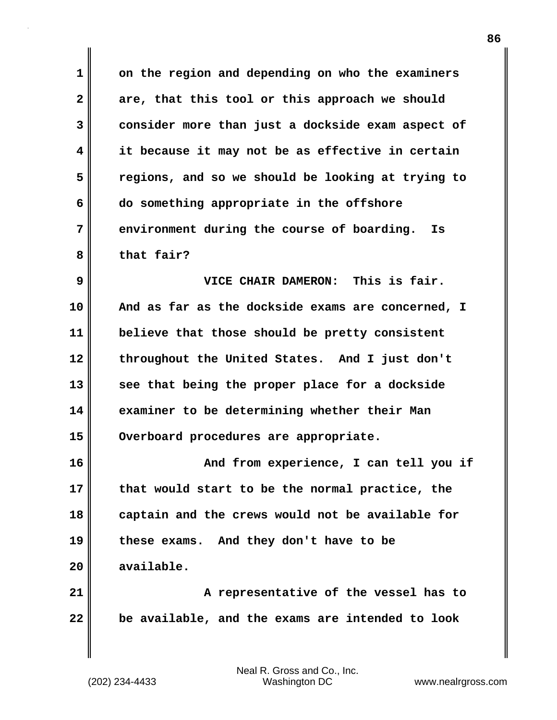**1 on the region and depending on who the examiners 2 are, that this tool or this approach we should 3 consider more than just a dockside exam aspect of 4 it because it may not be as effective in certain 5 regions, and so we should be looking at trying to 6 do something appropriate in the offshore 7 environment during the course of boarding. Is 8 that fair? 9 VICE CHAIR DAMERON: This is fair. 10 And as far as the dockside exams are concerned, I 11 believe that those should be pretty consistent 12 throughout the United States. And I just don't 13 see that being the proper place for a dockside 14 examiner to be determining whether their Man 15 Overboard procedures are appropriate. 16 And from experience, I can tell you if 17 that would start to be the normal practice, the 18 captain and the crews would not be available for 19 these exams. And they don't have to be 20 available. 21 A representative of the vessel has to 22 be available, and the exams are intended to look**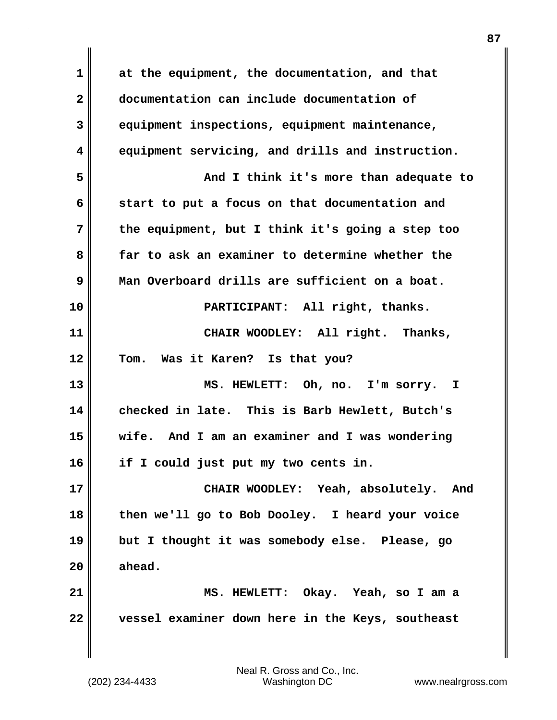**1 at the equipment, the documentation, and that 2 documentation can include documentation of 3 equipment inspections, equipment maintenance, 4 equipment servicing, and drills and instruction. 5 And I think it's more than adequate to 6 start to put a focus on that documentation and 7 the equipment, but I think it's going a step too 8 far to ask an examiner to determine whether the 9 Man Overboard drills are sufficient on a boat. 10 PARTICIPANT: All right, thanks. 11 CHAIR WOODLEY: All right. Thanks, 12 Tom. Was it Karen? Is that you? 13 MS. HEWLETT: Oh, no. I'm sorry. I 14 checked in late. This is Barb Hewlett, Butch's 15 wife. And I am an examiner and I was wondering 16 if I could just put my two cents in. 17 CHAIR WOODLEY: Yeah, absolutely. And 18 then we'll go to Bob Dooley. I heard your voice 19 but I thought it was somebody else. Please, go 20 ahead. 21 MS. HEWLETT: Okay. Yeah, so I am a 22 vessel examiner down here in the Keys, southeast**

**87**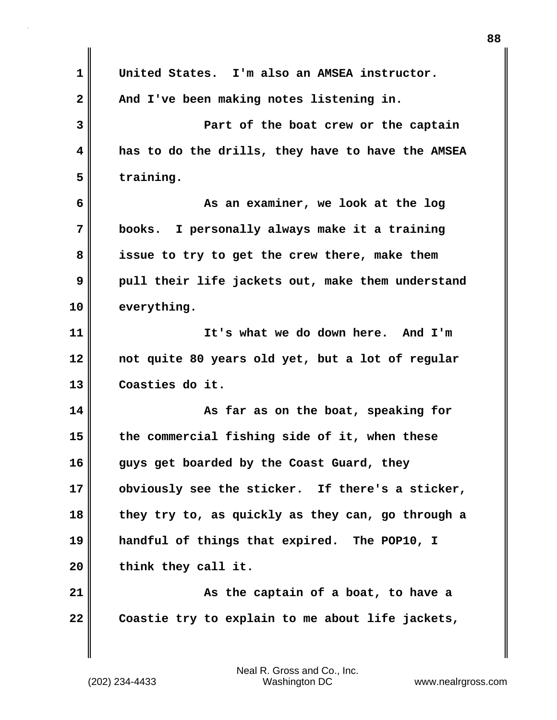| $\mathbf 1$             | United States. I'm also an AMSEA instructor.      |
|-------------------------|---------------------------------------------------|
| $\overline{\mathbf{2}}$ | And I've been making notes listening in.          |
| 3                       | Part of the boat crew or the captain              |
| 4                       | has to do the drills, they have to have the AMSEA |
| 5                       | training.                                         |
| 6                       | As an examiner, we look at the log                |
| 7                       | books. I personally always make it a training     |
| 8                       | issue to try to get the crew there, make them     |
| 9                       | pull their life jackets out, make them understand |
| 10                      | everything.                                       |
| 11                      | It's what we do down here. And I'm                |
| 12                      | not quite 80 years old yet, but a lot of regular  |
| 13                      | Coasties do it.                                   |
| 14                      | As far as on the boat, speaking for               |
| 15                      | the commercial fishing side of it, when these     |
| 16                      | guys get boarded by the Coast Guard, they         |
| 17                      | obviously see the sticker. If there's a sticker,  |
| 18                      | they try to, as quickly as they can, go through a |
| 19                      | handful of things that expired. The POP10, I      |
| 20                      | think they call it.                               |
| 21                      | As the captain of a boat, to have a               |
| 22                      | Coastie try to explain to me about life jackets,  |
|                         |                                                   |

I

 $\mathbf{I}$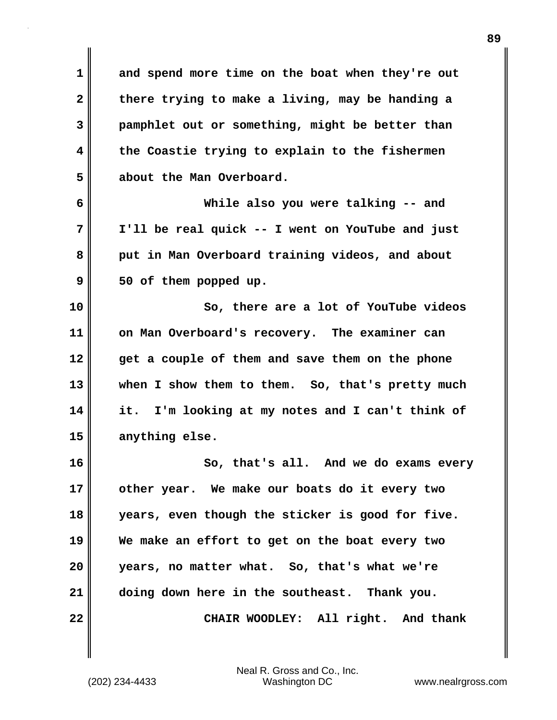**1 and spend more time on the boat when they're out 2 there trying to make a living, may be handing a 3 pamphlet out or something, might be better than 4 the Coastie trying to explain to the fishermen 5 about the Man Overboard.**

**6 While also you were talking -- and 7 I'll be real quick -- I went on YouTube and just 8 put in Man Overboard training videos, and about 9 50 of them popped up.**

**10 So, there are a lot of YouTube videos 11 on Man Overboard's recovery. The examiner can 12 get a couple of them and save them on the phone 13 when I show them to them. So, that's pretty much 14 it. I'm looking at my notes and I can't think of 15 anything else.**

**16 So, that's all. And we do exams every 17 other year. We make our boats do it every two 18 years, even though the sticker is good for five. 19 We make an effort to get on the boat every two 20 years, no matter what. So, that's what we're 21 doing down here in the southeast. Thank you. 22 CHAIR WOODLEY: All right. And thank**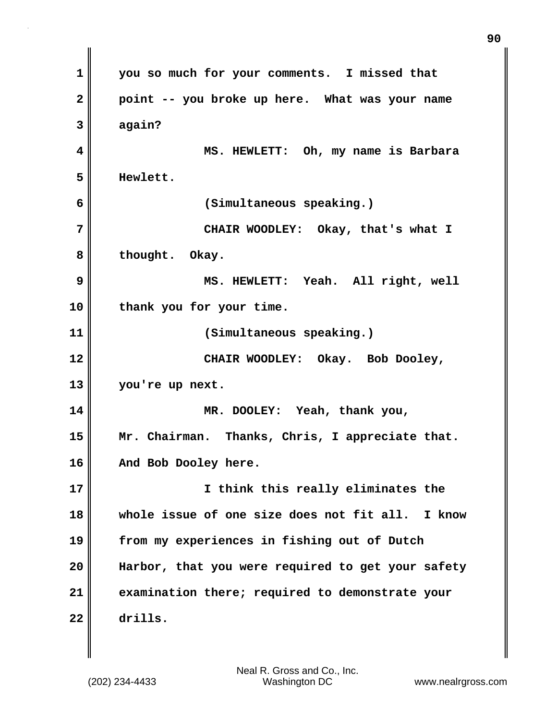**1 you so much for your comments. I missed that 2 point -- you broke up here. What was your name 3 again? 4 MS. HEWLETT: Oh, my name is Barbara 5 Hewlett. 6 (Simultaneous speaking.) 7 CHAIR WOODLEY: Okay, that's what I 8 thought. Okay. 9 MS. HEWLETT: Yeah. All right, well 10 thank you for your time. 11 (Simultaneous speaking.) 12 CHAIR WOODLEY: Okay. Bob Dooley, 13 you're up next. 14 MR. DOOLEY: Yeah, thank you, 15 Mr. Chairman. Thanks, Chris, I appreciate that. 16 And Bob Dooley here. 17 I think this really eliminates the 18 whole issue of one size does not fit all. I know 19 from my experiences in fishing out of Dutch 20 Harbor, that you were required to get your safety 21 examination there; required to demonstrate your 22 drills.**

**90**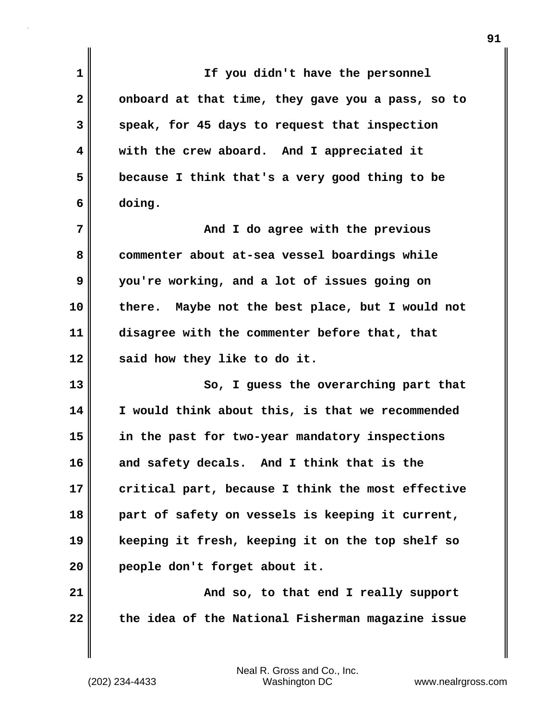| 1            | If you didn't have the personnel                  |
|--------------|---------------------------------------------------|
| $\mathbf{2}$ | onboard at that time, they gave you a pass, so to |
| 3            | speak, for 45 days to request that inspection     |
| 4            | with the crew aboard. And I appreciated it        |
| 5            | because I think that's a very good thing to be    |
| 6            | doing.                                            |
| 7            | And I do agree with the previous                  |
| 8            | commenter about at-sea vessel boardings while     |
| 9            | you're working, and a lot of issues going on      |
| 10           | there. Maybe not the best place, but I would not  |
| 11           | disagree with the commenter before that, that     |
| 12           | said how they like to do it.                      |
| 13           | So, I guess the overarching part that             |
| 14           | I would think about this, is that we recommended  |
| 15           | in the past for two-year mandatory inspections    |
| 16           | and safety decals. And I think that is the        |
| 17           | critical part, because I think the most effective |
| 18           | part of safety on vessels is keeping it current,  |
| 19           | keeping it fresh, keeping it on the top shelf so  |
| 20           | people don't forget about it.                     |
| 21           | And so, to that end I really support              |
| 22           | the idea of the National Fisherman magazine issue |

Neal R. Gross and Co., Inc.

 $\mathbf{I}$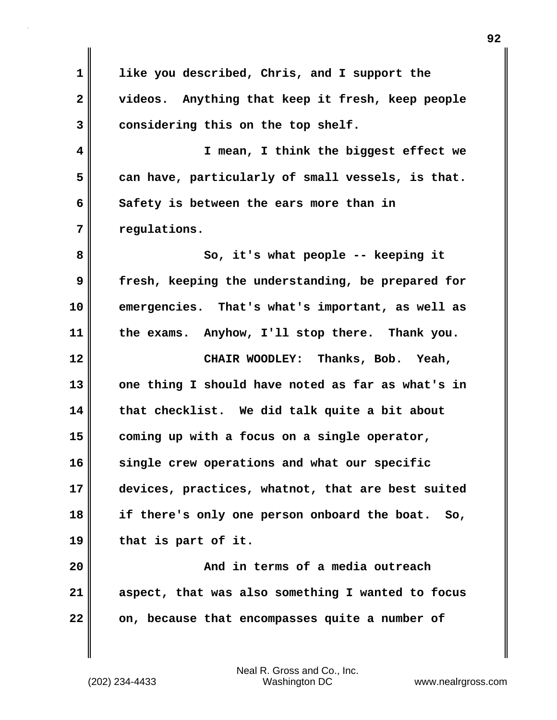**1 like you described, Chris, and I support the 2 videos. Anything that keep it fresh, keep people 3 considering this on the top shelf. 4 I mean, I think the biggest effect we 5 can have, particularly of small vessels, is that. 6 Safety is between the ears more than in 7 regulations. 8** So, it's what people -- keeping it **9 fresh, keeping the understanding, be prepared for 10 emergencies. That's what's important, as well as 11 the exams. Anyhow, I'll stop there. Thank you. 12 CHAIR WOODLEY: Thanks, Bob. Yeah, 13 one thing I should have noted as far as what's in 14 that checklist. We did talk quite a bit about 15 coming up with a focus on a single operator, 16 single crew operations and what our specific 17 devices, practices, whatnot, that are best suited 18 if there's only one person onboard the boat. So, 19 that is part of it. 20 And in terms of a media outreach 21 aspect, that was also something I wanted to focus 22 on, because that encompasses quite a number of**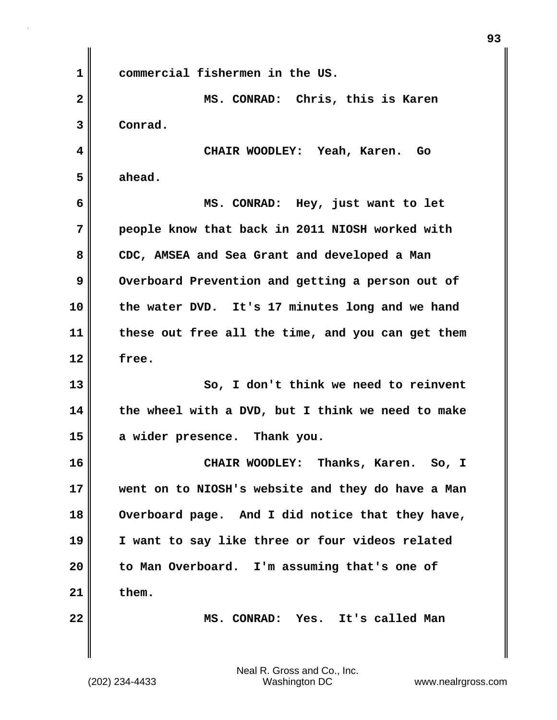**1 commercial fishermen in the US. 2 MS. CONRAD: Chris, this is Karen 3 Conrad. 4 CHAIR WOODLEY: Yeah, Karen. Go 5 ahead. 6 MS. CONRAD: Hey, just want to let 7 people know that back in 2011 NIOSH worked with 8 CDC, AMSEA and Sea Grant and developed a Man 9** Overboard Prevention and getting a person out of **10 the water DVD. It's 17 minutes long and we hand 11 these out free all the time, and you can get them 12 free. 13 So, I don't think we need to reinvent 14 the wheel with a DVD, but I think we need to make 15 a wider presence. Thank you. 16 CHAIR WOODLEY: Thanks, Karen. So, I 17 went on to NIOSH's website and they do have a Man 18 Overboard page. And I did notice that they have, 19 I want to say like three or four videos related 20 to Man Overboard. I'm assuming that's one of 21 them. 22 MS. CONRAD: Yes. It's called Man**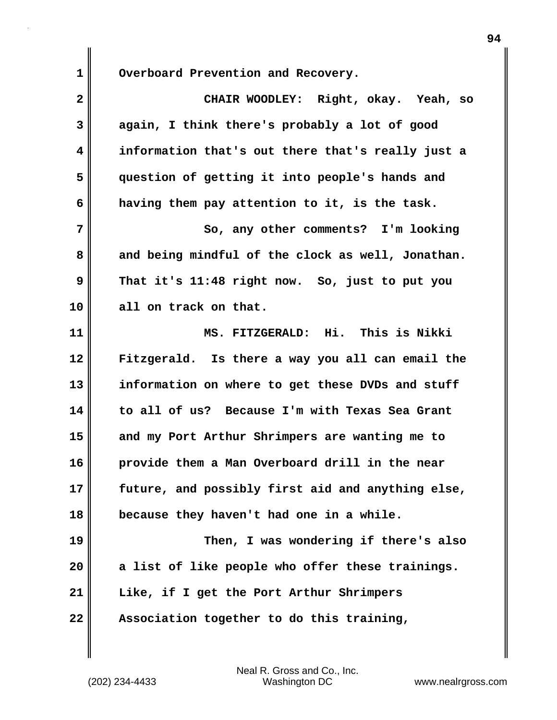1 Overboard Prevention and Recovery.

| $\mathbf{2}$ | CHAIR WOODLEY: Right, okay. Yeah, so              |
|--------------|---------------------------------------------------|
| 3            | again, I think there's probably a lot of good     |
| 4            | information that's out there that's really just a |
| 5            | question of getting it into people's hands and    |
| 6            | having them pay attention to it, is the task.     |
| 7            | So, any other comments? I'm looking               |
| 8            | and being mindful of the clock as well, Jonathan. |
| 9            | That it's 11:48 right now. So, just to put you    |
| 10           | all on track on that.                             |
| 11           | MS. FITZGERALD: Hi. This is Nikki                 |
| 12           | Fitzgerald. Is there a way you all can email the  |
| 13           | information on where to get these DVDs and stuff  |
| 14           | to all of us? Because I'm with Texas Sea Grant    |
| 15           | and my Port Arthur Shrimpers are wanting me to    |
| 16           | provide them a Man Overboard drill in the near    |
| 17           | future, and possibly first aid and anything else, |
| 18           | because they haven't had one in a while.          |
| 19           | Then, I was wondering if there's also             |
| 20           | a list of like people who offer these trainings.  |
| 21           | Like, if I get the Port Arthur Shrimpers          |
| 22           | Association together to do this training,         |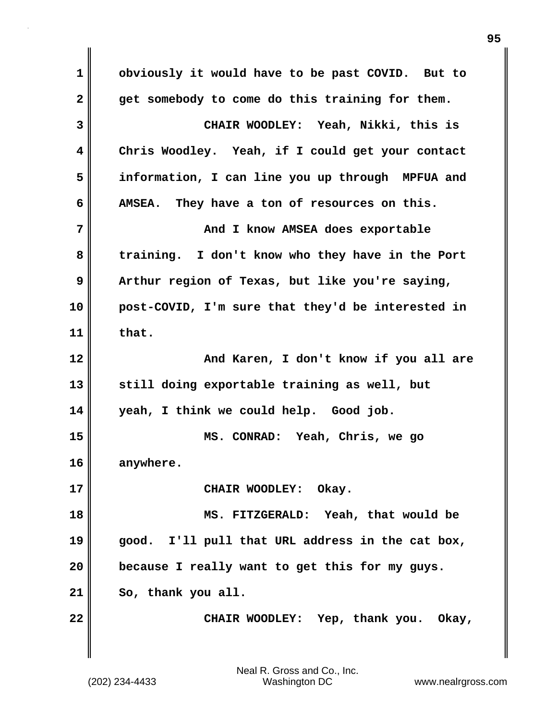**1 obviously it would have to be past COVID. But to 2 get somebody to come do this training for them. 3 CHAIR WOODLEY: Yeah, Nikki, this is 4 Chris Woodley. Yeah, if I could get your contact 5 information, I can line you up through MPFUA and 6 AMSEA. They have a ton of resources on this. 7** No. 2 and I know AMSEA does exportable **8 training. I don't know who they have in the Port 9 Arthur region of Texas, but like you're saying, 10 post-COVID, I'm sure that they'd be interested in 11 that. 12 And Karen, I don't know if you all are 13 still doing exportable training as well, but 14 yeah, I think we could help. Good job. 15 MS. CONRAD: Yeah, Chris, we go 16 anywhere. 17** CHAIR WOODLEY: Okay. **18 MS. FITZGERALD: Yeah, that would be 19 good. I'll pull that URL address in the cat box, 20 because I really want to get this for my guys. 21 So, thank you all. 22 CHAIR WOODLEY: Yep, thank you. Okay,**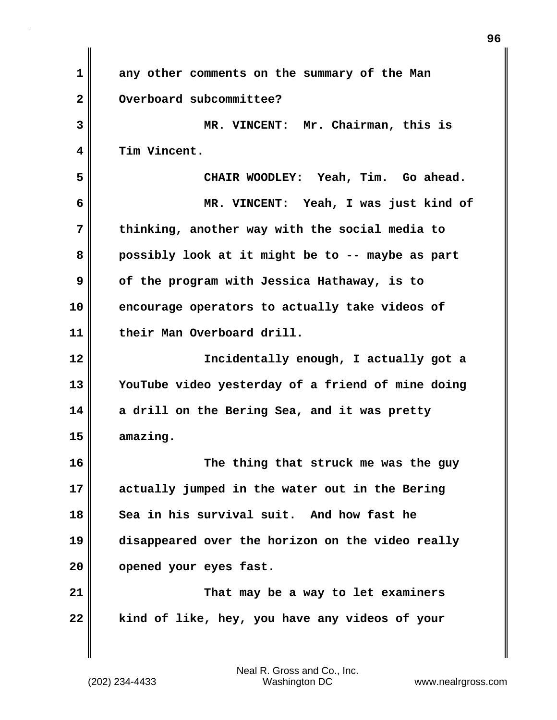| 1            | any other comments on the summary of the Man      |
|--------------|---------------------------------------------------|
| $\mathbf{2}$ | Overboard subcommittee?                           |
| 3            | MR. VINCENT: Mr. Chairman, this is                |
| 4            | Tim Vincent.                                      |
| 5            | CHAIR WOODLEY: Yeah, Tim. Go ahead.               |
| 6            | MR. VINCENT: Yeah, I was just kind of             |
| 7            | thinking, another way with the social media to    |
| 8            | possibly look at it might be to -- maybe as part  |
| 9            | of the program with Jessica Hathaway, is to       |
| 10           | encourage operators to actually take videos of    |
| 11           | their Man Overboard drill.                        |
| 12           | Incidentally enough, I actually got a             |
| 13           | YouTube video yesterday of a friend of mine doing |
| 14           | a drill on the Bering Sea, and it was pretty      |
| 15           | amazing.                                          |
| 16           | The thing that struck me was the guy              |
| 17           | actually jumped in the water out in the Bering    |
| 18           | Sea in his survival suit. And how fast he         |
| 19           | disappeared over the horizon on the video really  |
| 20           | opened your eyes fast.                            |
| 21           | That may be a way to let examiners                |
| 22           | kind of like, hey, you have any videos of your    |
|              |                                                   |

 $\mathbf{l}$ 

**96**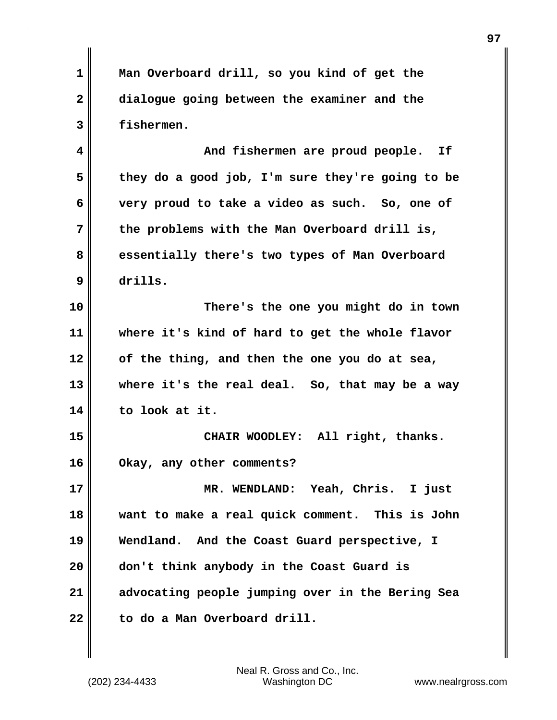**1 Man Overboard drill, so you kind of get the 2 dialogue going between the examiner and the 3 fishermen.**

**4 And fishermen are proud people. If 5 they do a good job, I'm sure they're going to be 6 very proud to take a video as such. So, one of 7 the problems with the Man Overboard drill is, 8 essentially there's two types of Man Overboard 9 drills.**

**10 There's the one you might do in town 11 where it's kind of hard to get the whole flavor 12 of the thing, and then the one you do at sea, 13 where it's the real deal. So, that may be a way 14 to look at it.**

**15 CHAIR WOODLEY: All right, thanks. 16 Okay, any other comments?**

**17 MR. WENDLAND: Yeah, Chris. I just 18 want to make a real quick comment. This is John 19 Wendland. And the Coast Guard perspective, I 20 don't think anybody in the Coast Guard is 21 advocating people jumping over in the Bering Sea 22 to do a Man Overboard drill.**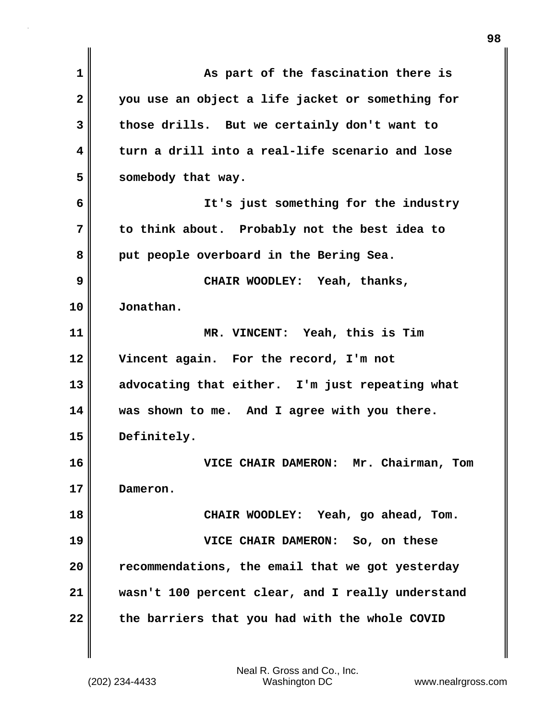| 1            | As part of the fascination there is               |
|--------------|---------------------------------------------------|
| $\mathbf{2}$ | you use an object a life jacket or something for  |
| 3            | those drills. But we certainly don't want to      |
| 4            | turn a drill into a real-life scenario and lose   |
| 5            | somebody that way.                                |
| 6            | It's just something for the industry              |
| 7            | to think about. Probably not the best idea to     |
| 8            | put people overboard in the Bering Sea.           |
| 9            | CHAIR WOODLEY: Yeah, thanks,                      |
| 10           | Jonathan.                                         |
| 11           | MR. VINCENT: Yeah, this is Tim                    |
| 12           | Vincent again. For the record, I'm not            |
| 13           | advocating that either. I'm just repeating what   |
| 14           | was shown to me. And I agree with you there.      |
| 15           | Definitely.                                       |
| 16           | VICE CHAIR DAMERON: Mr. Chairman,<br>Tom          |
| 17           | Dameron.                                          |
| 18           | CHAIR WOODLEY: Yeah, go ahead, Tom.               |
| 19           | VICE CHAIR DAMERON: So, on these                  |
| 20           | recommendations, the email that we got yesterday  |
| 21           | wasn't 100 percent clear, and I really understand |
| 22           | the barriers that you had with the whole COVID    |

 $\mathbf{I}$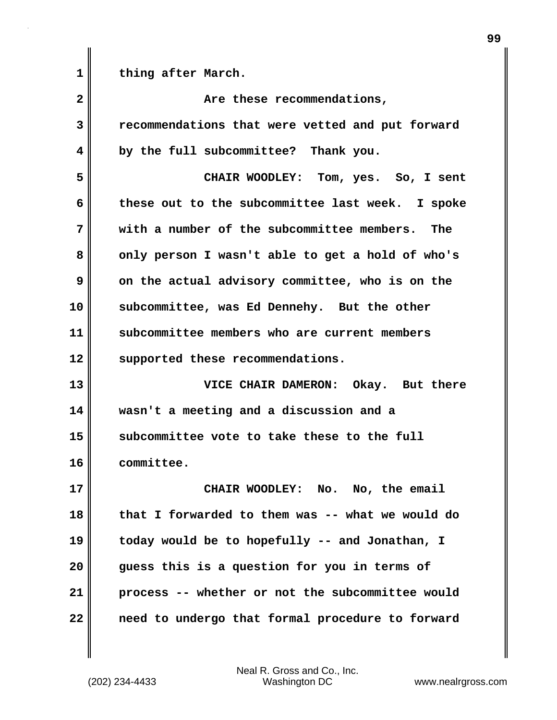| 1            | thing after March.                               |
|--------------|--------------------------------------------------|
| $\mathbf{2}$ | Are these recommendations,                       |
| 3            | recommendations that were vetted and put forward |
| 4            | by the full subcommittee? Thank you.             |
| 5            | CHAIR WOODLEY: Tom, yes. So, I sent              |
| 6            | these out to the subcommittee last week. I spoke |
| 7            | with a number of the subcommittee members. The   |
| 8            | only person I wasn't able to get a hold of who's |
| 9            | on the actual advisory committee, who is on the  |
| 10           | subcommittee, was Ed Dennehy. But the other      |
| 11           | subcommittee members who are current members     |
| 12           | supported these recommendations.                 |
| 13           | VICE CHAIR DAMERON: Okay. But there              |
| 14           | wasn't a meeting and a discussion and a          |
| 15           | subcommittee vote to take these to the full      |
| 16           | committee.                                       |
| 17           | CHAIR WOODLEY: No. No, the email                 |
| 18           | that I forwarded to them was -- what we would do |
| 19           | today would be to hopefully -- and Jonathan, I   |
| 20           | guess this is a question for you in terms of     |
| 21           | process -- whether or not the subcommittee would |
| 22           | need to undergo that formal procedure to forward |

(202) 234-4433 Washington DC www.nealrgross.com Neal R. Gross and Co., Inc.

 $\mathbf{I}$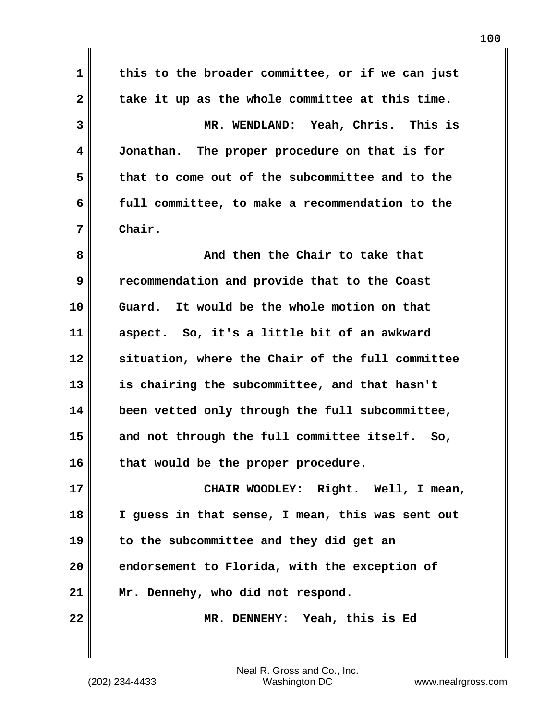**1 this to the broader committee, or if we can just 2 take it up as the whole committee at this time. 3 MR. WENDLAND: Yeah, Chris. This is 4 Jonathan. The proper procedure on that is for 5 that to come out of the subcommittee and to the 6 full committee, to make a recommendation to the 7 Chair. 8 And then the Chair to take that 9 recommendation and provide that to the Coast 10 Guard. It would be the whole motion on that 11 aspect. So, it's a little bit of an awkward 12 situation, where the Chair of the full committee 13 is chairing the subcommittee, and that hasn't 14 been vetted only through the full subcommittee, 15 and not through the full committee itself. So, 16 that would be the proper procedure. 17 CHAIR WOODLEY: Right. Well, I mean, 18 I guess in that sense, I mean, this was sent out 19 to the subcommittee and they did get an 20 endorsement to Florida, with the exception of 21 Mr. Dennehy, who did not respond. 22 MR. DENNEHY: Yeah, this is Ed**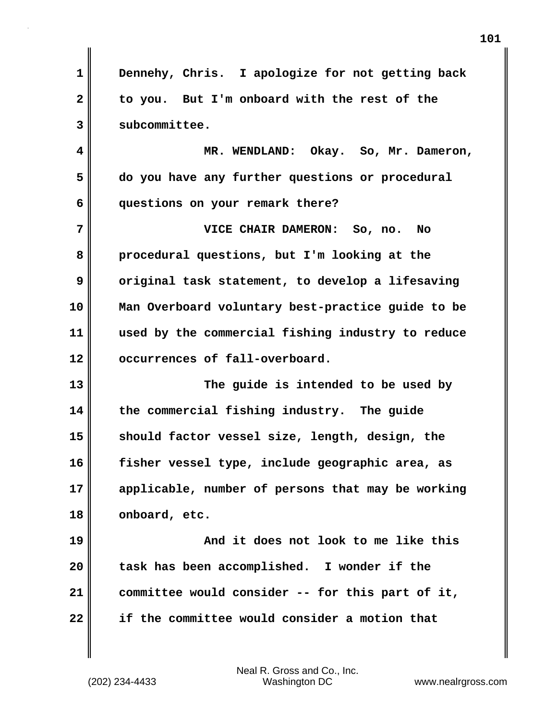**1 Dennehy, Chris. I apologize for not getting back 2 to you. But I'm onboard with the rest of the 3 subcommittee. 4 MR. WENDLAND: Okay. So, Mr. Dameron, 5 do you have any further questions or procedural 6 questions on your remark there? 7 VICE CHAIR DAMERON: So, no. No 8 procedural questions, but I'm looking at the 9** original task statement, to develop a lifesaving **10 Man Overboard voluntary best-practice guide to be 11 used by the commercial fishing industry to reduce 12 occurrences of fall-overboard. 13 The guide is intended to be used by 14 the commercial fishing industry. The guide 15 should factor vessel size, length, design, the 16 fisher vessel type, include geographic area, as 17 applicable, number of persons that may be working 18 onboard, etc. 19 And it does not look to me like this 20 task has been accomplished. I wonder if the 21 committee would consider -- for this part of it, 22 if the committee would consider a motion that**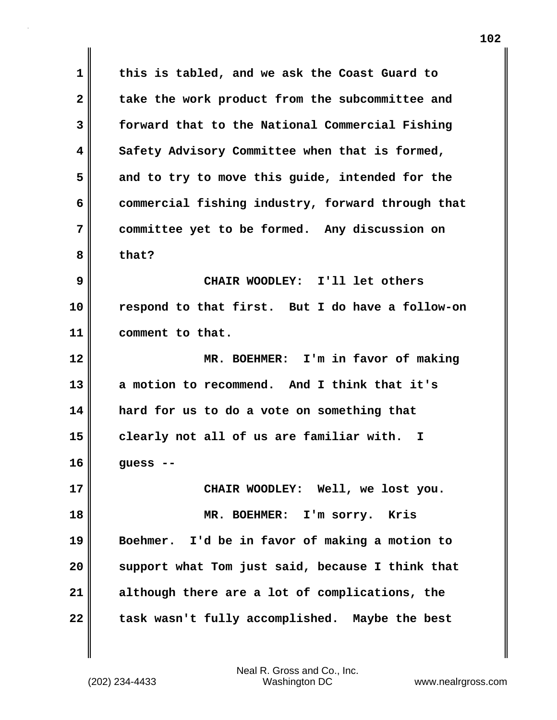**1 this is tabled, and we ask the Coast Guard to** 2 take the work product from the subcommittee and **3 forward that to the National Commercial Fishing 4 Safety Advisory Committee when that is formed, 5 and to try to move this guide, intended for the 6 commercial fishing industry, forward through that 7 committee yet to be formed. Any discussion on 8 that? 9 CHAIR WOODLEY: I'll let others 10 respond to that first. But I do have a follow-on 11 comment to that. 12 MR. BOEHMER: I'm in favor of making 13 a motion to recommend. And I think that it's 14 hard for us to do a vote on something that 15 clearly not all of us are familiar with. I 16 guess -- 17 CHAIR WOODLEY: Well, we lost you. 18 MR. BOEHMER: I'm sorry. Kris 19 Boehmer. I'd be in favor of making a motion to 20 support what Tom just said, because I think that 21 although there are a lot of complications, the 22 task wasn't fully accomplished. Maybe the best**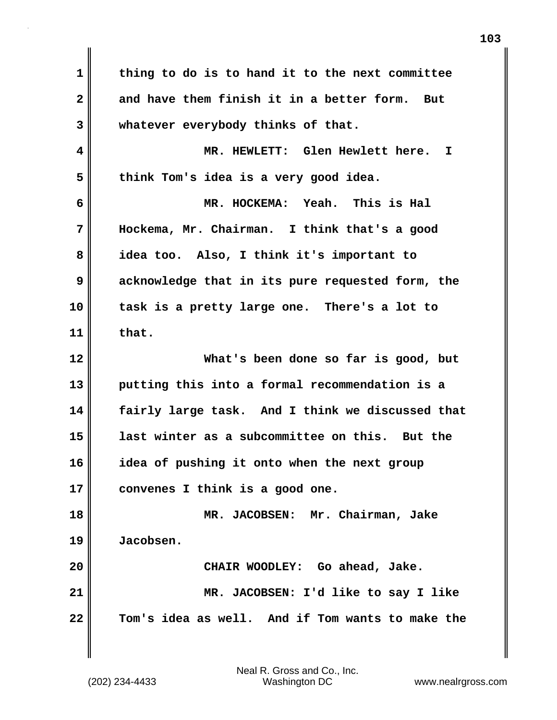**1 thing to do is to hand it to the next committee 2 and have them finish it in a better form. But 3 whatever everybody thinks of that. 4 MR. HEWLETT: Glen Hewlett here. I 5 think Tom's idea is a very good idea. 6 MR. HOCKEMA: Yeah. This is Hal 7 Hockema, Mr. Chairman. I think that's a good 8 idea too. Also, I think it's important to 9 acknowledge that in its pure requested form, the 10 task is a pretty large one. There's a lot to 11 that. 12 What's been done so far is good, but 13 putting this into a formal recommendation is a 14 fairly large task. And I think we discussed that 15 last winter as a subcommittee on this. But the 16 idea of pushing it onto when the next group 17 convenes I think is a good one. 18 MR. JACOBSEN: Mr. Chairman, Jake 19 Jacobsen. 20 CHAIR WOODLEY: Go ahead, Jake. 21 MR. JACOBSEN: I'd like to say I like 22 Tom's idea as well. And if Tom wants to make the**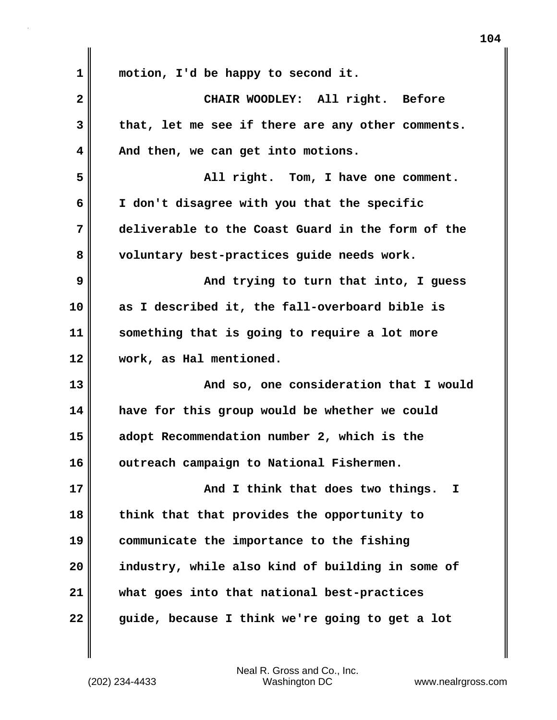| 1            | motion, I'd be happy to second it.                |
|--------------|---------------------------------------------------|
| $\mathbf{2}$ | CHAIR WOODLEY: All right. Before                  |
| 3            | that, let me see if there are any other comments. |
| 4            | And then, we can get into motions.                |
| 5            | All right. Tom, I have one comment.               |
| 6            | I don't disagree with you that the specific       |
| 7            | deliverable to the Coast Guard in the form of the |
| 8            | voluntary best-practices guide needs work.        |
| 9            | And trying to turn that into, I guess             |
| 10           | as I described it, the fall-overboard bible is    |
| 11           | something that is going to require a lot more     |
| 12           | work, as Hal mentioned.                           |
| 13           | And so, one consideration that I would            |
| 14           | have for this group would be whether we could     |
| 15           | adopt Recommendation number 2, which is the       |
| 16           | outreach campaign to National Fishermen.          |
| 17           | And I think that does two things.<br>I            |
| 18           | think that that provides the opportunity to       |
| 19           | communicate the importance to the fishing         |
| 20           | industry, while also kind of building in some of  |
| 21           | what goes into that national best-practices       |
| 22           | guide, because I think we're going to get a lot   |

 $\mathbf{I}$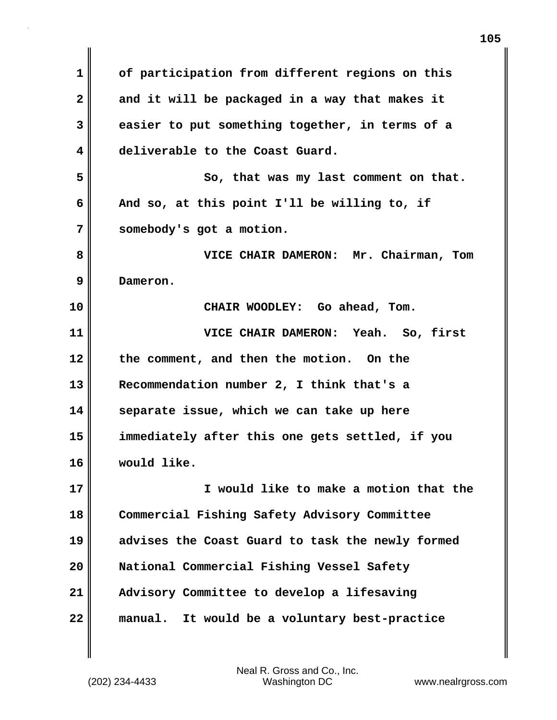**1 of participation from different regions on this 2 and it will be packaged in a way that makes it 3 easier to put something together, in terms of a 4 deliverable to the Coast Guard. 5** So, that was my last comment on that. **6 And so, at this point I'll be willing to, if 7 somebody's got a motion. 8 VICE CHAIR DAMERON: Mr. Chairman, Tom 9 Dameron. 10 CHAIR WOODLEY: Go ahead, Tom. 11 VICE CHAIR DAMERON: Yeah. So, first 12 the comment, and then the motion. On the 13 Recommendation number 2, I think that's a 14 separate issue, which we can take up here 15 immediately after this one gets settled, if you 16 would like. 17 I would like to make a motion that the 18 Commercial Fishing Safety Advisory Committee 19 advises the Coast Guard to task the newly formed 20 National Commercial Fishing Vessel Safety 21 Advisory Committee to develop a lifesaving 22 manual. It would be a voluntary best-practice**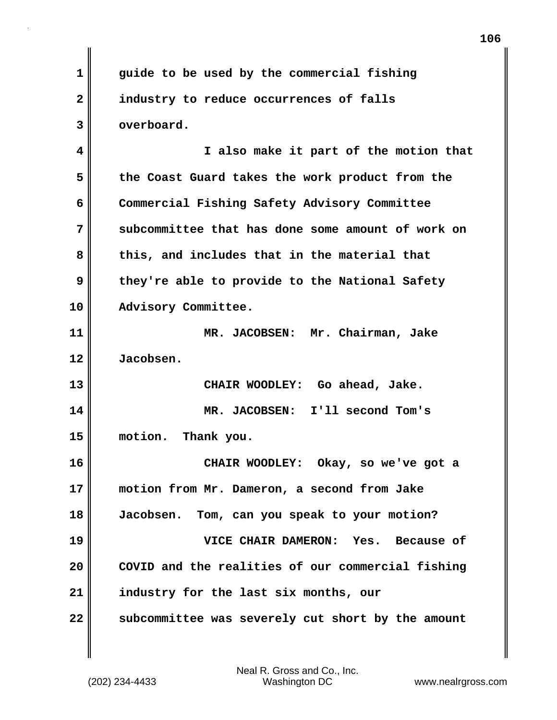**1 guide to be used by the commercial fishing 2 industry to reduce occurrences of falls 3 overboard. 4 I also make it part of the motion that 5 the Coast Guard takes the work product from the 6 Commercial Fishing Safety Advisory Committee 7 subcommittee that has done some amount of work on 8 this, and includes that in the material that 9 they're able to provide to the National Safety 10 Advisory Committee. 11 MR. JACOBSEN: Mr. Chairman, Jake 12 Jacobsen. 13 CHAIR WOODLEY: Go ahead, Jake. 14 MR. JACOBSEN: I'll second Tom's 15 motion. Thank you. 16 CHAIR WOODLEY: Okay, so we've got a 17 motion from Mr. Dameron, a second from Jake 18 Jacobsen. Tom, can you speak to your motion? 19 VICE CHAIR DAMERON: Yes. Because of 20 COVID and the realities of our commercial fishing 21 industry for the last six months, our 22 subcommittee was severely cut short by the amount**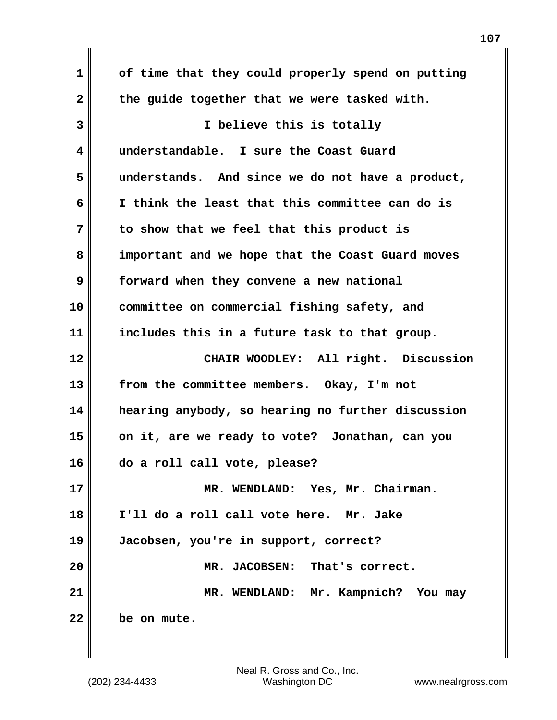**1 of time that they could properly spend on putting 2 the guide together that we were tasked with. 3 I believe this is totally 4 understandable. I sure the Coast Guard 5 understands. And since we do not have a product, 6 I think the least that this committee can do is 7 to show that we feel that this product is 8 important and we hope that the Coast Guard moves 9 forward when they convene a new national 10 committee on commercial fishing safety, and 11 includes this in a future task to that group. 12 CHAIR WOODLEY: All right. Discussion 13 from the committee members. Okay, I'm not 14 hearing anybody, so hearing no further discussion 15 on it, are we ready to vote? Jonathan, can you 16 do a roll call vote, please? 17 MR. WENDLAND: Yes, Mr. Chairman. 18 I'll do a roll call vote here. Mr. Jake 19 Jacobsen, you're in support, correct? 20 MR. JACOBSEN: That's correct. 21 MR. WENDLAND: Mr. Kampnich? You may 22 be on mute.**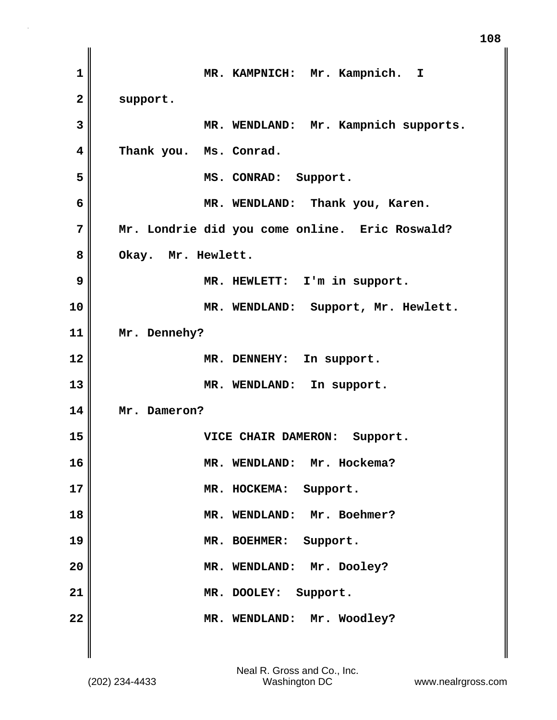| MR. KAMPNICH: Mr. Kampnich. I                  |
|------------------------------------------------|
| support.                                       |
| MR. WENDLAND: Mr. Kampnich supports.           |
| Thank you. Ms. Conrad.                         |
| MS. CONRAD: Support.                           |
| MR. WENDLAND: Thank you, Karen.                |
| Mr. Londrie did you come online. Eric Roswald? |
| Okay. Mr. Hewlett.                             |
| MR. HEWLETT: I'm in support.                   |
| MR. WENDLAND: Support, Mr. Hewlett.            |
| Mr. Dennehy?                                   |
| MR. DENNEHY: In support.                       |
| MR. WENDLAND: In support.                      |
| Mr. Dameron?                                   |
| VICE CHAIR DAMERON: Support.                   |
| MR. WENDLAND: Mr. Hockema?                     |
| MR. HOCKEMA: Support.                          |
| MR. WENDLAND: Mr. Boehmer?                     |
| MR. BOEHMER: Support.                          |
| MR. WENDLAND: Mr. Dooley?                      |
| MR. DOOLEY: Support.                           |
| MR. WENDLAND: Mr. Woodley?                     |
|                                                |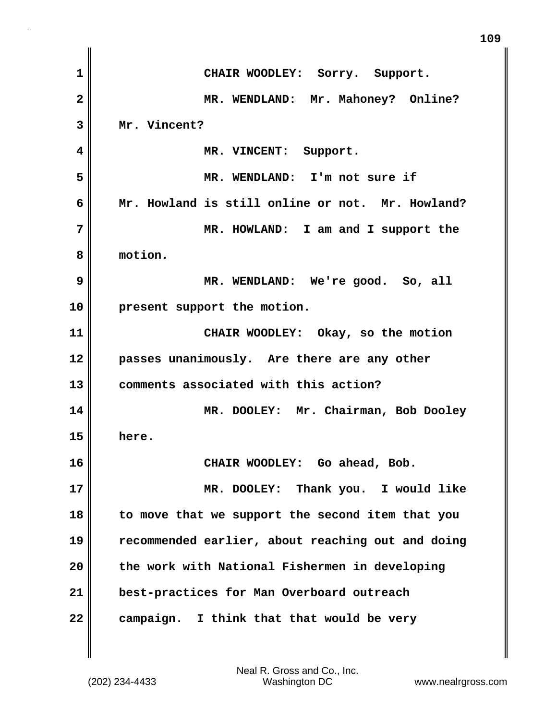| 1              | CHAIR WOODLEY: Sorry. Support.                    |
|----------------|---------------------------------------------------|
| $\overline{2}$ | MR. WENDLAND: Mr. Mahoney? Online?                |
| 3              | Mr. Vincent?                                      |
| 4              | MR. VINCENT: Support.                             |
| 5              | MR. WENDLAND: I'm not sure if                     |
| 6              | Mr. Howland is still online or not. Mr. Howland?  |
| 7              | MR. HOWLAND: I am and I support the               |
| 8              | motion.                                           |
| 9              | MR. WENDLAND: We're good. So, all                 |
| 10             | present support the motion.                       |
| 11             | CHAIR WOODLEY: Okay, so the motion                |
| 12             | passes unanimously. Are there are any other       |
| 13             | comments associated with this action?             |
| 14             | MR. DOOLEY: Mr. Chairman, Bob Dooley              |
| 15             | here.                                             |
| 16             | CHAIR WOODLEY: Go ahead, Bob.                     |
| 17             | MR. DOOLEY: Thank you. I would like               |
| 18             | to move that we support the second item that you  |
| 19             | recommended earlier, about reaching out and doing |
| 20             | the work with National Fishermen in developing    |
| 21             | best-practices for Man Overboard outreach         |
| 22             | campaign. I think that that would be very         |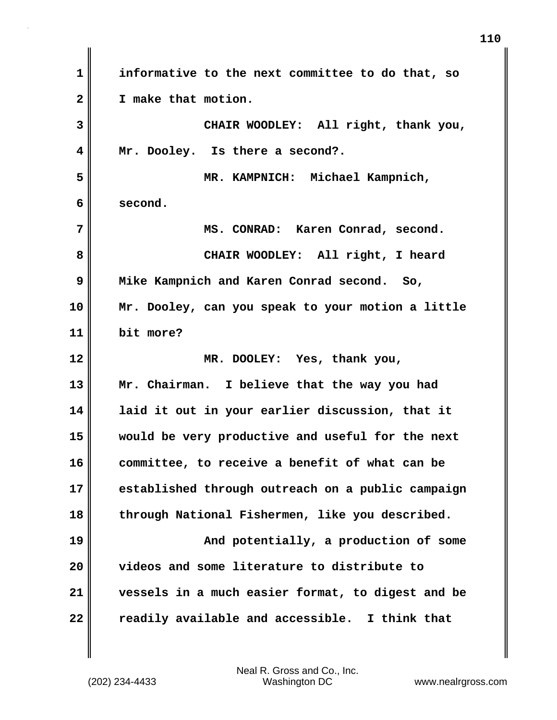**1 informative to the next committee to do that, so 2 I make that motion. 3 CHAIR WOODLEY: All right, thank you, 4 Mr. Dooley. Is there a second?. 5 MR. KAMPNICH: Michael Kampnich, 6 second. 7 MS. CONRAD: Karen Conrad, second. 8 CHAIR WOODLEY: All right, I heard 9 Mike Kampnich and Karen Conrad second. So, 10 Mr. Dooley, can you speak to your motion a little 11 bit more? 12 MR. DOOLEY: Yes, thank you, 13 Mr. Chairman. I believe that the way you had 14 laid it out in your earlier discussion, that it 15 would be very productive and useful for the next 16 committee, to receive a benefit of what can be 17 established through outreach on a public campaign 18 through National Fishermen, like you described. 19 And potentially, a production of some 20 videos and some literature to distribute to 21 vessels in a much easier format, to digest and be 22 readily available and accessible. I think that**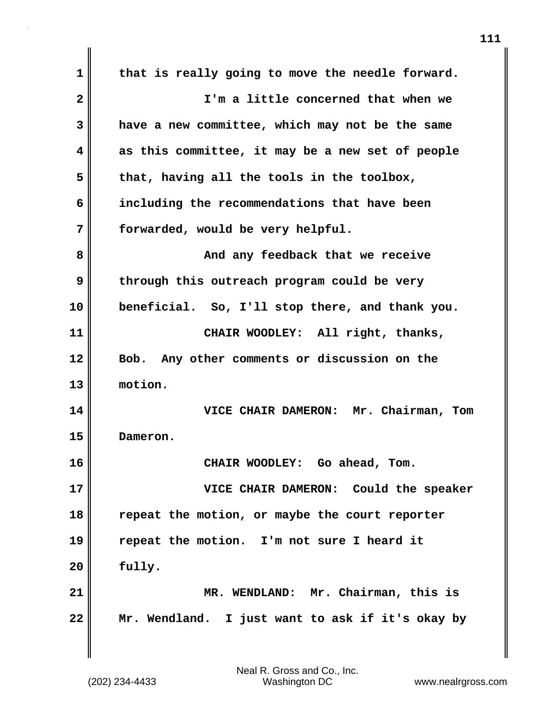**1 that is really going to move the needle forward. 2 I'm a little concerned that when we 3 have a new committee, which may not be the same 4 as this committee, it may be a new set of people 5 that, having all the tools in the toolbox, 6 including the recommendations that have been 7 forwarded, would be very helpful. 8 And any feedback that we receive 9 through this outreach program could be very 10 beneficial. So, I'll stop there, and thank you. 11 CHAIR WOODLEY: All right, thanks, 12 Bob. Any other comments or discussion on the 13 motion. 14 VICE CHAIR DAMERON: Mr. Chairman, Tom 15 Dameron. 16 CHAIR WOODLEY: Go ahead, Tom. 17 VICE CHAIR DAMERON: Could the speaker 18 repeat the motion, or maybe the court reporter 19 repeat the motion. I'm not sure I heard it 20 fully. 21 MR. WENDLAND: Mr. Chairman, this is 22 Mr. Wendland. I just want to ask if it's okay by**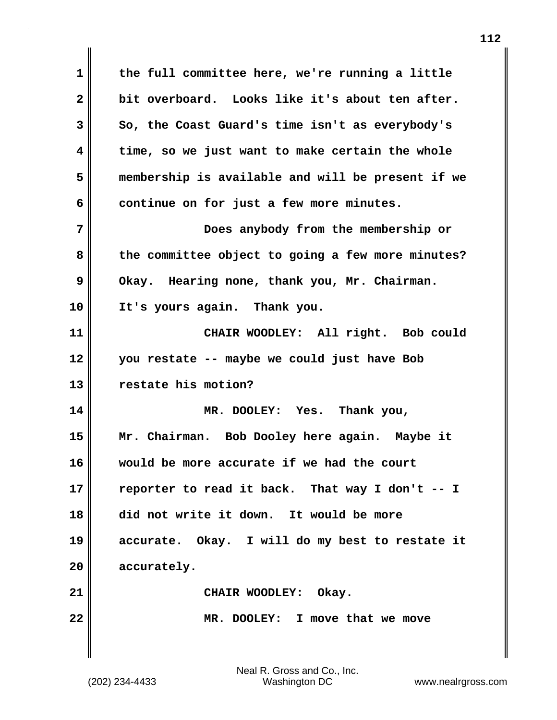**1 the full committee here, we're running a little 2 bit overboard. Looks like it's about ten after. 3 So, the Coast Guard's time isn't as everybody's 4 time, so we just want to make certain the whole 5 membership is available and will be present if we** 6 continue on for just a few more minutes. **7 Does anybody from the membership or 8 the committee object to going a few more minutes?**  9 Okay. Hearing none, thank you, Mr. Chairman. **10 It's yours again. Thank you. 11 CHAIR WOODLEY: All right. Bob could 12 you restate -- maybe we could just have Bob 13 restate his motion? 14 MR. DOOLEY: Yes. Thank you, 15 Mr. Chairman. Bob Dooley here again. Maybe it 16 would be more accurate if we had the court 17 reporter to read it back. That way I don't -- I 18 did not write it down. It would be more 19 accurate. Okay. I will do my best to restate it 20 accurately.** 21 || CHAIR WOODLEY: Okay. **22 MR. DOOLEY: I move that we move**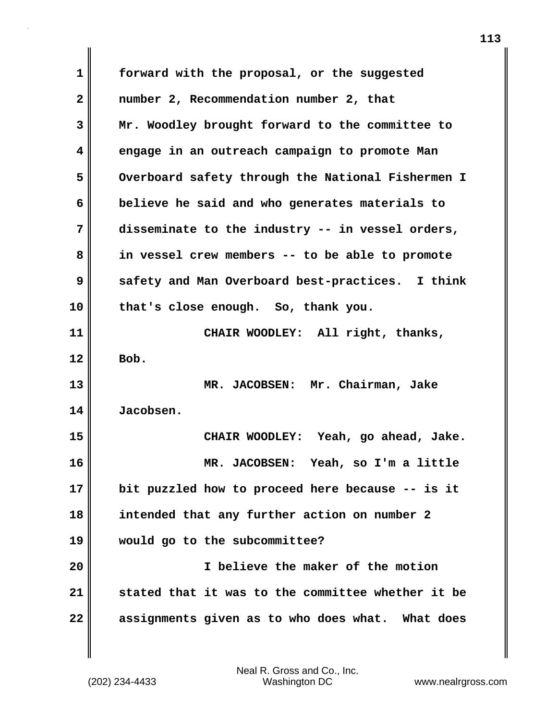| 1            | forward with the proposal, or the suggested       |  |
|--------------|---------------------------------------------------|--|
| $\mathbf{2}$ | number 2, Recommendation number 2, that           |  |
| 3            | Mr. Woodley brought forward to the committee to   |  |
| 4            | engage in an outreach campaign to promote Man     |  |
| 5            | Overboard safety through the National Fishermen I |  |
| 6            | believe he said and who generates materials to    |  |
| 7            | disseminate to the industry -- in vessel orders,  |  |
| 8            | in vessel crew members -- to be able to promote   |  |
| 9            | safety and Man Overboard best-practices. I think  |  |
| 10           | that's close enough. So, thank you.               |  |
| 11           | CHAIR WOODLEY: All right, thanks,                 |  |
| 12           | Bob.                                              |  |
| 13           | MR. JACOBSEN: Mr. Chairman, Jake                  |  |
| 14           | Jacobsen.                                         |  |
| 15           | CHAIR WOODLEY: Yeah, go ahead, Jake.              |  |
| 16           | MR. JACOBSEN: Yeah, so I'm a little               |  |
| 17           | bit puzzled how to proceed here because -- is it  |  |
| 18           | intended that any further action on number 2      |  |
| 19           | would go to the subcommittee?                     |  |
| 20           | I believe the maker of the motion                 |  |
| 21           | stated that it was to the committee whether it be |  |
| 22           | assignments given as to who does what. What does  |  |

 $\mathbf{I}$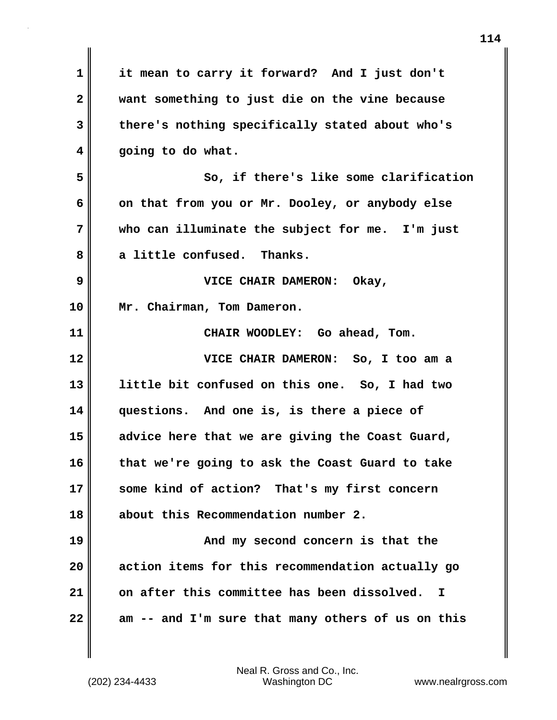| $\mathbf 1$  | it mean to carry it forward? And I just don't     |
|--------------|---------------------------------------------------|
| $\mathbf{2}$ | want something to just die on the vine because    |
| 3            | there's nothing specifically stated about who's   |
| 4            | going to do what.                                 |
| 5            | So, if there's like some clarification            |
| 6            | on that from you or Mr. Dooley, or anybody else   |
| 7            | who can illuminate the subject for me. I'm just   |
| 8            | a little confused. Thanks.                        |
| 9            | VICE CHAIR DAMERON: Okay,                         |
| 10           | Mr. Chairman, Tom Dameron.                        |
| 11           | CHAIR WOODLEY: Go ahead, Tom.                     |
| 12           | VICE CHAIR DAMERON: So, I too am a                |
| 13           | little bit confused on this one. So, I had two    |
| 14           | questions. And one is, is there a piece of        |
| 15           | advice here that we are giving the Coast Guard,   |
| 16           | that we're going to ask the Coast Guard to take   |
| 17           | some kind of action? That's my first concern      |
| 18           | about this Recommendation number 2.               |
| 19           | And my second concern is that the                 |
| 20           | action items for this recommendation actually go  |
| 21           | on after this committee has been dissolved.<br>I  |
| 22           | am -- and I'm sure that many others of us on this |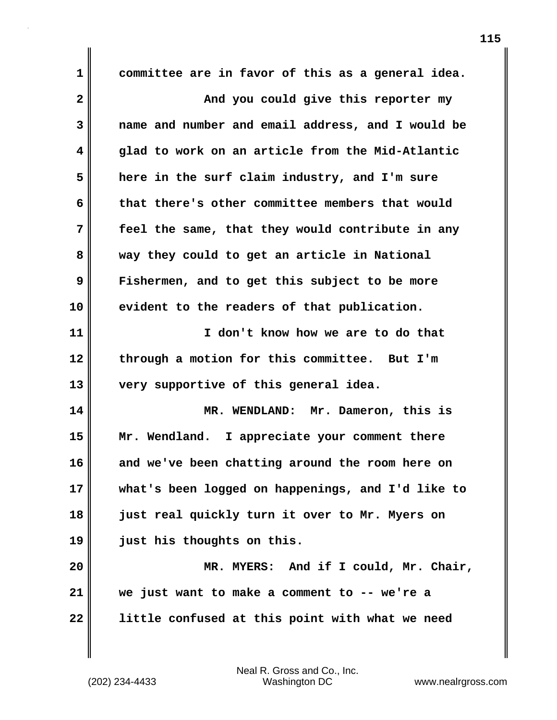**1 committee are in favor of this as a general idea. 2** And you could give this reporter my **3 name and number and email address, and I would be 4 glad to work on an article from the Mid-Atlantic 5 here in the surf claim industry, and I'm sure 6 that there's other committee members that would 7 feel the same, that they would contribute in any 8 way they could to get an article in National 9 Fishermen, and to get this subject to be more 10 evident to the readers of that publication. 11 I don't know how we are to do that 12 through a motion for this committee. But I'm 13 very supportive of this general idea. 14 MR. WENDLAND: Mr. Dameron, this is 15 Mr. Wendland. I appreciate your comment there 16 and we've been chatting around the room here on 17 what's been logged on happenings, and I'd like to 18 just real quickly turn it over to Mr. Myers on 19 just his thoughts on this. 20 MR. MYERS: And if I could, Mr. Chair, 21 we just want to make a comment to -- we're a 22 little confused at this point with what we need**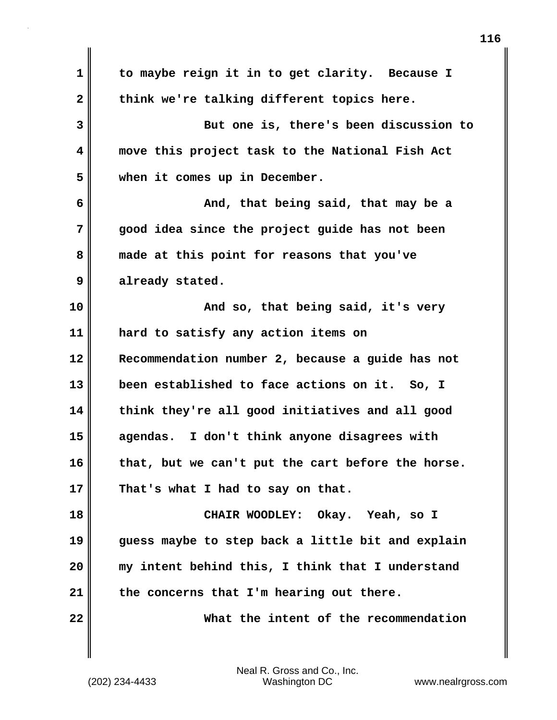**1 to maybe reign it in to get clarity. Because I** 2 think we're talking different topics here. **3 But one is, there's been discussion to 4 move this project task to the National Fish Act 5 when it comes up in December. 6 And, that being said, that may be a 7 good idea since the project guide has not been 8 made at this point for reasons that you've 9 already stated. 10 And so, that being said, it's very 11 hard to satisfy any action items on 12 Recommendation number 2, because a guide has not 13 been established to face actions on it. So, I 14 think they're all good initiatives and all good 15 agendas. I don't think anyone disagrees with 16 that, but we can't put the cart before the horse. 17 That's what I had to say on that. 18 CHAIR WOODLEY: Okay. Yeah, so I 19 guess maybe to step back a little bit and explain 20 my intent behind this, I think that I understand 21 the concerns that I'm hearing out there. 22 What the intent of the recommendation**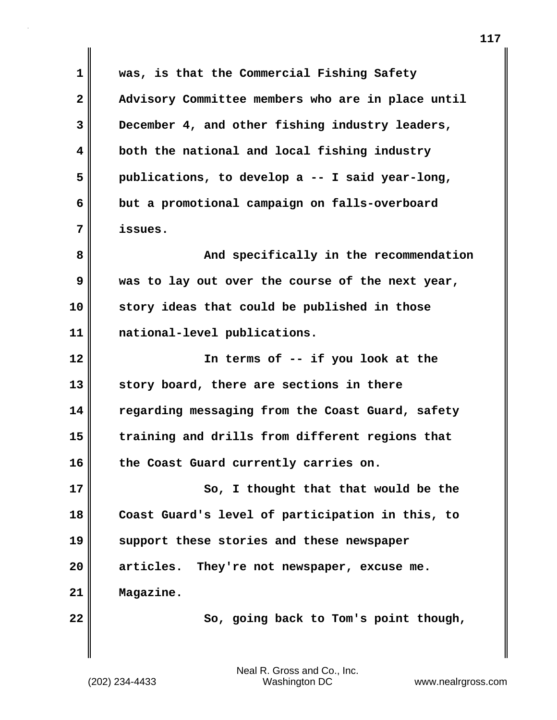**1 was, is that the Commercial Fishing Safety 2 Advisory Committee members who are in place until 3 December 4, and other fishing industry leaders, 4 both the national and local fishing industry 5 publications, to develop a -- I said year-long, 6 but a promotional campaign on falls-overboard 7 issues. 8 And specifically in the recommendation 9 was to lay out over the course of the next year, 10 story ideas that could be published in those 11 national-level publications. 12 In terms of -- if you look at the 13 story board, there are sections in there 14 regarding messaging from the Coast Guard, safety 15 training and drills from different regions that 16 the Coast Guard currently carries on. 17** So, I thought that that would be the **18 Coast Guard's level of participation in this, to 19 support these stories and these newspaper 20 articles. They're not newspaper, excuse me. 21 Magazine.** 22 **B** So, going back to Tom's point though,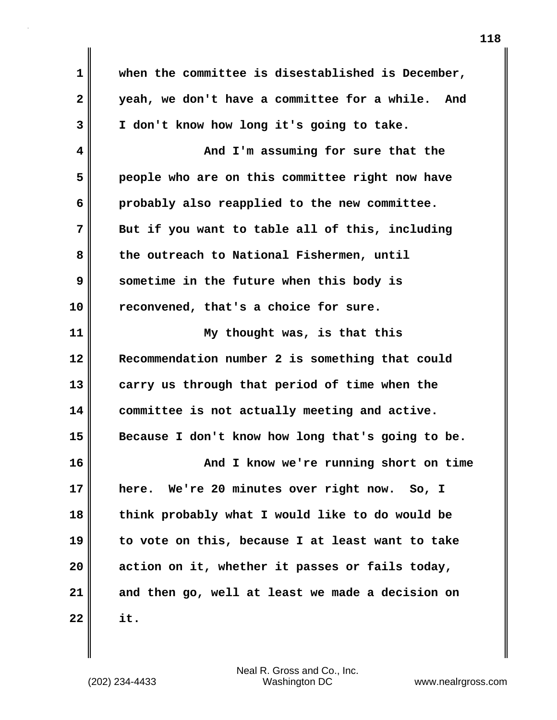| 1                       | when the committee is disestablished is December, |
|-------------------------|---------------------------------------------------|
| $\overline{\mathbf{2}}$ | yeah, we don't have a committee for a while. And  |
| 3                       | I don't know how long it's going to take.         |
| 4                       | And I'm assuming for sure that the                |
| 5                       | people who are on this committee right now have   |
| 6                       | probably also reapplied to the new committee.     |
| 7                       | But if you want to table all of this, including   |
| 8                       | the outreach to National Fishermen, until         |
| 9                       | sometime in the future when this body is          |
| 10                      | reconvened, that's a choice for sure.             |
| 11                      | My thought was, is that this                      |
| 12                      | Recommendation number 2 is something that could   |
| 13                      | carry us through that period of time when the     |
| 14                      | committee is not actually meeting and active.     |
| 15                      | Because I don't know how long that's going to be. |
| 16                      | And I know we're running short on time            |
| 17                      | We're 20 minutes over right now. So, I<br>here.   |
| 18                      | think probably what I would like to do would be   |
| 19                      | to vote on this, because I at least want to take  |
| 20                      | action on it, whether it passes or fails today,   |
| 21                      | and then go, well at least we made a decision on  |
| 22                      | it.                                               |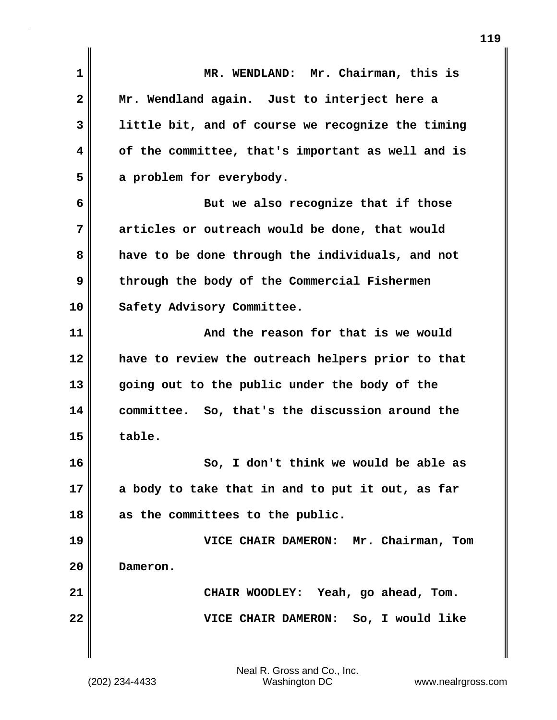| MR. WENDLAND: Mr. Chairman, this is               |
|---------------------------------------------------|
| Mr. Wendland again. Just to interject here a      |
| little bit, and of course we recognize the timing |
| of the committee, that's important as well and is |
| a problem for everybody.                          |
| But we also recognize that if those               |
| articles or outreach would be done, that would    |
| have to be done through the individuals, and not  |
| through the body of the Commercial Fishermen      |
| Safety Advisory Committee.                        |
| And the reason for that is we would               |
| have to review the outreach helpers prior to that |
| going out to the public under the body of the     |
| committee. So, that's the discussion around the   |
| table.                                            |
| So, I don't think we would be able as             |
| a body to take that in and to put it out, as far  |
| as the committees to the public.                  |
| VICE CHAIR DAMERON: Mr. Chairman, Tom             |
| Dameron.                                          |
| CHAIR WOODLEY: Yeah, go ahead, Tom.               |
| VICE CHAIR DAMERON: So, I would like              |
|                                                   |
|                                                   |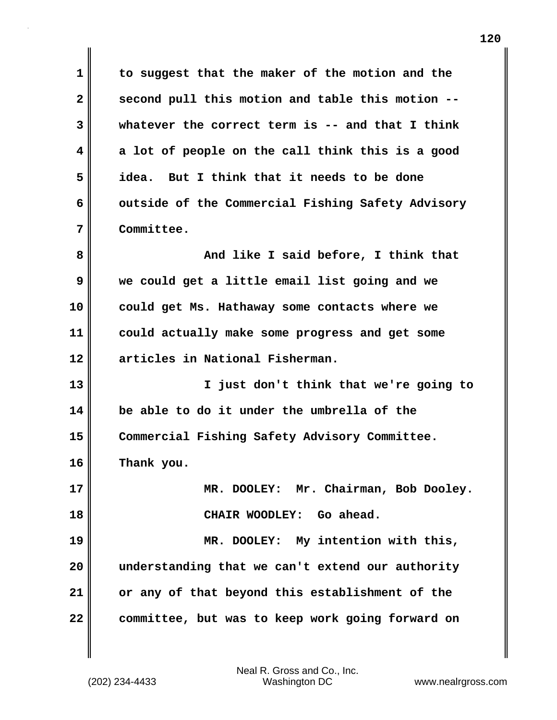**1 to suggest that the maker of the motion and the 2 second pull this motion and table this motion -- 3 whatever the correct term is -- and that I think 4 a lot of people on the call think this is a good 5 idea. But I think that it needs to be done** 6 outside of the Commercial Fishing Safety Advisory **7 Committee.**

**8 And like I said before, I think that 9 we could get a little email list going and we 10 could get Ms. Hathaway some contacts where we 11 could actually make some progress and get some 12 articles in National Fisherman.**

**13 I just don't think that we're going to 14 be able to do it under the umbrella of the 15 Commercial Fishing Safety Advisory Committee. 16 Thank you.**

**17 MR. DOOLEY: Mr. Chairman, Bob Dooley. 18 CHAIR WOODLEY: Go ahead. 19 MR. DOOLEY: My intention with this,**

**20 understanding that we can't extend our authority 21 or any of that beyond this establishment of the 22 committee, but was to keep work going forward on**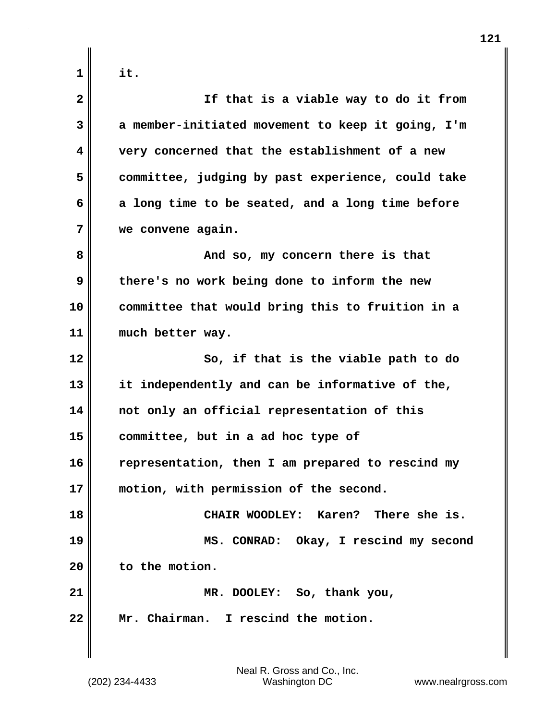| 1 |                     |
|---|---------------------|
|   | c<br>ı<br>$\bullet$ |

| $\mathbf{2}$ | If that is a viable way to do it from             |
|--------------|---------------------------------------------------|
| 3            | a member-initiated movement to keep it going, I'm |
| 4            | very concerned that the establishment of a new    |
| 5            | committee, judging by past experience, could take |
| 6            | a long time to be seated, and a long time before  |
| 7            | we convene again.                                 |
| 8            | And so, my concern there is that                  |
| 9            | there's no work being done to inform the new      |
| 10           | committee that would bring this to fruition in a  |
| 11           | much better way.                                  |
| 12           | So, if that is the viable path to do              |
| 13           | it independently and can be informative of the,   |
| 14           | not only an official representation of this       |
| 15           | committee, but in a ad hoc type of                |
| 16           | representation, then I am prepared to rescind my  |
| 17           | motion, with permission of the second.            |
| 18           | CHAIR WOODLEY: Karen? There she is.               |
| 19           | MS. CONRAD: Okay, I rescind my second             |
| 20           | to the motion.                                    |
| 21           | MR. DOOLEY: So, thank you,                        |
| 22           | Mr. Chairman. I rescind the motion.               |
|              |                                                   |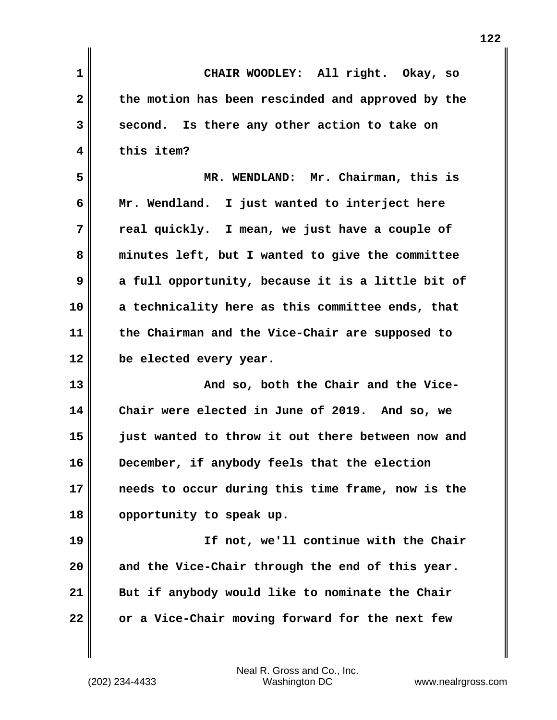| 1  | CHAIR WOODLEY: All right. Okay, so                |
|----|---------------------------------------------------|
| 2  | the motion has been rescinded and approved by the |
| 3  | second. Is there any other action to take on      |
| 4  | this item?                                        |
| 5  | MR. WENDLAND: Mr. Chairman, this is               |
| 6  | Mr. Wendland. I just wanted to interject here     |
| 7  | real quickly. I mean, we just have a couple of    |
| 8  | minutes left, but I wanted to give the committee  |
| 9  | a full opportunity, because it is a little bit of |
| 10 | a technicality here as this committee ends, that  |
| 11 | the Chairman and the Vice-Chair are supposed to   |
| 12 | be elected every year.                            |
| 13 | And so, both the Chair and the Vice-              |
| 14 | Chair were elected in June of 2019. And so, we    |
| 15 | just wanted to throw it out there between now and |
| 16 | December, if anybody feels that the election      |
| 17 | needs to occur during this time frame, now is the |
| 18 | opportunity to speak up.                          |
| 19 | If not, we'll continue with the Chair             |
| 20 | and the Vice-Chair through the end of this year.  |
| 21 | But if anybody would like to nominate the Chair   |
| 22 | or a Vice-Chair moving forward for the next few   |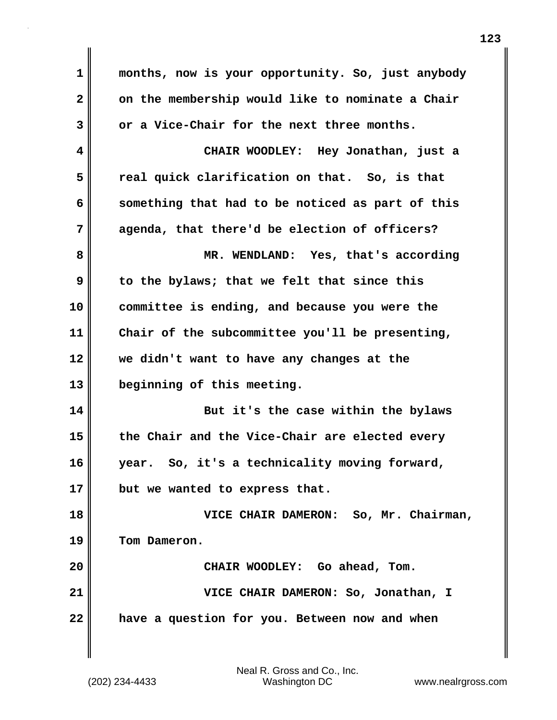| $\mathbf{1}$   | months, now is your opportunity. So, just anybody |
|----------------|---------------------------------------------------|
| $\overline{2}$ | on the membership would like to nominate a Chair  |
| 3              | or a Vice-Chair for the next three months.        |
| 4              | CHAIR WOODLEY: Hey Jonathan, just a               |
| 5              | real quick clarification on that. So, is that     |
| 6              | something that had to be noticed as part of this  |
| 7              | agenda, that there'd be election of officers?     |
| 8              | MR. WENDLAND: Yes, that's according               |
| 9              | to the bylaws; that we felt that since this       |
| 10             | committee is ending, and because you were the     |
| 11             | Chair of the subcommittee you'll be presenting,   |
| 12             | we didn't want to have any changes at the         |
| 13             | beginning of this meeting.                        |
| 14             | But it's the case within the bylaws               |
| 15             | the Chair and the Vice-Chair are elected every    |
| 16             | year. So, it's a technicality moving forward,     |
| 17             | but we wanted to express that.                    |
| 18             | VICE CHAIR DAMERON: So, Mr. Chairman,             |
| 19             | Tom Dameron.                                      |
| 20             | CHAIR WOODLEY: Go ahead, Tom.                     |
| 21             | VICE CHAIR DAMERON: So, Jonathan, I               |
| 22             | have a question for you. Between now and when     |
|                |                                                   |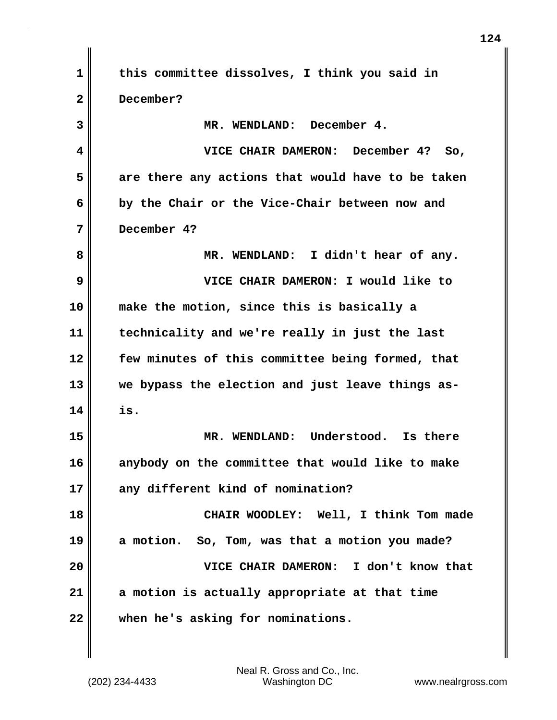**1 this committee dissolves, I think you said in 2 December? 3 MR. WENDLAND: December 4. 4 VICE CHAIR DAMERON: December 4? So, 5 are there any actions that would have to be taken 6 by the Chair or the Vice-Chair between now and 7 December 4? 8 MR. WENDLAND: I didn't hear of any. 9 VICE CHAIR DAMERON: I would like to 10 make the motion, since this is basically a 11 technicality and we're really in just the last 12 few minutes of this committee being formed, that 13 we bypass the election and just leave things as-14 is. 15 MR. WENDLAND: Understood. Is there 16 anybody on the committee that would like to make 17 any different kind of nomination? 18 CHAIR WOODLEY: Well, I think Tom made 19 a motion. So, Tom, was that a motion you made? 20 VICE CHAIR DAMERON: I don't know that 21 a motion is actually appropriate at that time 22 when he's asking for nominations.**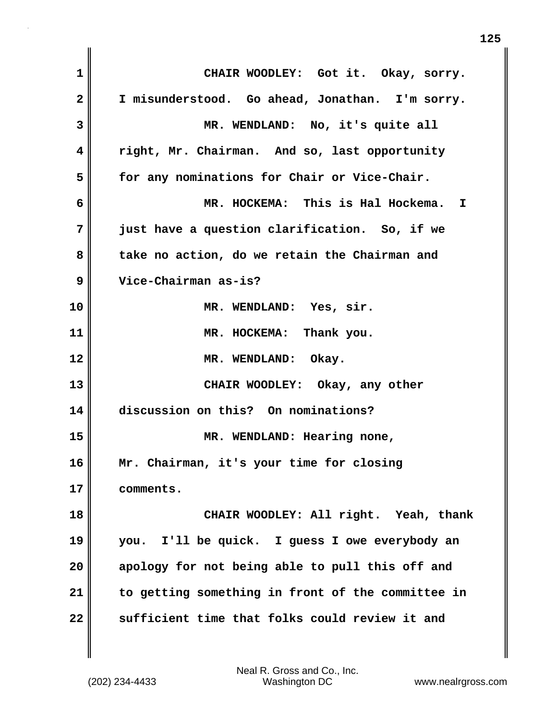**1 CHAIR WOODLEY: Got it. Okay, sorry. 2 I misunderstood. Go ahead, Jonathan. I'm sorry. 3 MR. WENDLAND: No, it's quite all 4 right, Mr. Chairman. And so, last opportunity 5 for any nominations for Chair or Vice-Chair. 6 MR. HOCKEMA: This is Hal Hockema. I 7 just have a question clarification. So, if we 8 take no action, do we retain the Chairman and 9 Vice-Chairman as-is? 10 MR. WENDLAND: Yes, sir. 11 MR. HOCKEMA: Thank you. 12 MR. WENDLAND: Okay. 13 CHAIR WOODLEY: Okay, any other 14 discussion on this? On nominations? 15 MR. WENDLAND: Hearing none, 16 Mr. Chairman, it's your time for closing 17 comments. 18 CHAIR WOODLEY: All right. Yeah, thank 19 you. I'll be quick. I guess I owe everybody an 20 apology for not being able to pull this off and 21 to getting something in front of the committee in 22 sufficient time that folks could review it and**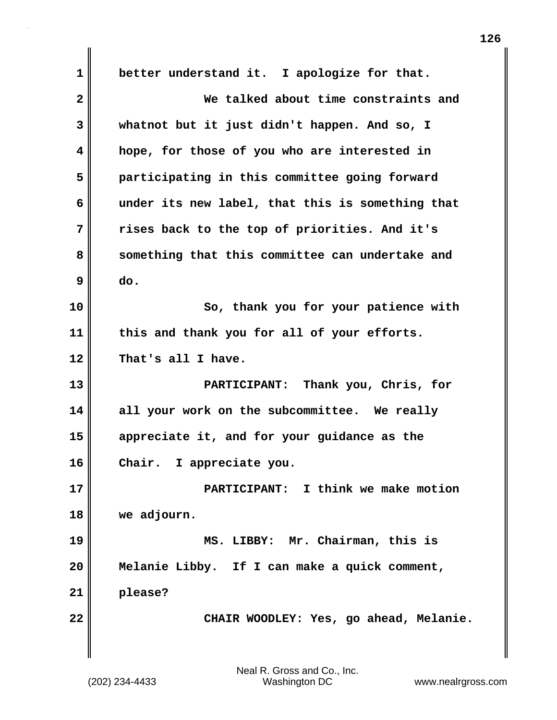**1 better understand it. I apologize for that. 2 We talked about time constraints and 3 whatnot but it just didn't happen. And so, I 4 hope, for those of you who are interested in 5 participating in this committee going forward 6 under its new label, that this is something that 7 rises back to the top of priorities. And it's 8 something that this committee can undertake and 9 do. 10 So, thank you for your patience with 11 this and thank you for all of your efforts. 12 That's all I have. 13 PARTICIPANT: Thank you, Chris, for 14 all your work on the subcommittee. We really 15 appreciate it, and for your guidance as the 16 Chair. I appreciate you. 17 PARTICIPANT: I think we make motion 18 we adjourn. 19 MS. LIBBY: Mr. Chairman, this is 20 Melanie Libby. If I can make a quick comment, 21 please? 22 CHAIR WOODLEY: Yes, go ahead, Melanie.**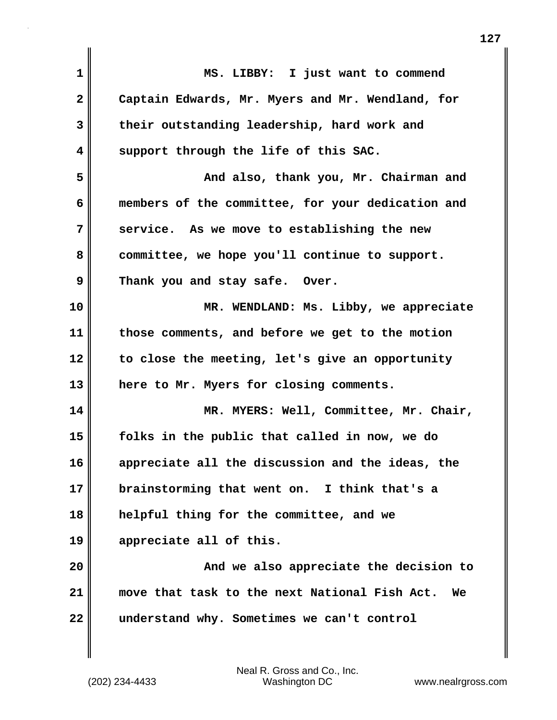| MS. LIBBY: I just want to commend                   |
|-----------------------------------------------------|
| Captain Edwards, Mr. Myers and Mr. Wendland, for    |
| their outstanding leadership, hard work and         |
| support through the life of this SAC.               |
| And also, thank you, Mr. Chairman and               |
| members of the committee, for your dedication and   |
| service. As we move to establishing the new         |
| committee, we hope you'll continue to support.      |
| Thank you and stay safe. Over.                      |
| MR. WENDLAND: Ms. Libby, we appreciate              |
| those comments, and before we get to the motion     |
| to close the meeting, let's give an opportunity     |
| here to Mr. Myers for closing comments.             |
| MR. MYERS: Well, Committee, Mr. Chair,              |
| folks in the public that called in now, we do       |
| appreciate all the discussion and the ideas, the    |
| brainstorming that went on. I think that's a        |
| helpful thing for the committee, and we             |
| appreciate all of this.                             |
| And we also appreciate the decision to              |
| move that task to the next National Fish Act.<br>We |
| understand why. Sometimes we can't control          |
|                                                     |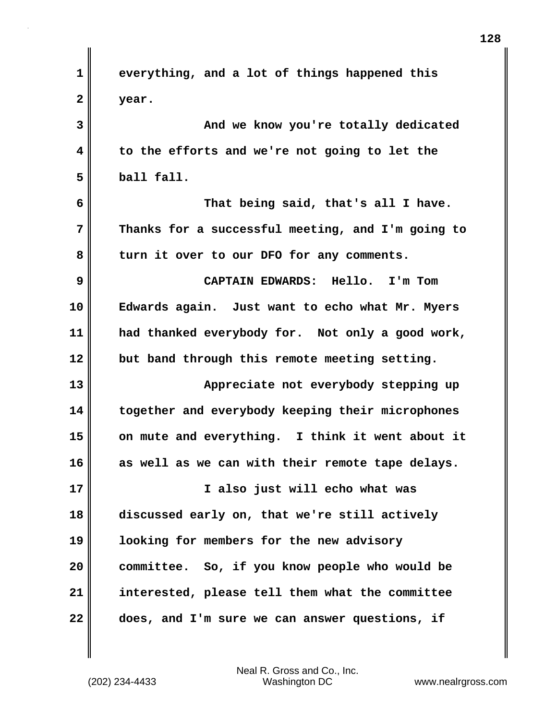| 1            | everything, and a lot of things happened this     |
|--------------|---------------------------------------------------|
| $\mathbf{2}$ | year.                                             |
| 3            | And we know you're totally dedicated              |
| 4            | to the efforts and we're not going to let the     |
| 5            | ball fall.                                        |
| 6            | That being said, that's all I have.               |
| 7            | Thanks for a successful meeting, and I'm going to |
| 8            | turn it over to our DFO for any comments.         |
| 9            | CAPTAIN EDWARDS: Hello. I'm Tom                   |
| 10           | Edwards again. Just want to echo what Mr. Myers   |
| 11           | had thanked everybody for. Not only a good work,  |
| 12           | but band through this remote meeting setting.     |
| 13           | Appreciate not everybody stepping up              |
| 14           | together and everybody keeping their microphones  |
| 15           | on mute and everything. I think it went about it  |
| 16           | as well as we can with their remote tape delays.  |
| 17           | I also just will echo what was                    |
| 18           | discussed early on, that we're still actively     |
| 19           | looking for members for the new advisory          |
| 20           | committee. So, if you know people who would be    |
| 21           | interested, please tell them what the committee   |
| 22           | does, and I'm sure we can answer questions, if    |

 $\mathbf{I}$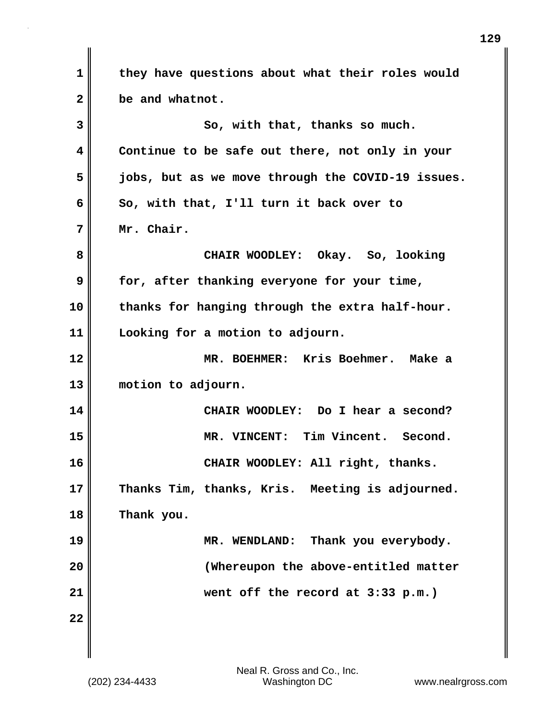**1 they have questions about what their roles would 2 be and whatnot. 3** So, with that, thanks so much. **4 Continue to be safe out there, not only in your 5 jobs, but as we move through the COVID-19 issues. 6 So, with that, I'll turn it back over to 7 Mr. Chair. 8 CHAIR WOODLEY: Okay. So, looking 9 for, after thanking everyone for your time, 10 thanks for hanging through the extra half-hour. 11 Looking for a motion to adjourn. 12 MR. BOEHMER: Kris Boehmer. Make a 13 motion to adjourn. 14 CHAIR WOODLEY: Do I hear a second? 15 MR. VINCENT: Tim Vincent. Second. 16 CHAIR WOODLEY: All right, thanks. 17 Thanks Tim, thanks, Kris. Meeting is adjourned. 18 Thank you. 19 MR. WENDLAND: Thank you everybody. 20 (Whereupon the above-entitled matter 21 went off the record at 3:33 p.m.) 22**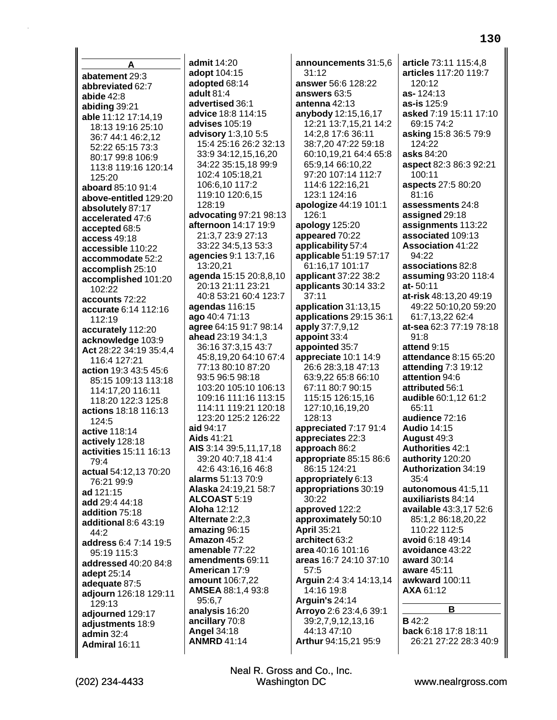**A abatement** 29:3 **abbreviated** 62:7 **abide** 42:8 **abiding** 39:21 **able** 11:12 17:14,19 18:13 19:16 25:10 36:7 44:1 46:2,12 52:22 65:15 73:3 80:17 99:8 106:9 113:8 119:16 120:14 125:20 **aboard** 85:10 91:4 **above-entitled** 129:20 **absolutely** 87:17 **accelerated** 47:6 **accepted** 68:5 **access** 49:18 **accessible** 110:22 **accommodate** 52:2 **accomplish** 25:10 **accomplished** 101:20 102:22 **accounts** 72:22 **accurate** 6:14 112:16 112:19 **accurately** 112:20 **acknowledge** 103:9 **Act** 28:22 34:19 35:4,4 116:4 127:21 **action** 19:3 43:5 45:6 85:15 109:13 113:18 114:17,20 116:11 118:20 122:3 125:8 **actions** 18:18 116:13 124:5 **active** 118:14 **actively** 128:18 **activities** 15:11 16:13 79:4 **actual** 54:12,13 70:20 76:21 99:9 **ad** 121:15 **add** 29:4 44:18 **addition** 75:18 **additional** 8:6 43:19 44:2 **address** 6:4 7:14 19:5 95:19 115:3 **addressed** 40:20 84:8 **adept** 25:14 **adequate** 87:5 **adjourn** 126:18 129:11 129:13 **adjourned** 129:17 **adjustments** 18:9 **admin** 32:4 **Admiral** 16:11

**admit** 14:20 **adopt** 104:15 **adopted** 68:14 **adult** 81:4 **advertised** 36:1 **advice** 18:8 114:15 **advises** 105:19 **advisory** 1:3,10 5:5 15:4 25:16 26:2 32:13 33:9 34:12,15,16,20 34:22 35:15,18 99:9 102:4 105:18,21 106:6,10 117:2 119:10 120:6,15 128:19 **advocating** 97:21 98:13 **afternoon** 14:17 19:9 21:3,7 23:9 27:13 33:22 34:5,13 53:3 **agencies** 9:1 13:7,16 13:20,21 **agenda** 15:15 20:8,8,10 20:13 21:11 23:21 40:8 53:21 60:4 123:7 **agendas** 116:15 **ago** 40:4 71:13 **agree** 64:15 91:7 98:14 **ahead** 23:19 34:1,3 36:16 37:3,15 43:7 45:8,19,20 64:10 67:4 77:13 80:10 87:20 93:5 96:5 98:18 103:20 105:10 106:13 109:16 111:16 113:15 114:11 119:21 120:18 123:20 125:2 126:22 **aid** 94:17 **Aids** 41:21 **AIS** 3:14 39:5,11,17,18 39:20 40:7,18 41:4 42:6 43:16,16 46:8 **alarms** 51:13 70:9 **Alaska** 24:19,21 58:7 **ALCOAST** 5:19 **Aloha** 12:12 **Alternate** 2:2,3 **amazing** 96:15 **Amazon** 45:2 **amenable** 77:22 **amendments** 69:11 **American** 17:9 **amount** 106:7,22 **AMSEA** 88:1,4 93:8 95:6,7 **analysis** 16:20 **ancillary** 70:8 **Angel** 34:18 **ANMRD** 41:14

**announcements** 31:5,6 31:12 **answer** 56:6 128:22 **answers** 63:5 **antenna** 42:13 **anybody** 12:15,16,17 12:21 13:7,15,21 14:2 14:2,8 17:6 36:11 38:7,20 47:22 59:18 60:10,19,21 64:4 65:8 65:9,14 66:10,22 97:20 107:14 112:7 114:6 122:16,21 123:1 124:16 **apologize** 44:19 101:1 126:1 **apology** 125:20 **appeared** 70:22 **applicability** 57:4 **applicable** 51:19 57:17 61:16,17 101:17 **applicant** 37:22 38:2 **applicants** 30:14 33:2 37:11 **application** 31:13,15 **applications** 29:15 36:1 **apply** 37:7,9,12 **appoint** 33:4 **appointed** 35:7 **appreciate** 10:1 14:9 26:6 28:3,18 47:13 63:9,22 65:8 66:10 67:11 80:7 90:15 115:15 126:15,16 127:10,16,19,20 128:13 **appreciated** 7:17 91:4 **appreciates** 22:3 **approach** 86:2 **appropriate** 85:15 86:6 86:15 124:21 **appropriately** 6:13 **appropriations** 30:19 30:22 **approved** 122:2 **approximately** 50:10 **April** 35:21 **architect** 63:2 **area** 40:16 101:16 **areas** 16:7 24:10 37:10 57:5 **Arguin** 2:4 3:4 14:13,14 14:16 19:8 **Arguin's** 24:14 **Arroyo** 2:6 23:4,6 39:1 39:2,7,9,12,13,16 44:13 47:10 **Arthur** 94:15,21 95:9

**article** 73:11 115:4,8 **articles** 117:20 119:7 120:12 **as-** 124:13 **as-is** 125:9 **asked** 7:19 15:11 17:10 69:15 74:2 **asking** 15:8 36:5 79:9 124:22 **asks** 84:20 **aspect** 82:3 86:3 92:21 100:11 **aspects** 27:5 80:20 81:16 **assessments** 24:8 **assigned** 29:18 **assignments** 113:22 **associated** 109:13 **Association** 41:22 94:22 **associations** 82:8 **assuming** 93:20 118:4 **at-** 50:11 **at-risk** 48:13,20 49:19 49:22 50:10,20 59:20 61:7,13,22 62:4 **at-sea** 62:3 77:19 78:18 91:8 **attend** 9:15 **attendance** 8:15 65:20 **attending** 7:3 19:12 **attention** 94:6 **attributed** 56:1 **audible** 60:1,12 61:2 65:11 **audience** 72:16 **Audio** 14:15 **August** 49:3 **Authorities** 42:1 **authority** 120:20 **Authorization** 34:19 35:4 **autonomous** 41:5,11 **auxiliarists** 84:14 **available** 43:3,17 52:6 85:1,2 86:18,20,22 110:22 112:5 **avoid** 6:18 49:14 **avoidance** 43:22 **award** 30:14 **aware** 45:11 **awkward** 100:11 **AXA** 61:12 **B B** 42:2

**back** 6:18 17:8 18:11 26:21 27:22 28:3 40:9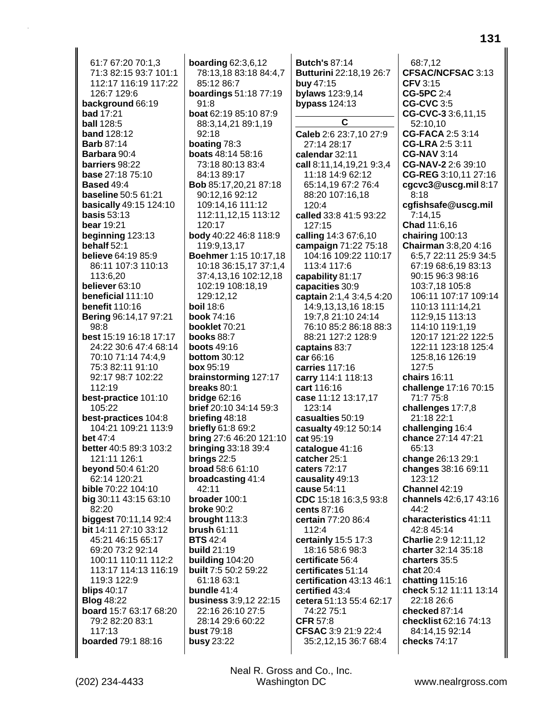61:7 67:20 70:1,3 71:3 82:15 93:7 101:1 112:17 116:19 117:22 126:7 129:6 **background** 66:19 **bad** 17:21 **ball** 128:5 **band** 128:12 **Barb** 87:14 **Barbara** 90:4 **barriers** 98:22 **base** 27:18 75:10 **Based** 49:4 **baseline** 50:5 61:21 **basically** 49:15 124:10 **basis** 53:13 **bear** 19:21 **beginning** 123:13 **behalf** 52:1 **believe** 64:19 85:9 86:11 107:3 110:13 113:6,20 **believer** 63:10 **beneficial** 111:10 **benefit** 110:16 **Bering** 96:14,17 97:21 98:8 **best** 15:19 16:18 17:17 24:22 30:6 47:4 68:14 70:10 71:14 74:4,9 75:3 82:11 91:10 92:17 98:7 102:22 112:19 **best-practice** 101:10 105:22 **best-practices** 104:8 104:21 109:21 113:9 **bet** 47:4 **better** 40:5 89:3 103:2 121:11 126:1 **beyond** 50:4 61:20 62:14 120:21 **bible** 70:22 104:10 **big** 30:11 43:15 63:10 82:20 **biggest** 70:11,14 92:4 **bit** 14:11 27:10 33:12 45:21 46:15 65:17 69:20 73:2 92:14 100:11 110:11 112:2 113:17 114:13 116:19 119:3 122:9 **blips** 40:17 **Blog** 48:22 **board** 15:7 63:17 68:20 79:2 82:20 83:1 117:13 **boarded** 79:1 88:16

**boarding** 62:3,6,12 78:13,18 83:18 84:4,7 85:12 86:7 **boardings** 51:18 77:19 91:8 **boat** 62:19 85:10 87:9 88:3,14,21 89:1,19 92:18 **boating** 78:3 **boats** 48:14 58:16 73:18 80:13 83:4 84:13 89:17 **Bob** 85:17,20,21 87:18 90:12,16 92:12 109:14,16 111:12 112:11,12,15 113:12 120:17 **body** 40:22 46:8 118:9 119:9,13,17 **Boehmer** 1:15 10:17,18 10:18 36:15,17 37:1,4 37:4,13,16 102:12,18 102:19 108:18,19 129:12,12 **boil** 18:6 **book** 74:16 **booklet** 70:21 **books** 88:7 **boots** 49:16 **bottom** 30:12 **box** 95:19 **brainstorming** 127:17 **breaks** 80:1 **bridge** 62:16 **brief** 20:10 34:14 59:3 **briefing** 48:18 **briefly** 61:8 69:2 **bring** 27:6 46:20 121:10 **bringing** 33:18 39:4 **brings** 22:5 **broad** 58:6 61:10 **broadcasting** 41:4 42:11 **broader** 100:1 **broke** 90:2 **brought** 113:3 **brush** 61:11 **BTS** 42:4 **build** 21:19 **building** 104:20 **built** 7:5 50:2 59:22 61:18 63:1 **bundle** 41:4 **business** 3:9,12 22:15 22:16 26:10 27:5 28:14 29:6 60:22 **bust** 79:18 **busy** 23:22

**Butch's** 87:14 **Butturini** 22:18,19 26:7 **buy** 47:15 **bylaws** 123:9,14 **bypass** 124:13 **C Caleb** 2:6 23:7,10 27:9 27:14 28:17 **calendar** 32:11 **call** 8:11,14,19,21 9:3,4 11:18 14:9 62:12 65:14,19 67:2 76:4 88:20 107:16,18 120:4 **called** 33:8 41:5 93:22 127:15 **calling** 14:3 67:6,10 **campaign** 71:22 75:18 104:16 109:22 110:17 113:4 117:6 **capability** 81:17 **capacities** 30:9 **captain** 2:1,4 3:4,5 4:20 14:9,13,13,16 18:15 19:7,8 21:10 24:14 76:10 85:2 86:18 88:3 88:21 127:2 128:9 **captains** 83:7 **car** 66:16 **carries** 117:16 **carry** 114:1 118:13 **cart** 116:16 **case** 11:12 13:17,17 123:14 **casualties** 50:19 **casualty** 49:12 50:14 **cat** 95:19 **catalogue** 41:16 **catcher** 25:1 **caters** 72:17 **causality** 49:13 **cause** 54:11 **CDC** 15:18 16:3,5 93:8 **cents** 87:16 **certain** 77:20 86:4 112:4 **certainly** 15:5 17:3 18:16 58:6 98:3 **certificate** 56:4 **certificates** 51:14 **certification** 43:13 46:1 **certified** 43:4 **cetera** 51:13 55:4 62:17 74:22 75:1 **CFR** 57:8 **CFSAC** 3:9 21:9 22:4 35:2,12,15 36:7 68:4

68:7,12 **CFSAC/NCFSAC** 3:13 **CFV** 3:15 **CG-5PC** 2:4 **CG-CVC** 3:5 **CG-CVC-3** 3:6,11,15 52:10,10 **CG-FACA** 2:5 3:14 **CG-LRA** 2:5 3:11 **CG-NAV** 3:14 **CG-NAV-2** 2:6 39:10 **CG-REG** 3:10,11 27:16 **cgcvc3@uscg.mil** 8:17 8:18 **cgfishsafe@uscg.mil** 7:14,15 **Chad** 11:6,16 **chairing** 100:13 **Chairman** 3:8,20 4:16 6:5,7 22:11 25:9 34:5 67:19 68:6,19 83:13 90:15 96:3 98:16 103:7,18 105:8 106:11 107:17 109:14 110:13 111:14,21 112:9,15 113:13 114:10 119:1,19 120:17 121:22 122:5 122:11 123:18 125:4 125:8,16 126:19 127:5 **chairs** 16:11 **challenge** 17:16 70:15 71:7 75:8 **challenges** 17:7,8 21:18 22:1 **challenging** 16:4 **chance** 27:14 47:21 65:13 **change** 26:13 29:1 **changes** 38:16 69:11 123:12 **Channel** 42:19 **channels** 42:6,17 43:16 44:2 **characteristics** 41:11 42:8 45:14 **Charlie** 2:9 12:11,12 **charter** 32:14 35:18 **charters** 35:5 **chat** 20:4 **chatting** 115:16 **check** 5:12 11:11 13:14 22:18 26:6 **checked** 87:14 **checklist** 62:16 74:13 84:14,15 92:14 **checks** 74:17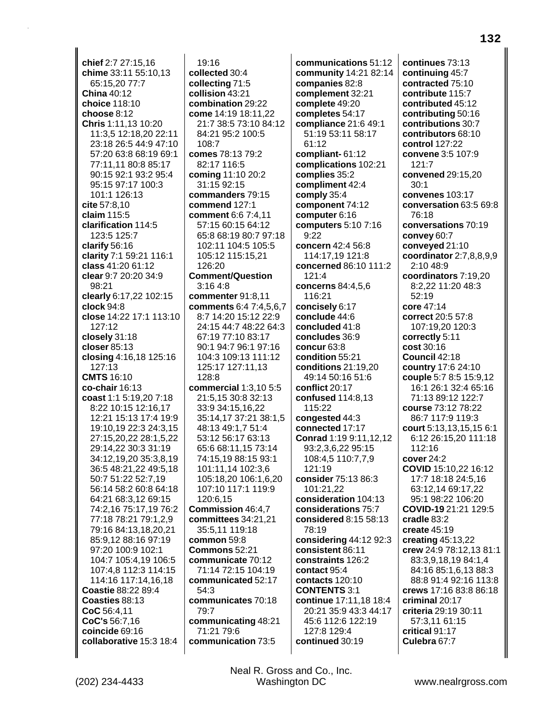**chief** 2:7 27:15,16 **chime** 33:11 55:10,13 65:15,20 77:7 **China** 40:12 **choice** 118:10 **choose** 8:12 **Chris** 1:11,13 10:20 11:3,5 12:18,20 22:11 23:18 26:5 44:9 47:10 57:20 63:8 68:19 69:1 77:11,11 80:8 85:17 90:15 92:1 93:2 95:4 95:15 97:17 100:3 101:1 126:13 **cite** 57:8,10 **claim** 115:5 **clarification** 114:5 123:5 125:7 **clarify** 56:16 **clarity** 7:1 59:21 116:1 **class** 41:20 61:12 **clear** 9:7 20:20 34:9 98:21 **clearly** 6:17,22 102:15 **clock** 94:8 **close** 14:22 17:1 113:10 127:12 **closely** 31:18 **closer** 85:13 **closing** 4:16,18 125:16 127:13 **CMTS** 16:10 **co-chair** 16:13 **coast** 1:1 5:19,20 7:18 8:22 10:15 12:16,17 12:21 15:13 17:4 19:9 19:10,19 22:3 24:3,15 27:15,20,22 28:1,5,22 29:14,22 30:3 31:19 34:12,19,20 35:3,8,19 36:5 48:21,22 49:5,18 50:7 51:22 52:7,19 56:14 58:2 60:8 64:18 64:21 68:3,12 69:15 74:2,16 75:17,19 76:2 77:18 78:21 79:1,2,9 79:16 84:13,18,20,21 85:9,12 88:16 97:19 97:20 100:9 102:1 104:7 105:4,19 106:5 107:4,8 112:3 114:15 114:16 117:14,16,18 **Coastie** 88:22 89:4 **Coasties** 88:13 **CoC** 56:4,11 **CoC's** 56:7,16 **coincide** 69:16 **collaborative** 15:3 18:4

19:16 **collected** 30:4 **collecting** 71:5 **collision** 43:21 **combination** 29:22 **come** 14:19 18:11,22 21:7 38:5 73:10 84:12 84:21 95:2 100:5 108:7 **comes** 78:13 79:2 82:17 116:5 **coming** 11:10 20:2 31:15 92:15 **commanders** 79:15 **commend** 127:1 **comment** 6:6 7:4,11 57:15 60:15 64:12 65:8 68:19 80:7 97:18 102:11 104:5 105:5 105:12 115:15,21 126:20 **Comment/Question** 3:16 4:8 **commenter** 91:8,11 **comments** 6:4 7:4,5,6,7 8:7 14:20 15:12 22:9 24:15 44:7 48:22 64:3 67:19 77:10 83:17 90:1 94:7 96:1 97:16 104:3 109:13 111:12 125:17 127:11,13 128:8 **commercial** 1:3,10 5:5 21:5,15 30:8 32:13 33:9 34:15,16,22 35:14,17 37:21 38:1,5 48:13 49:1,7 51:4 53:12 56:17 63:13 65:6 68:11,15 73:14 74:15,19 88:15 93:1 101:11,14 102:3,6 105:18,20 106:1,6,20 107:10 117:1 119:9 120:6,15 **Commission** 46:4,7 **committees** 34:21,21 35:5,11 119:18 **common** 59:8 **Commons** 52:21 **communicate** 70:12 71:14 72:15 104:19 **communicated** 52:17 54:3 **communicates** 70:18 79:7 **communicating** 48:21 71:21 79:6 **communication** 73:5

**communications** 51:12 **community** 14:21 82:14 **companies** 82:8 **complement** 32:21 **complete** 49:20 **completes** 54:17 **compliance** 21:6 49:1 51:19 53:11 58:17 61:12 **compliant-** 61:12 **complications** 102:21 **complies** 35:2 **compliment** 42:4 **comply** 35:4 **component** 74:12 **computer** 6:16 **computers** 5:10 7:16  $9.22$ **concern** 42:4 56:8 114:17,19 121:8 **concerned** 86:10 111:2 121:4 **concerns** 84:4,5,6 116:21 **concisely** 6:17 **conclude** 44:6 **concluded** 41:8 **concludes** 36:9 **concur** 63:8 **condition** 55:21 **conditions** 21:19,20 49:14 50:16 51:6 **conflict** 20:17 **confused** 114:8,13 115:22 **congested** 44:3 **connected** 17:17 **Conrad** 1:19 9:11,12,12 93:2,3,6,22 95:15 108:4,5 110:7,7,9 121:19 **consider** 75:13 86:3 101:21,22 **consideration** 104:13 **considerations** 75:7 **considered** 8:15 58:13 78:19 **considering** 44:12 92:3 **consistent** 86:11 **constraints** 126:2 **contact** 95:4 **contacts** 120:10 **CONTENTS** 3:1 **continue** 17:11,18 18:4 20:21 35:9 43:3 44:17 45:6 112:6 122:19 127:8 129:4 **continued** 30:19

**continues** 73:13 **continuing** 45:7 **contracted** 75:10 **contribute** 115:7 **contributed** 45:12 **contributing** 50:16 **contributions** 30:7 **contributors** 68:10 **control** 127:22 **convene** 3:5 107:9 121:7 **convened** 29:15,20 30:1 **convenes** 103:17 **conversation** 63:5 69:8 76:18 **conversations** 70:19 **convey** 60:7 **conveyed** 21:10 **coordinator** 2:7,8,8,9,9 2:10 48:9 **coordinators** 7:19,20 8:2,22 11:20 48:3 52:19 **core** 47:14 **correct** 20:5 57:8 107:19,20 120:3 **correctly** 5:11 **cost** 30:16 **Council** 42:18 **country** 17:6 24:10 **couple** 5:7 8:5 15:9,12 16:1 26:1 32:4 65:16 71:13 89:12 122:7 **course** 73:12 78:22 86:7 117:9 119:3 **court** 5:13,13,15,15 6:1 6:12 26:15,20 111:18 112:16 **cover** 24:2 **COVID** 15:10,22 16:12 17:7 18:18 24:5,16 63:12,14 69:17,22 95:1 98:22 106:20 **COVID-19** 21:21 129:5 **cradle** 83:2 **create** 45:19 **creating** 45:13,22 **crew** 24:9 78:12,13 81:1 83:3,9,18,19 84:1,4 84:16 85:1,6,13 88:3 88:8 91:4 92:16 113:8 **crews** 17:16 83:8 86:18 **criminal** 20:17 **criteria** 29:19 30:11 57:3,11 61:15 **critical** 91:17 **Culebra** 67:7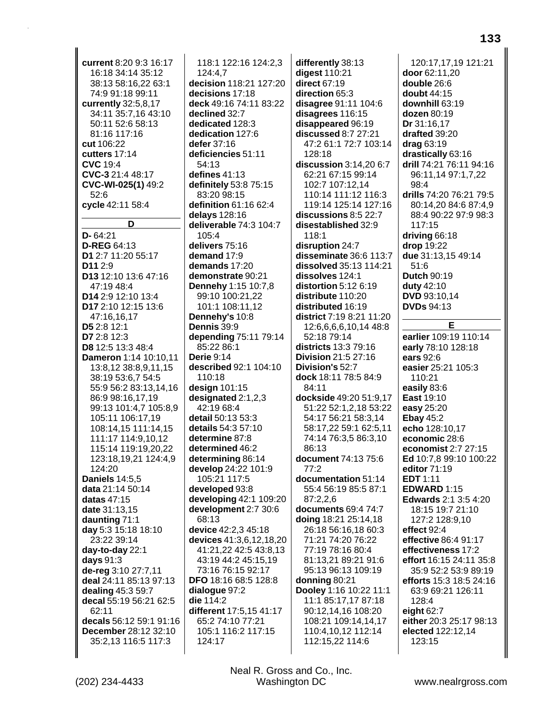**current** 8:20 9:3 16:17 16:18 34:14 35:12 38:13 58:16,22 63:1 74:9 91:18 99:11 **currently** 32:5,8,17 34:11 35:7,16 43:10 50:11 52:6 58:13 81:16 117:16 **cut** 106:22 **cutters** 17:14 **CVC** 19:4 **CVC-3** 21:4 48:17 **CVC-WI-025(1)** 49:2 52:6 **cycle** 42:11 58:4 **D D-** 64:21 **D-REG** 64:13 **D1** 2:7 11:20 55:17 **D11** 2:9 **D13** 12:10 13:6 47:16 47:19 48:4 **D14** 2:9 12:10 13:4 **D17** 2:10 12:15 13:6 47:16,16,17 **D5** 2:8 12:1 **D7** 2:8 12:3 **D8** 12:5 13:3 48:4 **Dameron** 1:14 10:10,11 13:8,12 38:8,9,11,15 38:19 53:6,7 54:5 55:9 56:2 83:13,14,16 86:9 98:16,17,19 99:13 101:4,7 105:8,9 105:11 106:17,19 108:14,15 111:14,15 111:17 114:9,10,12 115:14 119:19,20,22 123:18,19,21 124:4,9 124:20 **Daniels** 14:5,5 **data** 21:14 50:14 **datas** 47:15 **date** 31:13,15 **daunting** 71:1 **day** 5:3 15:18 18:10 23:22 39:14 **day-to-day** 22:1 **days** 91:3 **de-reg** 3:10 27:7,11 **deal** 24:11 85:13 97:13 **dealing** 45:3 59:7 **decal** 55:19 56:21 62:5 62:11 **decals** 56:12 59:1 91:16 **December** 28:12 32:10 35:2,13 116:5 117:3

118:1 122:16 124:2,3 124:4,7 **decision** 118:21 127:20 **decisions** 17:18 **deck** 49:16 74:11 83:22 **declined** 32:7 **dedicated** 128:3 **dedication** 127:6 **defer** 37:16 **deficiencies** 51:11 54:13 **defines** 41:13 **definitely** 53:8 75:15 83:20 98:15 **definition** 61:16 62:4 **delays** 128:16 **deliverable** 74:3 104:7 105:4 **delivers** 75:16 **demand** 17:9 **demands** 17:20 **demonstrate** 90:21 **Dennehy** 1:15 10:7,8 99:10 100:21,22 101:1 108:11,12 **Dennehy's** 10:8 **Dennis** 39:9 **depending** 75:11 79:14 85:22 86:1 **Derie** 9:14 **described** 92:1 104:10 110:18 **design** 101:15 **designated** 2:1,2,3 42:19 68:4 **detail** 50:13 53:3 **details** 54:3 57:10 **determine** 87:8 **determined** 46:2 **determining** 86:14 **develop** 24:22 101:9 105:21 117:5 **developed** 93:8 **developing** 42:1 109:20 **development** 2:7 30:6 68:13 **device** 42:2,3 45:18 **devices** 41:3,6,12,18,20 41:21,22 42:5 43:8,13 43:19 44:2 45:15,19 73:16 76:15 92:17 **DFO** 18:16 68:5 128:8 **dialogue** 97:2 **die** 114:2 **different** 17:5,15 41:17 65:2 74:10 77:21 105:1 116:2 117:15 124:17

**differently** 38:13 **digest** 110:21 **direct** 67:19 **direction** 65:3 **disagree** 91:11 104:6 **disagrees** 116:15 **disappeared** 96:19 **discussed** 8:7 27:21 47:2 61:1 72:7 103:14 128:18 **discussion** 3:14,20 6:7 62:21 67:15 99:14 102:7 107:12,14 110:14 111:12 116:3 119:14 125:14 127:16 **discussions** 8:5 22:7 **disestablished** 32:9 118:1 **disruption** 24:7 **disseminate** 36:6 113:7 **dissolved** 35:13 114:21 **dissolves** 124:1 **distortion** 5:12 6:19 **distribute** 110:20 **distributed** 16:19 **district** 7:19 8:21 11:20 12:6,6,6,6,10,14 48:8 52:18 79:14 **districts** 13:3 79:16 **Division** 21:5 27:16 **Division's** 52:7 **dock** 18:11 78:5 84:9 84:11 **dockside** 49:20 51:9,17 51:22 52:1,2,18 53:22 54:17 56:21 58:3,14 58:17,22 59:1 62:5,11 74:14 76:3,5 86:3,10 86:13 **document** 74:13 75:6 77:2 **documentation** 51:14 55:4 56:19 85:5 87:1 87:2,2,6 **documents** 69:4 74:7 **doing** 18:21 25:14,18 26:18 56:16,18 60:3 71:21 74:20 76:22 77:19 78:16 80:4 81:13,21 89:21 91:6 95:13 96:13 109:19 **donning** 80:21 **Dooley** 1:16 10:22 11:1 11:1 85:17,17 87:18 90:12,14,16 108:20 108:21 109:14,14,17 110:4,10,12 112:14 112:15,22 114:6

120:17,17,19 121:21 **door** 62:11,20 **double** 26:6 **doubt** 44:15 **downhill** 63:19 **dozen** 80:19 **Dr** 31:16,17 **drafted** 39:20 **drag** 63:19 **drastically** 63:16 **drill** 74:21 76:11 94:16 96:11,14 97:1,7,22 98:4 **drills** 74:20 76:21 79:5 80:14,20 84:6 87:4,9 88:4 90:22 97:9 98:3 117:15 **driving** 66:18 **drop** 19:22 **due** 31:13,15 49:14 51:6 **Dutch** 90:19 **duty** 42:10 **DVD** 93:10,14 **DVDs** 94:13 **E earlier** 109:19 110:14 **early** 78:10 128:18 **ears** 92:6 **easier** 25:21 105:3 110:21 **easily** 83:6 **East** 19:10 **easy** 25:20 **Ebay** 45:2 **echo** 128:10,17 **economic** 28:6

**economist** 2:7 27:15 **Ed** 10:7,8 99:10 100:22 **editor** 71:19 **EDT** 1:11 **EDWARD** 1:15 **Edwards** 2:1 3:5 4:20 18:15 19:7 21:10 127:2 128:9,10 **effect** 92:4 **effective** 86:4 91:17 **effectiveness** 17:2 **effort** 16:15 24:11 35:8 35:9 52:2 53:9 89:19 **efforts** 15:3 18:5 24:16 63:9 69:21 126:11 128:4 **eight** 62:7 **either** 20:3 25:17 98:13 **elected** 122:12,14

123:15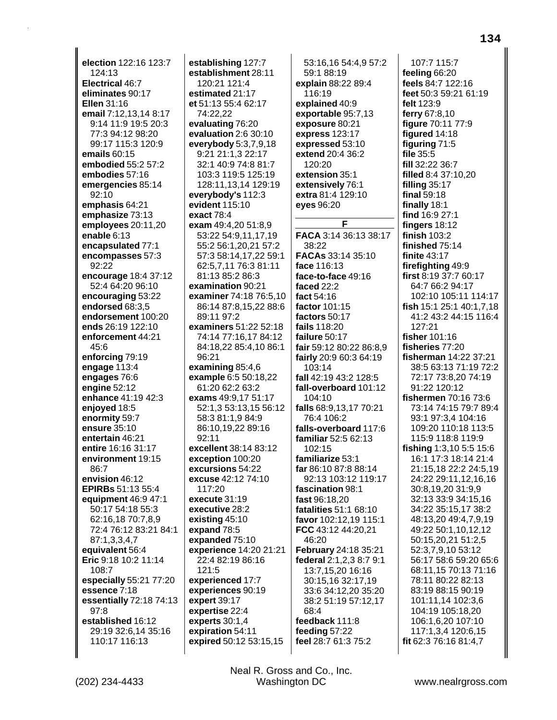**election** 122:16 123:7 124:13 **Electrical** 46:7 **eliminates** 90:17 **Ellen** 31:16 **email** 7:12,13,14 8:17 9:14 11:9 19:5 20:3 77:3 94:12 98:20 99:17 115:3 120:9 **emails** 60:15 **embodied** 55:2 57:2 **embodies** 57:16 **emergencies** 85:14 92:10 **emphasis** 64:21 **emphasize** 73:13 **employees** 20:11,20 **enable** 6:13 **encapsulated** 77:1 **encompasses** 57:3 92:22 **encourage** 18:4 37:12 52:4 64:20 96:10 **encouraging** 53:22 **endorsed** 68:3,5 **endorsement** 100:20 **ends** 26:19 122:10 **enforcement** 44:21 45:6 **enforcing** 79:19 **engage** 113:4 **engages** 76:6 **engine** 52:12 **enhance** 41:19 42:3 **enjoyed** 18:5 **enormity** 59:7 **ensure** 35:10 **entertain** 46:21 **entire** 16:16 31:17 **environment** 19:15 86:7 **envision** 46:12 **EPIRBs** 51:13 55:4 **equipment** 46:9 47:1 50:17 54:18 55:3 62:16,18 70:7,8,9 72:4 76:12 83:21 84:1 87:1,3,3,4,7 **equivalent** 56:4 **Eric** 9:18 10:2 11:14 108:7 **especially** 55:21 77:20 **essence** 7:18 **essentially** 72:18 74:13 97:8 **established** 16:12 29:19 32:6,14 35:16 110:17 116:13

**establishing** 127:7 **establishment** 28:11 120:21 121:4 **estimated** 21:17 **et** 51:13 55:4 62:17 74:22,22 **evaluating** 76:20 **evaluation** 2:6 30:10 **everybody** 5:3,7,9,18 9:21 21:1,3 22:17 32:1 40:9 74:8 81:7 103:3 119:5 125:19 128:11,13,14 129:19 **everybody's** 112:3 **evident** 115:10 **exact** 78:4 **exam** 49:4,20 51:8,9 53:22 54:9,11,17,19 55:2 56:1,20,21 57:2 57:3 58:14,17,22 59:1 62:5,7,11 76:3 81:11 81:13 85:2 86:3 **examination** 90:21 **examiner** 74:18 76:5,10 86:14 87:8,15,22 88:6 89:11 97:2 **examiners** 51:22 52:18 74:14 77:16,17 84:12 84:18,22 85:4,10 86:1 96:21 **examining** 85:4,6 **example** 6:5 50:18,22 61:20 62:2 63:2 **exams** 49:9,17 51:17 52:1,3 53:13,15 56:12 58:3 81:1,9 84:9 86:10,19,22 89:16 92:11 **excellent** 38:14 83:12 **exception** 100:20 **excursions** 54:22 **excuse** 42:12 74:10 117:20 **execute** 31:19 **executive** 28:2 **existing** 45:10 **expand** 78:5 **expanded** 75:10 **experience** 14:20 21:21 22:4 82:19 86:16 121:5 **experienced** 17:7 **experiences** 90:19 **expert** 39:17 **expertise** 22:4 **experts** 30:1,4 **expiration** 54:11 **expired** 50:12 53:15,15

53:16,16 54:4,9 57:2 59:1 88:19 **explain** 88:22 89:4 116:19 **explained** 40:9 **exportable** 95:7,13 **exposure** 80:21 **express** 123:17 **expressed** 53:10 **extend** 20:4 36:2 120:20 **extension** 35:1 **extensively** 76:1 **extra** 81:4 129:10 **eyes** 96:20 **F FACA** 3:14 36:13 38:17 38:22 **FACAs** 33:14 35:10 **face** 116:13 **face-to-face** 49:16 **faced** 22:2 **fact** 54:16 **factor** 101:15 **factors** 50:17 **fails** 118:20 **failure** 50:17 **fair** 59:12 80:22 86:8,9 **fairly** 20:9 60:3 64:19 103:14 **fall** 42:19 43:2 128:5 **fall-overboard** 101:12 104:10 **falls** 68:9,13,17 70:21 76:4 106:2 **falls-overboard** 117:6 **familiar** 52:5 62:13 102:15 **familiarize** 53:1 **far** 86:10 87:8 88:14 92:13 103:12 119:17 **fascination** 98:1 **fast** 96:18,20 **fatalities** 51:1 68:10 **favor** 102:12,19 115:1 **FCC** 43:12 44:20,21 46:20 **February** 24:18 35:21 **federal** 2:1,2,3 8:7 9:1 13:7,15,20 16:16 30:15,16 32:17,19 33:6 34:12,20 35:20 38:2 51:19 57:12,17 68:4 **feedback** 111:8 **feeding** 57:22 **feel** 28:7 61:3 75:2

107:7 115:7 **feeling** 66:20 **feels** 84:7 122:16 **feet** 50:3 59:21 61:19 **felt** 123:9 **ferry** 67:8,10 **figure** 70:11 77:9 **figured** 14:18 **figuring** 71:5 **file** 35:5 **fill** 32:22 36:7 **filled** 8:4 37:10,20 **filling** 35:17 **final** 59:18 **finally** 18:1 **find** 16:9 27:1 **fingers** 18:12 **finish** 103:2 **finished** 75:14 **finite** 43:17 **firefighting** 49:9 **first** 8:19 37:7 60:17 64:7 66:2 94:17 102:10 105:11 114:17 **fish** 15:1 25:1 40:1,7,18 41:2 43:2 44:15 116:4 127:21 **fisher** 101:16 **fisheries** 77:20 **fisherman** 14:22 37:21 38:5 63:13 71:19 72:2 72:17 73:8,20 74:19 91:22 120:12 **fishermen** 70:16 73:6 73:14 74:15 79:7 89:4 93:1 97:3,4 104:16 109:20 110:18 113:5 115:9 118:8 119:9 **fishing** 1:3,10 5:5 15:6 16:1 17:3 18:14 21:4 21:15,18 22:2 24:5,19 24:22 29:11,12,16,16 30:8,19,20 31:9,9 32:13 33:9 34:15,16 34:22 35:15,17 38:2 48:13,20 49:4,7,9,19 49:22 50:1,10,12,12 50:15,20,21 51:2,5 52:3,7,9,10 53:12 56:17 58:6 59:20 65:6 68:11,15 70:13 71:16 78:11 80:22 82:13 83:19 88:15 90:19 101:11,14 102:3,6 104:19 105:18,20 106:1,6,20 107:10 117:1,3,4 120:6,15 **fit** 62:3 76:16 81:4,7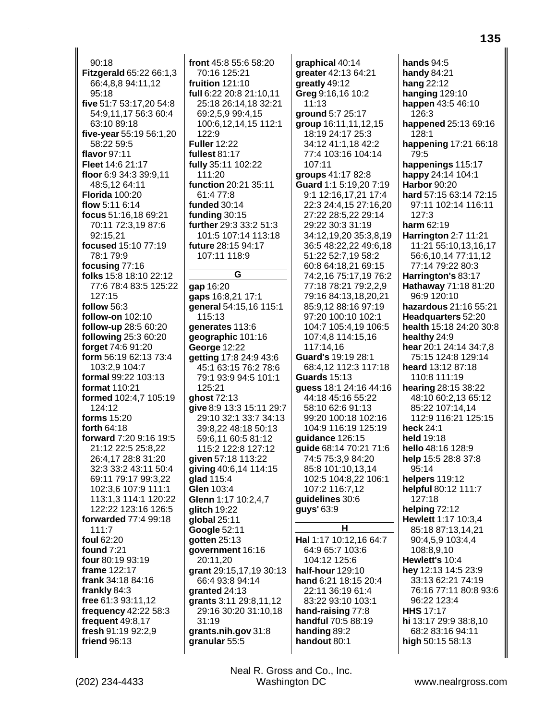90:18 **Fitzgerald** 65:22 66:1,3 66:4,8,8 94:11,12 95:18 **five** 51:7 53:17,20 54:8 54:9,11,17 56:3 60:4 63:10 89:18 **five-year** 55:19 56:1,20 58:22 59:5 **flavor** 97:11 **Fleet** 14:6 21:17 **floor** 6:9 34:3 39:9,11 48:5,12 64:11 **Florida** 100:20 **flow** 5:11 6:14 **focus** 51:16,18 69:21 70:11 72:3,19 87:6 92:15,21 **focused** 15:10 77:19 78:1 79:9 **focusing** 77:16 **folks** 15:8 18:10 22:12 77:6 78:4 83:5 125:22 127:15 **follow** 56:3 **follow-on** 102:10 **follow-up** 28:5 60:20 **following** 25:3 60:20 **forget** 74:6 91:20 **form** 56:19 62:13 73:4 103:2,9 104:7 **formal** 99:22 103:13 **format** 110:21 **formed** 102:4,7 105:19 124:12 **forms** 15:20 **forth** 64:18 **forward** 7:20 9:16 19:5 21:12 22:5 25:8,22 26:4,17 28:8 31:20 32:3 33:2 43:11 50:4 69:11 79:17 99:3,22 102:3,6 107:9 111:1 113:1,3 114:1 120:22 122:22 123:16 126:5 **forwarded** 77:4 99:18 111:7 **foul** 62:20 **found** 7:21 **four** 80:19 93:19 **frame** 122:17 **frank** 34:18 84:16 **frankly** 84:3 **free** 61:3 93:11,12 **frequency** 42:22 58:3 **frequent** 49:8,17 **fresh** 91:19 92:2,9 **friend** 96:13

**front** 45:8 55:6 58:20 70:16 125:21 **fruition** 121:10 **full** 6:22 20:8 21:10,11 25:18 26:14,18 32:21 69:2,5,9 99:4,15 100:6,12,14,15 112:1 122:9 **Fuller** 12:22 **fullest** 81:17 **fully** 35:11 102:22 111:20 **function** 20:21 35:11 61:4 77:8 **funded** 30:14 **funding** 30:15 **further** 29:3 33:2 51:3 101:5 107:14 113:18 **future** 28:15 94:17 107:11 118:9 **G gap** 16:20 **gaps** 16:8,21 17:1 **general** 54:15,16 115:1 115:13 **generates** 113:6 **geographic** 101:16 **George** 12:22 **getting** 17:8 24:9 43:6 45:1 63:15 76:2 78:6 79:1 93:9 94:5 101:1 125:21 **ghost** 72:13 **give** 8:9 13:3 15:11 29:7 29:10 32:1 33:7 34:13 39:8,22 48:18 50:13 59:6,11 60:5 81:12 115:2 122:8 127:12 **given** 57:18 113:22 **giving** 40:6,14 114:15 **glad** 115:4 **Glen** 103:4 **Glenn** 1:17 10:2,4,7 **glitch** 19:22 **global** 25:11 **Google** 52:11 **gotten** 25:13 **government** 16:16 20:11,20 **grant** 29:15,17,19 30:13

66:4 93:8 94:14 **granted** 24:13

31:19

**grants** 3:11 29:8,11,12 29:16 30:20 31:10,18

**grants.nih.gov** 31:8 **granular** 55:5

**greatly** 49:12 **Greg** 9:16,16 10:2 11:13 **ground** 5:7 25:17 **group** 16:11,11,12,15 18:19 24:17 25:3 34:12 41:1,18 42:2 77:4 103:16 104:14 107:11 **groups** 41:17 82:8 **Guard** 1:1 5:19,20 7:19 9:1 12:16,17,21 17:4 22:3 24:4,15 27:16,20 27:22 28:5,22 29:14 29:22 30:3 31:19 34:12,19,20 35:3,8,19 36:5 48:22,22 49:6,18 51:22 52:7,19 58:2 60:8 64:18,21 69:15 74:2,16 75:17,19 76:2 77:18 78:21 79:2,2,9 79:16 84:13,18,20,21 85:9,12 88:16 97:19 97:20 100:10 102:1 104:7 105:4,19 106:5 107:4,8 114:15,16 117:14,16 **Guard's** 19:19 28:1 68:4,12 112:3 117:18 **Guards** 15:13 **guess** 18:1 24:16 44:16 44:18 45:16 55:22 58:10 62:6 91:13 99:20 100:18 102:16 104:9 116:19 125:19 **guidance** 126:15 **guide** 68:14 70:21 71:6 74:5 75:3,9 84:20 85:8 101:10,13,14 102:5 104:8,22 106:1 107:2 116:7,12 **guidelines** 30:6 **guys'** 63:9 **H Hal** 1:17 10:12,16 64:7 64:9 65:7 103:6 104:12 125:6 **half-hour** 129:10 **hand** 6:21 18:15 20:4 22:11 36:19 61:4 83:22 93:10 103:1 **hand-raising** 77:8 **handful** 70:5 88:19

**graphical** 40:14 **greater** 42:13 64:21 **hands** 94:5 **handy** 84:21 **hang** 22:12 **hanging** 129:10 **happen** 43:5 46:10 126:3 **happened** 25:13 69:16 128:1 **happening** 17:21 66:18 79:5 **happenings** 115:17 **happy** 24:14 104:1 **Harbor** 90:20 **hard** 57:15 63:14 72:15 97:11 102:14 116:11 127:3 **harm** 62:19 **Harrington** 2:7 11:21 11:21 55:10,13,16,17 56:6,10,14 77:11,12 77:14 79:22 80:3 **Harrington's** 83:17 **Hathaway** 71:18 81:20 96:9 120:10 **hazardous** 21:16 55:21 **Headquarters** 52:20 **health** 15:18 24:20 30:8 **healthy** 24:9 **hear** 20:1 24:14 34:7,8 75:15 124:8 129:14 **heard** 13:12 87:18 110:8 111:19 **hearing** 28:15 38:22 48:10 60:2,13 65:12 85:22 107:14,14 112:9 116:21 125:15 **heck** 24:1 **held** 19:18 **hello** 48:16 128:9 **help** 15:5 28:8 37:8 95:14 **helpers** 119:12 **helpful** 80:12 111:7 127:18 **helping** 72:12 **Hewlett** 1:17 10:3,4 85:18 87:13,14,21 90:4,5,9 103:4,4 108:8,9,10 **Hewlett's** 10:4 **hey** 12:13 14:5 23:9 33:13 62:21 74:19 76:16 77:11 80:8 93:6 96:22 123:4 **HHS** 17:17 **hi** 13:17 29:9 38:8,10 68:2 83:16 94:11 **high** 50:15 58:13

**handing** 89:2 **handout** 80:1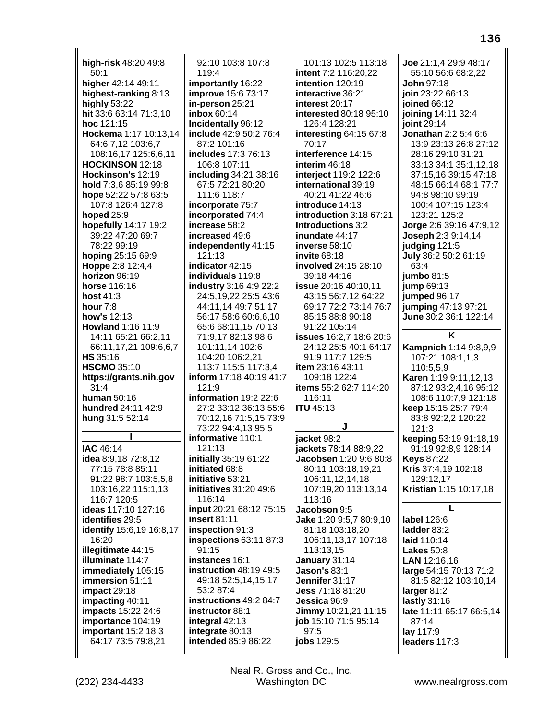**high-risk** 48:20 49:8 50:1 **higher** 42:14 49:11 **highest-ranking** 8:13 **highly** 53:22 **hit** 33:6 63:14 71:3,10 **hoc** 121:15 **Hockema** 1:17 10:13,14 64:6,7,12 103:6,7 108:16,17 125:6,6,11 **HOCKINSON** 12:18 **Hockinson's** 12:19 **hold** 7:3,6 85:19 99:8 **hope** 52:22 57:8 63:5 107:8 126:4 127:8 **hoped** 25:9 **hopefully** 14:17 19:2 39:22 47:20 69:7 78:22 99:19 **hoping** 25:15 69:9 **Hoppe** 2:8 12:4,4 **horizon** 96:19 **horse** 116:16 **host** 41:3 **hour** 7:8 **how's** 12:13 **Howland** 1:16 11:9 14:11 65:21 66:2,11 66:11,17,21 109:6,6,7 **HS** 35:16 **HSCMO** 35:10 **https://grants.nih.gov** 31:4 **human** 50:16 **hundred** 24:11 42:9 **hung** 31:5 52:14 **I IAC** 46:14 **idea** 8:9,18 72:8,12 77:15 78:8 85:11 91:22 98:7 103:5,5,8 103:16,22 115:1,13 116:7 120:5 **ideas** 117:10 127:16 **identifies** 29:5 **identify** 15:6,19 16:8,17 16:20 **illegitimate** 44:15 **illuminate** 114:7 **immediately** 105:15 **immersion** 51:11 **impact** 29:18 **impacting** 40:11 **impacts** 15:22 24:6 **importance** 104:19 **important** 15:2 18:3 64:17 73:5 79:8,21

92:10 103:8 107:8 119:4 **importantly** 16:22 **improve** 15:6 73:17 **in-person** 25:21 **inbox** 60:14 **Incidentally** 96:12 **include** 42:9 50:2 76:4 87:2 101:16 **includes** 17:3 76:13 106:8 107:11 **including** 34:21 38:16 67:5 72:21 80:20 111:6 118:7 **incorporate** 75:7 **incorporated** 74:4 **increase** 58:2 **increased** 49:6 **independently** 41:15 121:13 **indicator** 42:15 **individuals** 119:8 **industry** 3:16 4:9 22:2 24:5,19,22 25:5 43:6 44:11,14 49:7 51:17 56:17 58:6 60:6,6,10 65:6 68:11,15 70:13 71:9,17 82:13 98:6 101:11,14 102:6 104:20 106:2,21 113:7 115:5 117:3,4 **inform** 17:18 40:19 41:7 121:9 **information** 19:2 22:6 27:2 33:12 36:13 55:6 70:12,16 71:5,15 73:9 73:22 94:4,13 95:5 **informative** 110:1 121:13 **initially** 35:19 61:22 **initiated** 68:8 **initiative** 53:21 **initiatives** 31:20 49:6 116:14 **input** 20:21 68:12 75:15 **insert** 81:11 **inspection** 91:3 **inspections** 63:11 87:3 91:15 **instances** 16:1 **instruction** 48:19 49:5 49:18 52:5,14,15,17 53:2 87:4 **instructions** 49:2 84:7 **instructor** 88:1 **integral** 42:13 **integrate** 80:13 **intended** 85:9 86:22

Neal R. Gross and Co., Inc.

101:13 102:5 113:18 **intent** 7:2 116:20,22 **intention** 120:19 **interactive** 36:21 **interest** 20:17 **interested** 80:18 95:10 126:4 128:21 **interesting** 64:15 67:8 70:17 **interference** 14:15 **interim** 46:18 **interject** 119:2 122:6 **international** 39:19 40:21 41:22 46:6 **introduce** 14:13 **introduction** 3:18 67:21 **Introductions** 3:2 **inundate** 44:17 **inverse** 58:10 **invite** 68:18 **involved** 24:15 28:10 39:18 44:16 **issue** 20:16 40:10,11 43:15 56:7,12 64:22 69:17 72:2 73:14 76:7 85:15 88:8 90:18 91:22 105:14 **issues** 16:2,7 18:6 20:6 24:12 25:5 40:1 64:17 91:9 117:7 129:5 **item** 23:16 43:11 109:18 122:4 **items** 55:2 62:7 114:20 116:11 **ITU** 45:13 **J jacket** 98:2 **jackets** 78:14 88:9,22 **Jacobsen** 1:20 9:6 80:8 80:11 103:18,19,21 106:11,12,14,18 107:19,20 113:13,14 113:16 **Jacobson** 9:5 **Jake** 1:20 9:5,7 80:9,10 81:18 103:18,20 106:11,13,17 107:18 113:13,15 **January** 31:14 **Jason's** 83:1 **Jennifer** 31:17 **Jess** 71:18 81:20 **Jessica** 96:9 **Jimmy** 10:21,21 11:15 **job** 15:10 71:5 95:14 97:5 **jobs** 129:5

**Joe** 21:1,4 29:9 48:17 55:10 56:6 68:2,22 **John** 97:18 **join** 23:22 66:13 **joined** 66:12 **joining** 14:11 32:4 **joint** 29:14 **Jonathan** 2:2 5:4 6:6 13:9 23:13 26:8 27:12 28:16 29:10 31:21 33:13 34:1 35:1,12,18 37:15,16 39:15 47:18 48:15 66:14 68:1 77:7 94:8 98:10 99:19 100:4 107:15 123:4 123:21 125:2 **Jorge** 2:6 39:16 47:9,12 **Joseph** 2:3 9:14,14 **judging** 121:5 **July** 36:2 50:2 61:19 63:4 **jumbo** 81:5 **jump** 69:13 **jumped** 96:17 **jumping** 47:13 97:21 **June** 30:2 36:1 122:14 **K Kampnich** 1:14 9:8,9,9 107:21 108:1,1,3 110:5,5,9 **Karen** 1:19 9:11,12,13 87:12 93:2,4,16 95:12 108:6 110:7,9 121:18 **keep** 15:15 25:7 79:4 83:8 92:2,2 120:22 121:3 **keeping** 53:19 91:18,19 91:19 92:8,9 128:14 **Keys** 87:22 **Kris** 37:4,19 102:18 129:12,17 **Kristian** 1:15 10:17,18 **L label** 126:6 **ladder** 83:2 **laid** 110:14 **Lakes** 50:8 **LAN** 12:16,16 **large** 54:15 70:13 71:2 81:5 82:12 103:10,14 **larger** 81:2

**late** 11:11 65:17 66:5,14

**lastly** 31:16

87:14 **lay** 117:9 **leaders** 117:3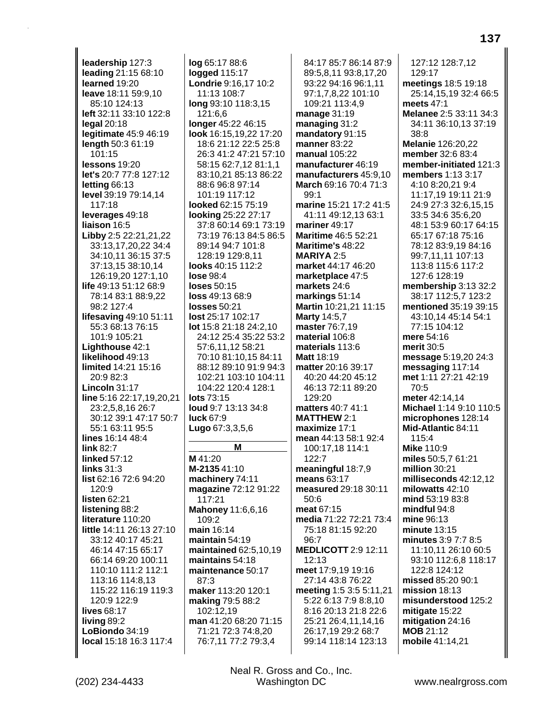**leadership** 127:3 **leading** 21:15 68:10 **learned** 19:20 **leave** 18:11 59:9,10 85:10 124:13 **left** 32:11 33:10 122:8 **legal** 20:18 **legitimate** 45:9 46:19 **length** 50:3 61:19 101:15 **lessons** 19:20 **let's** 20:7 77:8 127:12 **letting** 66:13 **level** 39:19 79:14,14 117:18 **leverages** 49:18 **liaison** 16:5 **Libby** 2:5 22:21,21,22 33:13,17,20,22 34:4 34:10,11 36:15 37:5 37:13,15 38:10,14 126:19,20 127:1,10 **life** 49:13 51:12 68:9 78:14 83:1 88:9,22 98:2 127:4 **lifesaving** 49:10 51:11 55:3 68:13 76:15 101:9 105:21 **Lighthouse** 42:1 **likelihood** 49:13 **limited** 14:21 15:16 20:9 82:3 **Lincoln** 31:17 **line** 5:16 22:17,19,20,21 23:2,5,8,16 26:7 30:12 39:1 47:17 50:7 55:1 63:11 95:5 **lines** 16:14 48:4 **link** 82:7 **linked** 57:12 **links** 31:3 **list** 62:16 72:6 94:20 120:9 **listen** 62:21 **listening** 88:2 **literature** 110:20 **little** 14:11 26:13 27:10 33:12 40:17 45:21 46:14 47:15 65:17 66:14 69:20 100:11 110:10 111:2 112:1 113:16 114:8,13 115:22 116:19 119:3 120:9 122:9 **lives** 68:17 **living** 89:2 **LoBiondo** 34:19 **local** 15:18 16:3 117:4

**log** 65:17 88:6 **logged** 115:17 **Londrie** 9:16,17 10:2 11:13 108:7 **long** 93:10 118:3,15 121:6,6 **longer** 45:22 46:15 **look** 16:15,19,22 17:20 18:6 21:12 22:5 25:8 26:3 41:2 47:21 57:10 58:15 62:7,12 81:1,1 83:10,21 85:13 86:22 88:6 96:8 97:14 101:19 117:12 **looked** 62:15 75:19 **looking** 25:22 27:17 37:8 60:14 69:1 73:19 73:19 76:13 84:5 86:5 89:14 94:7 101:8 128:19 129:8,11 **looks** 40:15 112:2 **lose** 98:4 **loses** 50:15 **loss** 49:13 68:9 **losses** 50:21 **lost** 25:17 102:17 **lot** 15:8 21:18 24:2,10 24:12 25:4 35:22 53:2 57:6,11,12 58:21 70:10 81:10,15 84:11 88:12 89:10 91:9 94:3 102:21 103:10 104:11 104:22 120:4 128:1 **lots** 73:15 **loud** 9:7 13:13 34:8 **luck** 67:9 **Lugo** 67:3,3,5,6 **M**

**M** 41:20 **M-2135** 41:10 **machinery** 74:11 **magazine** 72:12 91:22 117:21 **Mahoney** 11:6,6,16 109:2 **main** 16:14 **maintain** 54:19 **maintained** 62:5,10,19 **maintains** 54:18 **maintenance** 50:17 87:3 **maker** 113:20 120:1 **making** 79:5 88:2 102:12,19 **man** 41:20 68:20 71:15 71:21 72:3 74:8,20 76:7,11 77:2 79:3,4

84:17 85:7 86:14 87:9 89:5,8,11 93:8,17,20 93:22 94:16 96:1,11 97:1,7,8,22 101:10 109:21 113:4,9 **manage** 31:19 **managing** 31:2 **mandatory** 91:15 **manner** 83:22 **manual** 105:22 **manufacturer** 46:19 **manufacturers** 45:9,10 **March** 69:16 70:4 71:3  $99.1$ **marine** 15:21 17:2 41:5 41:11 49:12,13 63:1 **mariner** 49:17 **Maritime** 46:5 52:21 **Maritime's** 48:22 **MARIYA** 2:5 **market** 44:17 46:20 **marketplace** 47:5 **markets** 24:6 **markings** 51:14 **Martin** 10:21,21 11:15 **Marty** 14:5,7 **master** 76:7,19 **material** 106:8 **materials** 113:6 **Matt** 18:19 **matter** 20:16 39:17 40:20 44:20 45:12 46:13 72:11 89:20 129:20 **matters** 40:7 41:1 **MATTHEW** 2:1 **maximize** 17:1 **mean** 44:13 58:1 92:4 100:17,18 114:1 122:7 **meaningful** 18:7,9 **means** 63:17 **measured** 29:18 30:11 50:6 **meat** 67:15 **media** 71:22 72:21 73:4 75:18 81:15 92:20 96:7 **MEDLICOTT** 2:9 12:11 12:13 **meet** 17:9,19 19:16 27:14 43:8 76:22 **meeting** 1:5 3:5 5:11,21 5:22 6:13 7:9 8:8,10 8:16 20:13 21:8 22:6 25:21 26:4,11,14,16 26:17,19 29:2 68:7 99:14 118:14 123:13

127:12 128:7,12 129:17 **meetings** 18:5 19:18 25:14,15,19 32:4 66:5 **meets** 47:1 **Melanee** 2:5 33:11 34:3 34:11 36:10,13 37:19 38:8 **Melanie** 126:20,22 **member** 32:6 83:4 **member-initiated** 121:3 **members** 1:13 3:17 4:10 8:20,21 9:4 11:17,19 19:11 21:9 24:9 27:3 32:6,15,15 33:5 34:6 35:6,20 48:1 53:9 60:17 64:15 65:17 67:18 75:16 78:12 83:9,19 84:16 99:7,11,11 107:13 113:8 115:6 117:2 127:6 128:19 **membership** 3:13 32:2 38:17 112:5,7 123:2 **mentioned** 35:19 39:15 43:10,14 45:14 54:1 77:15 104:12 **mere** 54:16 **merit** 30:5 **message** 5:19,20 24:3 **messaging** 117:14 **met** 1:11 27:21 42:19 70:5 **meter** 42:14,14 **Michael** 1:14 9:10 110:5 **microphones** 128:14 **Mid-Atlantic** 84:11 115:4 **Mike** 110:9 **miles** 50:5,7 61:21 **million** 30:21 **milliseconds** 42:12,12 **milowatts** 42:10 **mind** 53:19 83:8 **mindful** 94:8 **mine** 96:13 **minute** 13:15 **minutes** 3:9 7:7 8:5 11:10,11 26:10 60:5 93:10 112:6,8 118:17 122:8 124:12 **missed** 85:20 90:1 **mission** 18:13 **misunderstood** 125:2 **mitigate** 15:22 **mitigation** 24:16 **MOB** 21:12 **mobile** 41:14,21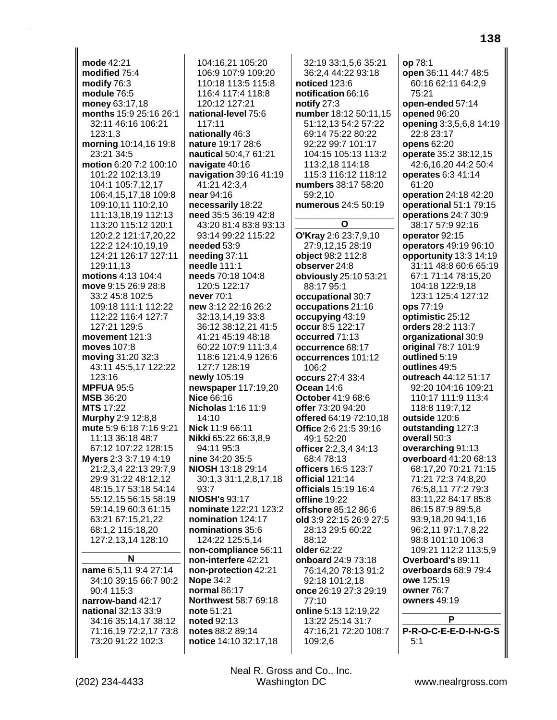**mode** 42:21 **modified** 75:4 **modify** 76:3 **module** 76:5 **money** 63:17,18 **months** 15:9 25:16 26:1 32:11 46:16 106:21 123:1,3 **morning** 10:14,16 19:8 23:21 34:5 **motion** 6:20 7:2 100:10 101:22 102:13,19 104:1 105:7,12,17 106:4,15,17,18 109:8 109:10,11 110:2,10 111:13,18,19 112:13 113:20 115:12 120:1 120:2,2 121:17,20,22 122:2 124:10,19,19 124:21 126:17 127:11 129:11,13 **motions** 4:13 104:4 **move** 9:15 26:9 28:8 33:2 45:8 102:5 109:18 111:1 112:22 112:22 116:4 127:7 127:21 129:5 **movement** 121:3 **moves** 107:8 **moving** 31:20 32:3 43:11 45:5,17 122:22 123:16 **MPFUA** 95:5 **MSB** 36:20 **MTS** 17:22 **Murphy** 2:9 12:8,8 **mute** 5:9 6:18 7:16 9:21 11:13 36:18 48:7 67:12 107:22 128:15 **Myers** 2:3 3:7,19 4:19 21:2,3,4 22:13 29:7,9 29:9 31:22 48:12,12 48:15,17 53:18 54:14 55:12,15 56:15 58:19 59:14,19 60:3 61:15 63:21 67:15,21,22 68:1,2 115:18,20 127:2,13,14 128:10 **N name** 6:5,11 9:4 27:14 34:10 39:15 66:7 90:2 90:4 115:3 **narrow-band** 42:17 **national** 32:13 33:9 34:16 35:14,17 38:12 71:16,19 72:2,17 73:8

104:16,21 105:20 106:9 107:9 109:20 110:18 113:5 115:8 116:4 117:4 118:8 120:12 127:21 **national-level** 75:6 117:11 **nationally** 46:3 **nature** 19:17 28:6 **nautical** 50:4,7 61:21 **navigate** 40:16 **navigation** 39:16 41:19 41:21 42:3,4 **near** 94:16 **necessarily** 18:22 **need** 35:5 36:19 42:8 43:20 81:4 83:8 93:13 93:14 99:22 115:22 **needed** 53:9 **needing** 37:11 **needle** 111:1 **needs** 70:18 104:8 120:5 122:17 **never** 70:1 **new** 3:12 22:16 26:2 32:13,14,19 33:8 36:12 38:12,21 41:5 41:21 45:19 48:18 60:22 107:9 111:3,4 118:6 121:4,9 126:6 127:7 128:19 **newly** 105:19 **newspaper** 117:19,20 **Nice** 66:16 **Nicholas** 1:16 11:9 14:10 **Nick** 11:9 66:11 **Nikki** 65:22 66:3,8,9 94:11 95:3 **nine** 34:20 35:5 **NIOSH** 13:18 29:14 30:1,3 31:1,2,8,17,18 93:7 **NIOSH's** 93:17 **nominate** 122:21 123:2 **nomination** 124:17 **nominations** 35:6 124:22 125:5,14 **non-compliance** 56:11 **non-interfere** 42:21 **non-protection** 42:21 **Nope** 34:2 **normal** 86:17 **Northwest** 58:7 69:18 **note** 51:21 **noted** 92:13 **notes** 88:2 89:14 **notice** 14:10 32:17,18

32:19 33:1,5,6 35:21 36:2,4 44:22 93:18 **noticed** 123:6 **notification** 66:16 **notify** 27:3 **number** 18:12 50:11,15 51:12,13 54:2 57:22 69:14 75:22 80:22 92:22 99:7 101:17 104:15 105:13 113:2 113:2,18 114:18 115:3 116:12 118:12 **numbers** 38:17 58:20 59:2,10 **numerous** 24:5 50:19 **O O'Kray** 2:6 23:7,9,10 27:9,12,15 28:19 **object** 98:2 112:8 **observer** 24:8 **obviously** 25:10 53:21 88:17 95:1 **occupational** 30:7 **occupations** 21:16 **occupying** 43:19 **occur** 8:5 122:17 **occurred** 71:13 **occurrence** 68:17 **occurrences** 101:12 106:2 **occurs** 27:4 33:4 **Ocean** 14:6 **October** 41:9 68:6 **offer** 73:20 94:20 **offered** 64:19 72:10,18 **Office** 2:6 21:5 39:16 49:1 52:20 **officer** 2:2,3,4 34:13 68:4 78:13 **officers** 16:5 123:7 **official** 121:14 **officials** 15:19 16:4 **offline** 19:22 **offshore** 85:12 86:6 **old** 3:9 22:15 26:9 27:5 28:13 29:5 60:22 88:12 **older** 62:22 **onboard** 24:9 73:18 76:14,20 78:13 91:2 92:18 101:2,18 **once** 26:19 27:3 29:19 77:10 **online** 5:13 12:19,22 13:22 25:14 31:7 47:16,21 72:20 108:7 109:2,6

**op** 78:1 **open** 36:11 44:7 48:5 60:16 62:11 64:2,9 75:21 **open-ended** 57:14 **opened** 96:20 **opening** 3:3,5,6,8 14:19 22:8 23:17 **opens** 62:20 **operate** 35:2 38:12,15 42:6,16,20 44:2 50:4 **operates** 6:3 41:14 61:20 **operation** 24:18 42:20 **operational** 51:1 79:15 **operations** 24:7 30:9 38:17 57:9 92:16 **operator** 92:15 **operators** 49:19 96:10 **opportunity** 13:3 14:19 31:11 48:8 60:6 65:19 67:1 71:14 78:15,20 104:18 122:9,18 123:1 125:4 127:12 **ops** 77:19 **optimistic** 25:12 **orders** 28:2 113:7 **organizational** 30:9 **original** 78:7 101:9 **outlined** 5:19 **outlines** 49:5 **outreach** 44:12 51:17 92:20 104:16 109:21 110:17 111:9 113:4 118:8 119:7,12 **outside** 120:6 **outstanding** 127:3 **overall** 50:3 **overarching** 91:13 **overboard** 41:20 68:13 68:17,20 70:21 71:15 71:21 72:3 74:8,20 76:5,8,11 77:2 79:3 83:11,22 84:17 85:8 86:15 87:9 89:5,8 93:9,18,20 94:1,16 96:2,11 97:1,7,8,22 98:8 101:10 106:3 109:21 112:2 113:5,9 **Overboard's** 89:11 **overboards** 68:9 79:4 **owe** 125:19 **owner** 76:7 **owners** 49:19 **P P-R-O-C-E-E-D-I-N-G-S**

73:20 91:22 102:3

5:1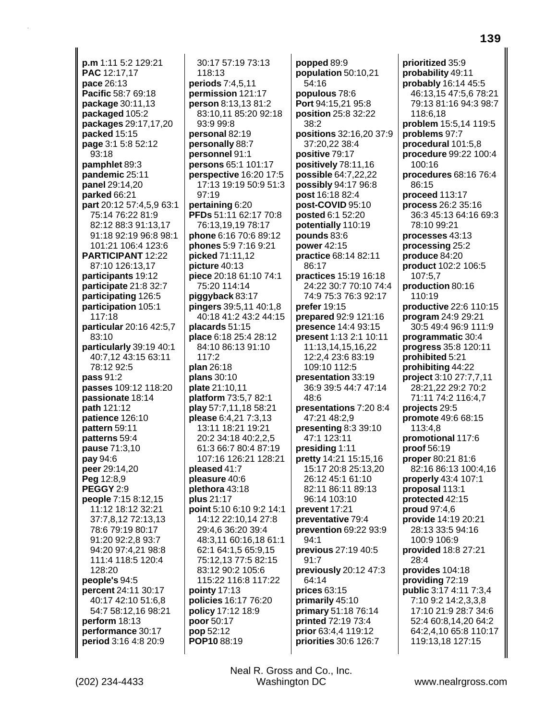**p.m** 1:11 5:2 129:21 **PAC** 12:17,17 **pace** 26:13 **Pacific** 58:7 69:18 **package** 30:11,13 **packaged** 105:2 **packages** 29:17,17,20 **packed** 15:15 **page** 3:1 5:8 52:12 93:18 **pamphlet** 89:3 **pandemic** 25:11 **panel** 29:14,20 **parked** 66:21 **part** 20:12 57:4,5,9 63:1 75:14 76:22 81:9 82:12 88:3 91:13,17 91:18 92:19 96:8 98:1 101:21 106:4 123:6 **PARTICIPANT** 12:22 87:10 126:13,17 **participants** 19:12 **participate** 21:8 32:7 **participating** 126:5 **participation** 105:1 117:18 **particular** 20:16 42:5,7 83:10 **particularly** 39:19 40:1 40:7,12 43:15 63:11 78:12 92:5 **pass** 91:2 **passes** 109:12 118:20 **passionate** 18:14 **path** 121:12 **patience** 126:10 **pattern** 59:11 **patterns** 59:4 **pause** 71:3,10 **pay** 94:6 **peer** 29:14,20 **Peg** 12:8,9 **PEGGY** 2:9 **people** 7:15 8:12,15 11:12 18:12 32:21 37:7,8,12 72:13,13 78:6 79:19 80:17 91:20 92:2,8 93:7 94:20 97:4,21 98:8 111:4 118:5 120:4 128:20 **people's** 94:5 **percent** 24:11 30:17 40:17 42:10 51:6,8 54:7 58:12,16 98:21 **perform** 18:13 **performance** 30:17 **period** 3:16 4:8 20:9

30:17 57:19 73:13 118:13 **periods** 7:4,5,11 **permission** 121:17 **person** 8:13,13 81:2 83:10,11 85:20 92:18 93:9 99:8 **personal** 82:19 **personally** 88:7 **personnel** 91:1 **persons** 65:1 101:17 **perspective** 16:20 17:5 17:13 19:19 50:9 51:3 97:19 **pertaining** 6:20 **PFDs** 51:11 62:17 70:8 76:13,19,19 78:17 **phone** 6:16 70:6 89:12 **phones** 5:9 7:16 9:21 **picked** 71:11,12 **picture** 40:13 **piece** 20:18 61:10 74:1 75:20 114:14 **piggyback** 83:17 **pingers** 39:5,11 40:1,8 40:18 41:2 43:2 44:15 **placards** 51:15 **place** 6:18 25:4 28:12 84:10 86:13 91:10 117:2 **plan** 26:18 **plans** 30:10 **plate** 21:10,11 **platform** 73:5,7 82:1 **play** 57:7,11,18 58:21 **please** 6:4,21 7:3,13 13:11 18:21 19:21 20:2 34:18 40:2,2,5 61:3 66:7 80:4 87:19 107:16 126:21 128:21 **pleased** 41:7 **pleasure** 40:6 **plethora** 43:18 **plus** 21:17 **point** 5:10 6:10 9:2 14:1 14:12 22:10,14 27:8 29:4,6 36:20 39:4 48:3,11 60:16,18 61:1 62:1 64:1,5 65:9,15 75:12,13 77:5 82:15 83:12 90:2 105:6 115:22 116:8 117:22 **pointy** 17:13 **policies** 16:17 76:20 **policy** 17:12 18:9 **poor** 50:17 **pop** 52:12 **POP10** 88:19

**popped** 89:9 **population** 50:10,21 54:16 **populous** 78:6 **Port** 94:15,21 95:8 **position** 25:8 32:22  $38.2$ **positions** 32:16,20 37:9 37:20,22 38:4 **positive** 79:17 **positively** 78:11,16 **possible** 64:7,22,22 **possibly** 94:17 96:8 **post** 16:18 82:4 **post-COVID** 95:10 **posted** 6:1 52:20 **potentially** 110:19 **pounds** 83:6 **power** 42:15 **practice** 68:14 82:11 86:17 **practices** 15:19 16:18 24:22 30:7 70:10 74:4 74:9 75:3 76:3 92:17 **prefer** 19:15 **prepared** 92:9 121:16 **presence** 14:4 93:15 **present** 1:13 2:1 10:11 11:13,14,15,16,22 12:2,4 23:6 83:19 109:10 112:5 **presentation** 33:19 36:9 39:5 44:7 47:14 48:6 **presentations** 7:20 8:4 47:21 48:2,9 **presenting** 8:3 39:10 47:1 123:11 **presiding** 1:11 **pretty** 14:21 15:15,16 15:17 20:8 25:13,20 26:12 45:1 61:10 82:11 86:11 89:13 96:14 103:10 **prevent** 17:21 **preventative** 79:4 **prevention** 69:22 93:9 94:1 **previous** 27:19 40:5  $91.7$ **previously** 20:12 47:3 64:14 **prices** 63:15 **primarily** 45:10 **primary** 51:18 76:14 **printed** 72:19 73:4 **prior** 63:4,4 119:12 **priorities** 30:6 126:7

**prioritized** 35:9 **probability** 49:11 **probably** 16:14 45:5 46:13,15 47:5,6 78:21 79:13 81:16 94:3 98:7 118:6,18 **problem** 15:5,14 119:5 **problems** 97:7 **procedural** 101:5,8 **procedure** 99:22 100:4 100:16 **procedures** 68:16 76:4 86:15 **proceed** 113:17 **process** 26:2 35:16 36:3 45:13 64:16 69:3 78:10 99:21 **processes** 43:13 **processing** 25:2 **produce** 84:20 **product** 102:2 106:5  $107:57$ **production** 80:16 110:19 **productive** 22:6 110:15 **program** 24:9 29:21 30:5 49:4 96:9 111:9 **programmatic** 30:4 **progress** 35:8 120:11 **prohibited** 5:21 **prohibiting** 44:22 **project** 3:10 27:7,7,11 28:21,22 29:2 70:2 71:11 74:2 116:4,7 **projects** 29:5 **promote** 49:6 68:15 113:4,8 **promotional** 117:6 **proof** 56:19 **proper** 80:21 81:6 82:16 86:13 100:4,16 **properly** 43:4 107:1 **proposal** 113:1 **protected** 42:15 **proud** 97:4,6 **provide** 14:19 20:21 28:13 33:5 94:16 100:9 106:9 **provided** 18:8 27:21 28:4 **provides** 104:18 **providing** 72:19 **public** 3:17 4:11 7:3,4 7:10 9:2 14:2,3,3,8 17:10 21:9 28:7 34:6 52:4 60:8,14,20 64:2 64:2,4,10 65:8 110:17 119:13,18 127:15

**139**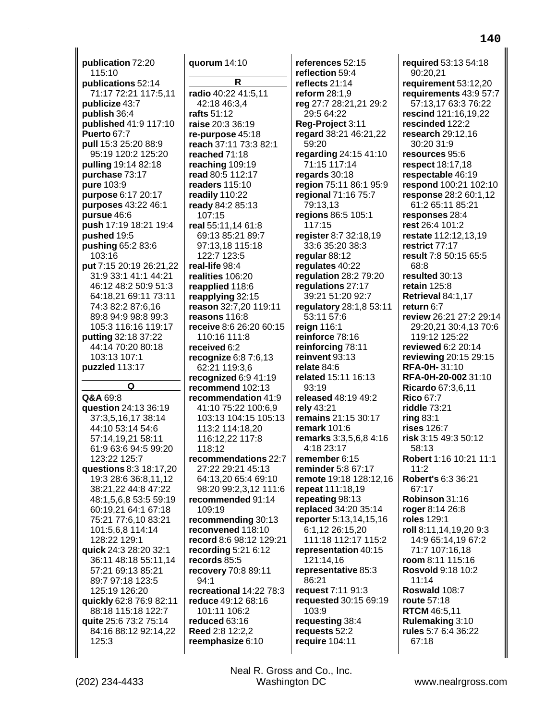**publication** 72:20 115:10 **publications** 52:14 71:17 72:21 117:5,11 **publicize** 43:7 **publish** 36:4 **published** 41:9 117:10 **Puerto** 67:7 **pull** 15:3 25:20 88:9 95:19 120:2 125:20 **pulling** 19:14 82:18 **purchase** 73:17 **pure** 103:9 **purpose** 6:17 20:17 **purposes** 43:22 46:1 **pursue** 46:6 **push** 17:19 18:21 19:4 **pushed** 19:5 **pushing** 65:2 83:6 103:16 **put** 7:15 20:19 26:21,22 31:9 33:1 41:1 44:21 46:12 48:2 50:9 51:3 64:18,21 69:11 73:11 74:3 82:2 87:6,16 89:8 94:9 98:8 99:3 105:3 116:16 119:17 **putting** 32:18 37:22 44:14 70:20 80:18 103:13 107:1 **puzzled** 113:17 **Q Q&A** 69:8 **question** 24:13 36:19 37:3,5,16,17 38:14 44:10 53:14 54:6 57:14,19,21 58:11 61:9 63:6 94:5 99:20 123:22 125:7 **questions** 8:3 18:17,20 19:3 28:6 36:8,11,12 38:21,22 44:8 47:22 48:1,5,6,8 53:5 59:19 60:19,21 64:1 67:18 75:21 77:6,10 83:21 101:5,6,8 114:14 128:22 129:1 **quick** 24:3 28:20 32:1 36:11 48:18 55:11,14 57:21 69:13 85:21 89:7 97:18 123:5 125:19 126:20 **quickly** 62:8 76:9 82:11 88:18 115:18 122:7 **quite** 25:6 73:2 75:14 84:16 88:12 92:14,22 125:3

**quorum** 14:10 **R radio** 40:22 41:5,11 42:18 46:3,4 **rafts** 51:12 **raise** 20:3 36:19 **re-purpose** 45:18 **reach** 37:11 73:3 82:1 **reached** 71:18 **reaching** 109:19 **read** 80:5 112:17 **readers** 115:10 **readily** 110:22 **ready** 84:2 85:13 107:15 **real** 55:11,14 61:8 69:13 85:21 89:7 97:13,18 115:18 122:7 123:5 **real-life** 98:4 **realities** 106:20 **reapplied** 118:6 **reapplying** 32:15 **reason** 32:7,20 119:11 **reasons** 116:8 **receive** 8:6 26:20 60:15 110:16 111:8 **received** 6:2 **recognize** 6:8 7:6,13 62:21 119:3,6 **recognized** 6:9 41:19 **recommend** 102:13 **recommendation** 41:9 41:10 75:22 100:6,9 103:13 104:15 105:13 113:2 114:18,20 116:12,22 117:8 118:12 **recommendations** 22:7 27:22 29:21 45:13 64:13,20 65:4 69:10 98:20 99:2,3,12 111:6 **recommended** 91:14 109:19 **recommending** 30:13 **reconvened** 118:10 **record** 8:6 98:12 129:21 **recording** 5:21 6:12 **records** 85:5 **recovery** 70:8 89:11 94:1 **recreational** 14:22 78:3 **reduce** 49:12 68:16 101:11 106:2 **reduced** 63:16 **Reed** 2:8 12:2,2 **reemphasize** 6:10

**references** 52:15 **reflection** 59:4 **reflects** 21:14 **reform** 28:1,9 **reg** 27:7 28:21,21 29:2 29:5 64:22 **Reg-Project** 3:11 **regard** 38:21 46:21,22 59:20 **regarding** 24:15 41:10 71:15 117:14 **regards** 30:18 **region** 75:11 86:1 95:9 **regional** 71:16 75:7 79:13,13 **regions** 86:5 105:1 117:15 **register** 8:7 32:18,19 33:6 35:20 38:3 **regular** 88:12 **regulates** 40:22 **regulation** 28:2 79:20 **regulations** 27:17 39:21 51:20 92:7 **regulatory** 28:1,8 53:11 53:11 57:6 **reign** 116:1 **reinforce** 78:16 **reinforcing** 78:11 **reinvent** 93:13 **relate** 84:6 **related** 15:11 16:13 93:19 **released** 48:19 49:2 **rely** 43:21 **remains** 21:15 30:17 **remark** 101:6 **remarks** 3:3,5,6,8 4:16 4:18 23:17 **remember** 6:15 **reminder** 5:8 67:17 **remote** 19:18 128:12,16 **repeat** 111:18,19 **repeating** 98:13 **replaced** 34:20 35:14 **reporter** 5:13,14,15,16 6:1,12 26:15,20 111:18 112:17 115:2 **representation** 40:15 121:14,16 **representative** 85:3 86:21 **request** 7:11 91:3 **requested** 30:15 69:19 103:9 **requesting** 38:4 **requests** 52:2 **require** 104:11

**required** 53:13 54:18 90:20,21 **requirement** 53:12,20 **requirements** 43:9 57:7 57:13,17 63:3 76:22 **rescind** 121:16,19,22 **rescinded** 122:2 **research** 29:12,16 30:20 31:9 **resources** 95:6 **respect** 18:17,18 **respectable** 46:19 **respond** 100:21 102:10 **response** 28:2 60:1,12 61:2 65:11 85:21 **responses** 28:4 **rest** 26:4 101:2 **restate** 112:12,13,19 **restrict** 77:17 **result** 7:8 50:15 65:5 68:8 **resulted** 30:13 **retain** 125:8 **Retrieval** 84:1,17 **return** 6:7 **review** 26:21 27:2 29:14 29:20,21 30:4,13 70:6 119:12 125:22 **reviewed** 6:2 20:14 **reviewing** 20:15 29:15 **RFA-0H-** 31:10 **RFA-0H-20-002** 31:10 **Ricardo** 67:3,6,11 **Rico** 67:7 **riddle** 73:21 **ring** 83:1 **rises** 126:7 **risk** 3:15 49:3 50:12 58:13 **Robert** 1:16 10:21 11:1  $11:2$ **Robert's** 6:3 36:21 67:17 **Robinson** 31:16 **roger** 8:14 26:8 **roles** 129:1 **roll** 8:11,14,19,20 9:3 14:9 65:14,19 67:2 71:7 107:16,18 **room** 8:11 115:16 **Rosvold** 9:18 10:2 11:14 **Roswald** 108:7 **route** 57:18 **RTCM** 46:5,11 **Rulemaking** 3:10 **rules** 5:7 6:4 36:22 67:18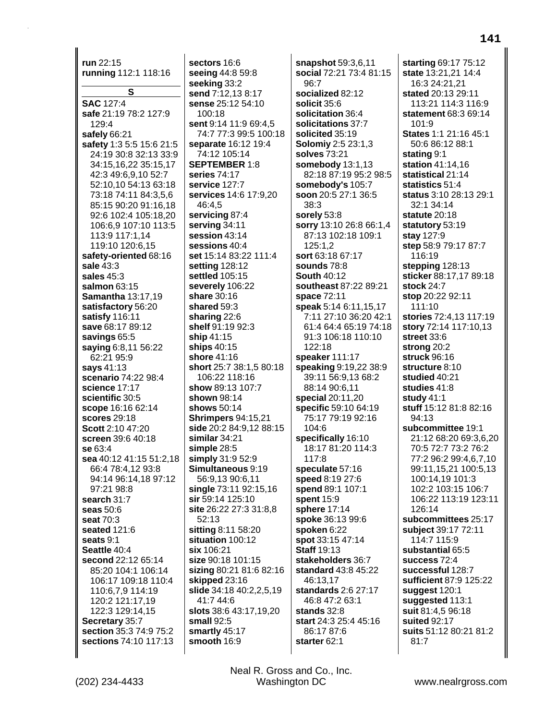**run** 22:15 **running** 112:1 118:16 **S SAC** 127:4 **safe** 21:19 78:2 127:9 129:4 **safely** 66:21 **safety** 1:3 5:5 15:6 21:5 24:19 30:8 32:13 33:9 34:15,16,22 35:15,17 42:3 49:6,9,10 52:7 52:10,10 54:13 63:18 73:18 74:11 84:3,5,6 85:15 90:20 91:16,18 92:6 102:4 105:18,20 106:6,9 107:10 113:5 113:9 117:1,14 119:10 120:6,15 **safety-oriented** 68:16 **sale** 43:3 **sales** 45:3 **salmon** 63:15 **Samantha** 13:17,19 **satisfactory** 56:20 **satisfy** 116:11 **save** 68:17 89:12 **savings** 65:5 **saying** 6:8,11 56:22 62:21 95:9 **says** 41:13 **scenario** 74:22 98:4 **science** 17:17 **scientific** 30:5 **scope** 16:16 62:14 **scores** 29:18 **Scott** 2:10 47:20 **screen** 39:6 40:18 **se** 63:4 **sea** 40:12 41:15 51:2,18 66:4 78:4,12 93:8 94:14 96:14,18 97:12 97:21 98:8 **search** 31:7 **seas** 50:6 **seat** 70:3 **seated** 121:6 **seats** 9:1 **Seattle** 40:4 **second** 22:12 65:14 85:20 104:1 106:14 106:17 109:18 110:4 110:6,7,9 114:19 120:2 121:17,19 122:3 129:14,15 **Secretary** 35:7 **section** 35:3 74:9 75:2 **sections** 74:10 117:13

**sectors** 16:6 **seeing** 44:8 59:8 **seeking** 33:2 **send** 7:12,13 8:17 **sense** 25:12 54:10  $100.18$ **sent** 9:14 11:9 69:4,5 74:7 77:3 99:5 100:18 **separate** 16:12 19:4 74:12 105:14 **SEPTEMBER** 1:8 **series** 74:17 **service** 127:7 **services** 14:6 17:9,20 46:4,5 **servicing** 87:4 **serving** 34:11 **session** 43:14 **sessions** 40:4 **set** 15:14 83:22 111:4 **setting** 128:12 **settled** 105:15 **severely** 106:22 **share** 30:16 **shared** 59:3 **sharing** 22:6 **shelf** 91:19 92:3 **ship** 41:15 **ships** 40:15 **shore** 41:16 **short** 25:7 38:1,5 80:18 106:22 118:16 **show** 89:13 107:7 **shown** 98:14 **shows** 50:14 **Shrimpers** 94:15,21 **side** 20:2 84:9,12 88:15 **similar** 34:21 **simple** 28:5 **simply** 31:9 52:9 **Simultaneous** 9:19 56:9,13 90:6,11 **single** 73:11 92:15,16 **sir** 59:14 125:10 **site** 26:22 27:3 31:8,8 52:13 **sitting** 8:11 58:20 **situation** 100:12 **six** 106:21 **size** 90:18 101:15 **sizing** 80:21 81:6 82:16 **skipped** 23:16 **slide** 34:18 40:2,2,5,19 41:7 44:6 **slots** 38:6 43:17,19,20 **small** 92:5 **smartly** 45:17 **smooth** 16:9

**snapshot** 59:3,6,11 **social** 72:21 73:4 81:15 96:7 **socialized** 82:12 **solicit** 35:6 **solicitation** 36:4 **solicitations** 37:7 **solicited** 35:19 **Solomiy** 2:5 23:1,3 **solves** 73:21 **somebody** 13:1,13 82:18 87:19 95:2 98:5 **somebody's** 105:7 **soon** 20:5 27:1 36:5 38:3 **sorely** 53:8 **sorry** 13:10 26:8 66:1,4 87:13 102:18 109:1 125:1,2 **sort** 63:18 67:17 **sounds** 78:8 **South** 40:12 **southeast** 87:22 89:21 **space** 72:11 **speak** 5:14 6:11,15,17 7:11 27:10 36:20 42:1 61:4 64:4 65:19 74:18 91:3 106:18 110:10 122:18 **speaker** 111:17 **speaking** 9:19,22 38:9 39:11 56:9,13 68:2 88:14 90:6,11 **special** 20:11,20 **specific** 59:10 64:19 75:17 79:19 92:16  $104.6$ **specifically** 16:10 18:17 81:20 114:3 117:8 **speculate** 57:16 **speed** 8:19 27:6 **spend** 89:1 107:1 **spent** 15:9 **sphere** 17:14 **spoke** 36:13 99:6 **spoken** 6:22 **spot** 33:15 47:14 **Staff** 19:13 **stakeholders** 36:7 **standard** 43:8 45:22 46:13,17 **standards** 2:6 27:17 46:8 47:2 63:1 **stands** 32:8 **start** 24:3 25:4 45:16 86:17 87:6 **starter** 62:1

**starting** 69:17 75:12 **state** 13:21,21 14:4 16:3 24:21,21 **stated** 20:13 29:11 113:21 114:3 116:9 **statement** 68:3 69:14  $101.9$ **States** 1:1 21:16 45:1 50:6 86:12 88:1 **stating** 9:1 **station** 41:14,16 **statistical** 21:14 **statistics** 51:4 **status** 3:10 28:13 29:1 32:1 34:14 **statute** 20:18 **statutory** 53:19 **stay** 127:9 **step** 58:9 79:17 87:7 116:19 **stepping** 128:13 **sticker** 88:17,17 89:18 **stock** 24:7 **stop** 20:22 92:11 111:10 **stories** 72:4,13 117:19 **story** 72:14 117:10,13 **street** 33:6 **strong** 20:2 **struck** 96:16 **structure** 8:10 **studied** 40:21 **studies** 41:8 **study** 41:1 **stuff** 15:12 81:8 82:16 94:13 **subcommittee** 19:1 21:12 68:20 69:3,6,20 70:5 72:7 73:2 76:2 77:2 96:2 99:4,6,7,10 99:11,15,21 100:5,13 100:14,19 101:3 102:2 103:15 106:7 106:22 113:19 123:11 126:14 **subcommittees** 25:17 **subject** 39:17 72:11 114:7 115:9 **substantial** 65:5 **success** 72:4 **successful** 128:7 **sufficient** 87:9 125:22 **suggest** 120:1 **suggested** 113:1 **suit** 81:4,5 96:18 **suited** 92:17 **suits** 51:12 80:21 81:2 81:7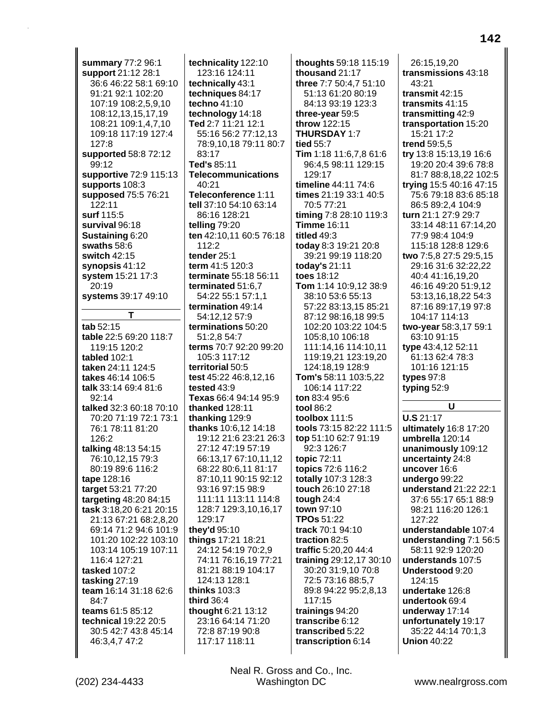**summary** 77:2 96:1 **support** 21:12 28:1 36:6 46:22 58:1 69:10 91:21 92:1 102:20 107:19 108:2,5,9,10 108:12,13,15,17,19 108:21 109:1,4,7,10 109:18 117:19 127:4 127:8 **supported** 58:8 72:12 99:12 **supportive** 72:9 115:13 **supports** 108:3 **supposed** 75:5 76:21 122:11 **surf** 115:5 **survival** 96:18 **Sustaining** 6:20 **swaths** 58:6 **switch** 42:15 **synopsis** 41:12 **system** 15:21 17:3 20:19 **systems** 39:17 49:10 **T tab** 52:15 **table** 22:5 69:20 118:7 119:15 120:2 **tabled** 102:1 **taken** 24:11 124:5 **takes** 46:14 106:5 **talk** 33:14 69:4 81:6  $92.14$ **talked** 32:3 60:18 70:10 70:20 71:19 72:1 73:1 76:1 78:11 81:20 126:2 **talking** 48:13 54:15 76:10,12,15 79:3 80:19 89:6 116:2 **tape** 128:16 **target** 53:21 77:20 **targeting** 48:20 84:15 **task** 3:18,20 6:21 20:15 21:13 67:21 68:2,8,20 69:14 71:2 94:6 101:9 101:20 102:22 103:10 103:14 105:19 107:11 116:4 127:21 **tasked** 107:2 **tasking** 27:19 **team** 16:14 31:18 62:6 84:7 **teams** 61:5 85:12 **technical** 19:22 20:5 30:5 42:7 43:8 45:14 46:3,4,7 47:2

**technicality** 122:10 123:16 124:11 **technically** 43:1 **techniques** 84:17 **techno** 41:10 **technology** 14:18 **Ted** 2:7 11:21 12:1 55:16 56:2 77:12,13 78:9,10,18 79:11 80:7 83:17 **Ted's** 85:11 **Telecommunications** 40:21 **Teleconference** 1:11 **tell** 37:10 54:10 63:14 86:16 128:21 **telling** 79:20 **ten** 42:10,11 60:5 76:18 112:2 **tender** 25:1 **term** 41:5 120:3 **terminate** 55:18 56:11 **terminated** 51:6,7 54:22 55:1 57:1,1 **termination** 49:14 54:12,12 57:9 **terminations** 50:20 51:2,8 54:7 **terms** 70:7 92:20 99:20 105:3 117:12 **territorial** 50:5 **test** 45:22 46:8,12,16 **tested** 43:9 **Texas** 66:4 94:14 95:9 **thanked** 128:11 **thanking** 129:9 **thanks** 10:6,12 14:18 19:12 21:6 23:21 26:3 27:12 47:19 57:19 66:13,17 67:10,11,12 68:22 80:6,11 81:17 87:10,11 90:15 92:12 93:16 97:15 98:9 111:11 113:11 114:8 128:7 129:3,10,16,17 129:17 **they'd** 95:10 **things** 17:21 18:21 24:12 54:19 70:2,9 74:11 76:16,19 77:21 81:21 88:19 104:17 124:13 128:1 **thinks** 103:3 **third** 36:4 **thought** 6:21 13:12 23:16 64:14 71:20 72:8 87:19 90:8 117:17 118:11

**thoughts** 59:18 115:19 **thousand** 21:17 **three** 7:7 50:4,7 51:10 51:13 61:20 80:19 84:13 93:19 123:3 **three-year** 59:5 **throw** 122:15 **THURSDAY** 1:7 **tied** 55:7 **Tim** 1:18 11:6,7,8 61:6 96:4,5 98:11 129:15 129:17 **timeline** 44:11 74:6 **times** 21:19 33:1 40:5 70:5 77:21 **timing** 7:8 28:10 119:3 **Timme** 16:11 **titled** 49:3 **today** 8:3 19:21 20:8 39:21 99:19 118:20 **today's** 21:11 **toes** 18:12 **Tom** 1:14 10:9,12 38:9 38:10 53:6 55:13 57:22 83:13,15 85:21 87:12 98:16,18 99:5 102:20 103:22 104:5 105:8,10 106:18 111:14,16 114:10,11 119:19,21 123:19,20 124:18,19 128:9 **Tom's** 58:11 103:5,22 106:14 117:22 **ton** 83:4 95:6 **tool** 86:2 **toolbox** 111:5 **tools** 73:15 82:22 111:5 **top** 51:10 62:7 91:19 92:3 126:7 **topic** 72:11 **topics** 72:6 116:2 **totally** 107:3 128:3 **touch** 26:10 27:18 **tough** 24:4 **town** 97:10 **TPOs** 51:22 **track** 70:1 94:10 **traction** 82:5 **traffic** 5:20,20 44:4 **training** 29:12,17 30:10 30:20 31:9,10 70:8 72:5 73:16 88:5,7 89:8 94:22 95:2,8,13 117:15 **trainings** 94:20 **transcribe** 6:12 **transcribed** 5:22 **transcription** 6:14

26:15,19,20 **transmissions** 43:18 43:21 **transmit** 42:15 **transmits** 41:15 **transmitting** 42:9 **transportation** 15:20 15:21 17:2 **trend** 59:5,5 **try** 13:8 15:13,19 16:6 19:20 20:4 39:6 78:8 81:7 88:8,18,22 102:5 **trying** 15:5 40:16 47:15 75:6 79:18 83:6 85:18 86:5 89:2,4 104:9 **turn** 21:1 27:9 29:7 33:14 48:11 67:14,20 77:9 98:4 104:9 115:18 128:8 129:6 **two** 7:5,8 27:5 29:5,15 29:16 31:6 32:22,22 40:4 41:16,19,20 46:16 49:20 51:9,12 53:13,16,18,22 54:3 87:16 89:17,19 97:8 104:17 114:13 **two-year** 58:3,17 59:1 63:10 91:15 **type** 43:4,12 52:11 61:13 62:4 78:3 101:16 121:15 **types** 97:8 **typing** 52:9 **U U.S** 21:17 **ultimately** 16:8 17:20 **umbrella** 120:14 **unanimously** 109:12 **uncertainty** 24:8 **uncover** 16:6 **undergo** 99:22

**understand** 21:22 22:1 37:6 55:17 65:1 88:9 98:21 116:20 126:1 127:22 **understandable** 107:4 **understanding** 7:1 56:5 58:11 92:9 120:20 **understands** 107:5 **Understood** 9:20 124:15 **undertake** 126:8

**undertook** 69:4 **underway** 17:14 **unfortunately** 19:17 35:22 44:14 70:1,3 **Union** 40:22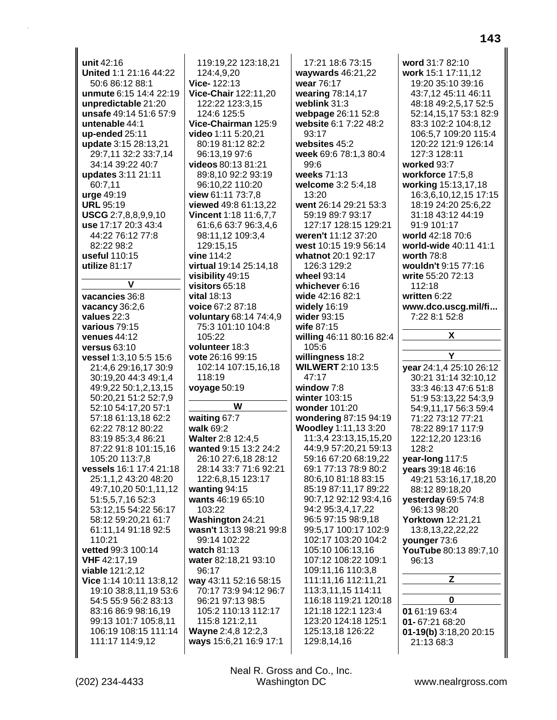**unit** 42:16 **United** 1:1 21:16 44:22 50:6 86:12 88:1 **unmute** 6:15 14:4 22:19 **unpredictable** 21:20 **unsafe** 49:14 51:6 57:9 **untenable** 44:1 **up-ended** 25:11 **update** 3:15 28:13,21 29:7,11 32:2 33:7,14 34:14 39:22 40:7 **updates** 3:11 21:11 60:7,11 **urge** 49:19 **URL** 95:19 **USCG** 2:7,8,8,9,9,10 **use** 17:17 20:3 43:4 44:22 76:12 77:8 82:22 98:2 **useful** 110:15 **utilize** 81:17 **V vacancies** 36:8 **vacancy** 36:2,6 **values** 22:3 **various** 79:15 **venues** 44:12 **versus** 63:10 **vessel** 1:3,10 5:5 15:6 21:4,6 29:16,17 30:9 30:19,20 44:3 49:1,4 49:9,22 50:1,2,13,15 50:20,21 51:2 52:7,9 52:10 54:17,20 57:1 57:18 61:13,18 62:2 62:22 78:12 80:22 83:19 85:3,4 86:21 87:22 91:8 101:15,16 105:20 113:7,8 **vessels** 16:1 17:4 21:18 25:1,1,2 43:20 48:20 49:7,10,20 50:1,11,12 51:5,5,7,16 52:3 53:12,15 54:22 56:17 58:12 59:20,21 61:7 61:11,14 91:18 92:5 110:21 **vetted** 99:3 100:14 **VHF** 42:17,19 **viable** 121:2,12 **Vice** 1:14 10:11 13:8,12 19:10 38:8,11,19 53:6 54:5 55:9 56:2 83:13 83:16 86:9 98:16,19 99:13 101:7 105:8,11 106:19 108:15 111:14 111:17 114:9,12

119:19,22 123:18,21 124:4,9,20 **Vice-** 122:13 **Vice-Chair** 122:11,20 122:22 123:3,15 124:6 125:5 **Vice-Chairman** 125:9 **video** 1:11 5:20,21 80:19 81:12 82:2 96:13,19 97:6 **videos** 80:13 81:21 89:8,10 92:2 93:19 96:10,22 110:20 **view** 61:11 73:7,8 **viewed** 49:8 61:13,22 **Vincent** 1:18 11:6,7,7 61:6,6 63:7 96:3,4,6 98:11,12 109:3,4 129:15,15 **vine** 114:2 **virtual** 19:14 25:14,18 **visibility** 49:15 **visitors** 65:18 **vital** 18:13 **voice** 67:2 87:18 **voluntary** 68:14 74:4,9 75:3 101:10 104:8 105:22 **volunteer** 18:3 **vote** 26:16 99:15 102:14 107:15,16,18 118:19 **voyage** 50:19 **W waiting** 67:7 **walk** 69:2 **Walter** 2:8 12:4,5 **wanted** 9:15 13:2 24:2 26:10 27:6,18 28:12 28:14 33:7 71:6 92:21 122:6,8,15 123:17 **wanting** 94:15 **wants** 46:19 65:10 103:22 **Washington** 24:21 **wasn't** 13:13 98:21 99:8 99:14 102:22 **watch** 81:13 **water** 82:18,21 93:10 96:17 **way** 43:11 52:16 58:15 70:17 73:9 94:12 96:7 96:21 97:13 98:5 105:2 110:13 112:17 115:8 121:2,11 **Wayne** 2:4,8 12:2,3

17:21 18:6 73:15 **waywards** 46:21,22 **wear** 76:17 **wearing** 78:14,17 **weblink** 31:3 **webpage** 26:11 52:8 **website** 6:1 7:22 48:2 93:17 **websites** 45:2 **week** 69:6 78:1,3 80:4 99:6 **weeks** 71:13 **welcome** 3:2 5:4,18 13:20 **went** 26:14 29:21 53:3 59:19 89:7 93:17 127:17 128:15 129:21 **weren't** 11:12 37:20 **west** 10:15 19:9 56:14 **whatnot** 20:1 92:17 126:3 129:2 **wheel** 93:14 **whichever** 6:16 **wide** 42:16 82:1 **widely** 16:19 **wider** 93:15 **wife** 87:15 **willing** 46:11 80:16 82:4 105:6 **willingness** 18:2 **WILWERT** 2:10 13:5 47:17 **window** 7:8 **winter** 103:15 **wonder** 101:20 **wondering** 87:15 94:19 **Woodley** 1:11,13 3:20 11:3,4 23:13,15,15,20 44:9,9 57:20,21 59:13 59:16 67:20 68:19,22 69:1 77:13 78:9 80:2 80:6,10 81:18 83:15 85:19 87:11,17 89:22 90:7,12 92:12 93:4,16 94:2 95:3,4,17,22 96:5 97:15 98:9,18 99:5,17 100:17 102:9 102:17 103:20 104:2 105:10 106:13,16 107:12 108:22 109:1 109:11,16 110:3,8 111:11,16 112:11,21 113:3,11,15 114:11 116:18 119:21 120:18 121:18 122:1 123:4 123:20 124:18 125:1 125:13,18 126:22 129:8,14,16

**word** 31:7 82:10 **work** 15:1 17:11,12 19:20 35:10 39:16 43:7,12 45:11 46:11 48:18 49:2,5,17 52:5 52:14,15,17 53:1 82:9 83:3 102:2 104:8,12 106:5,7 109:20 115:4 120:22 121:9 126:14 127:3 128:11 **worked** 93:7 **workforce** 17:5,8 **working** 15:13,17,18 16:3,6,10,12,15 17:15 18:19 24:20 25:6,22 31:18 43:12 44:19 91:9 101:17 **world** 42:18 70:6 **world-wide** 40:11 41:1 **worth** 78:8 **wouldn't** 9:15 77:16 **write** 55:20 72:13 112:18 **written** 6:22 **www.dco.uscg.mil/fi...** 7:22 8:1 52:8 **X Y year** 24:1,4 25:10 26:12 30:21 31:14 32:10,12 33:3 46:13 47:6 51:8 51:9 53:13,22 54:3,9 54:9,11,17 56:3 59:4 71:22 73:12 77:21 78:22 89:17 117:9 122:12,20 123:16 128:2 **year-long** 117:5 **years** 39:18 46:16 49:21 53:16,17,18,20 88:12 89:18,20 **yesterday** 69:5 74:8 96:13 98:20 **Yorktown** 12:21,21 13:8,13,22,22,22 **younger** 73:6 **YouTube** 80:13 89:7,10 96:13 **Z 0 01** 61:19 63:4 **01-** 67:21 68:20 **01-19(b)** 3:18,20 20:15 21:13 68:3

(202) 234-4433 Washington DC www.nealrgross.com Neal R. Gross and Co., Inc.

**ways** 15:6,21 16:9 17:1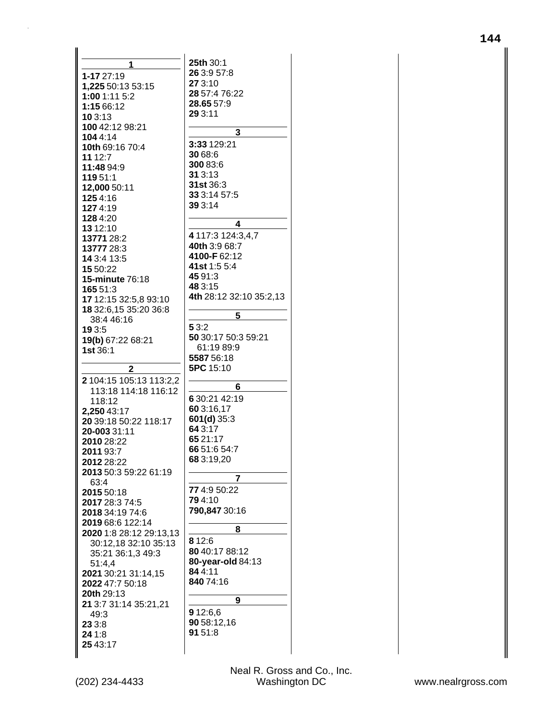| 1                        | 25th 30:1               |
|--------------------------|-------------------------|
| 1-17 27:19               | 26 3:9 57:8             |
| 1,225 50:13 53:15        | 27 3:10                 |
| 1:00 1:11 5:2            | 28 57:4 76:22           |
| 1:15 66:12               | 28.65 57:9              |
| 10 3:13                  | 29 3:11                 |
| 100 42:12 98:21          |                         |
| 1044:14                  | 3                       |
|                          | 3:33 129:21             |
| 10th 69:16 70:4          | 30 68:6                 |
| 11 12:7                  | 300 83:6                |
| 11:48 94:9               | 31 3:13                 |
| 119 51:1                 | 31st 36:3               |
| 12,000 50:11             | 33 3:14 57:5            |
| 1254:16                  | 39 3:14                 |
| 1274:19                  |                         |
| 1284:20                  | 4                       |
| 13 12:10                 |                         |
| 13771 28:2               | 4 117:3 124:3,4,7       |
| 13777 28:3               | 40th 3:9 68:7           |
| 14 3:4 13:5              | 4100-F62:12             |
| 15 50:22                 | 41st 1:5 5:4            |
| <b>15-minute 76:18</b>   | 45 91:3                 |
| 165 51:3                 | 48 3:15                 |
| 17 12:15 32:5,8 93:10    | 4th 28:12 32:10 35:2,13 |
| 18 32:6, 15 35: 20 36: 8 |                         |
| 38:4 46:16               | 5                       |
| 19 3:5                   | 5 3:2                   |
|                          | 50 30:17 50:3 59:21     |
| 19(b) 67:22 68:21        | 61:19 89:9              |
| 1st 36:1                 | 5587 56:18              |
|                          | 5PC 15:10               |
| 2                        |                         |
| 2 104:15 105:13 113:2,2  | 6                       |
| 113:18 114:18 116:12     | 6 30:21 42:19           |
| 118:12                   |                         |
| 2,250 43:17              | 60 3:16,17              |
| 20 39:18 50:22 118:17    | $601(d)$ 35:3           |
| 20-003 31:11             | 64 3:17                 |
| 2010 28:22               | 65 21:17                |
| 2011 93:7                | 66 51:6 54:7            |
| <b>2012</b> 28:22        | 68 3:19,20              |
| 2013 50:3 59:22 61:19    |                         |
| 63:4                     | 7                       |
| 2015 50:18               | 77 4:9 50:22            |
| 2017 28:3 74:5           | 794:10                  |
| 2018 34:19 74:6          | 790,847 30:16           |
| 2019 68:6 122:14         |                         |
|                          |                         |
|                          | 8                       |
| 2020 1:8 28:12 29:13,13  | 8 1 2:6                 |
| 30:12,18 32:10 35:13     | 80 40:17 88:12          |
| 35:21 36:1,3 49:3        |                         |
| 51:4,4                   | 80-year-old 84:13       |
| 2021 30:21 31:14,15      | 84 4:11                 |
| 2022 47:7 50:18          | 840 74:16               |
| 20th 29:13               |                         |
| 21 3:7 31:14 35:21,21    | 9                       |
| 49:3                     | 9 12:6,6                |
| 23 3:8                   | 90 58:12,16             |
| 24 1:8                   | 91 51:8                 |
| 25 43:17                 |                         |